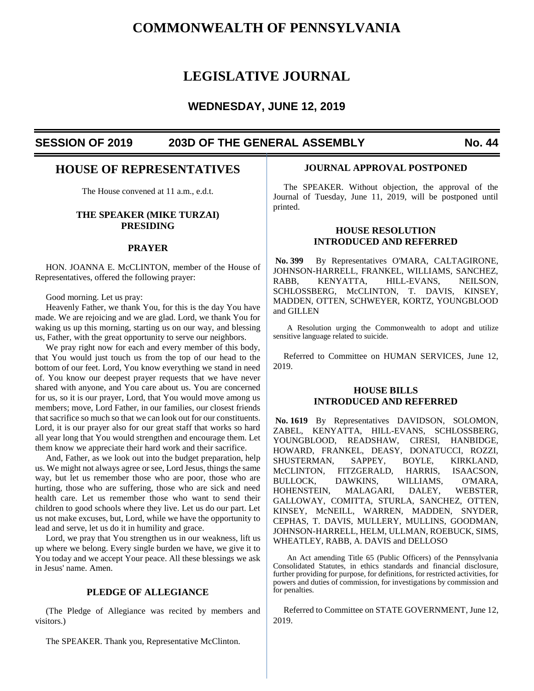# **COMMONWEALTH OF PENNSYLVANIA**

# **LEGISLATIVE JOURNAL**

# **WEDNESDAY, JUNE 12, 2019**

## **SESSION OF 2019 203D OF THE GENERAL ASSEMBLY No. 44**

# **HOUSE OF REPRESENTATIVES**

The House convened at 11 a.m., e.d.t.

## **THE SPEAKER (MIKE TURZAI) PRESIDING**

#### **PRAYER**

HON. JOANNA E. McCLINTON, member of the House of Representatives, offered the following prayer:

Good morning. Let us pray:

Heavenly Father, we thank You, for this is the day You have made. We are rejoicing and we are glad. Lord, we thank You for waking us up this morning, starting us on our way, and blessing us, Father, with the great opportunity to serve our neighbors.

We pray right now for each and every member of this body, that You would just touch us from the top of our head to the bottom of our feet. Lord, You know everything we stand in need of. You know our deepest prayer requests that we have never shared with anyone, and You care about us. You are concerned for us, so it is our prayer, Lord, that You would move among us members; move, Lord Father, in our families, our closest friends that sacrifice so much so that we can look out for our constituents. Lord, it is our prayer also for our great staff that works so hard all year long that You would strengthen and encourage them. Let them know we appreciate their hard work and their sacrifice.

And, Father, as we look out into the budget preparation, help us. We might not always agree or see, Lord Jesus, things the same way, but let us remember those who are poor, those who are hurting, those who are suffering, those who are sick and need health care. Let us remember those who want to send their children to good schools where they live. Let us do our part. Let us not make excuses, but, Lord, while we have the opportunity to lead and serve, let us do it in humility and grace.

Lord, we pray that You strengthen us in our weakness, lift us up where we belong. Every single burden we have, we give it to You today and we accept Your peace. All these blessings we ask in Jesus' name. Amen.

## **PLEDGE OF ALLEGIANCE**

(The Pledge of Allegiance was recited by members and visitors.)

## **JOURNAL APPROVAL POSTPONED**

The SPEAKER. Without objection, the approval of the Journal of Tuesday, June 11, 2019, will be postponed until printed.

## **HOUSE RESOLUTION INTRODUCED AND REFERRED**

**No. 399** By Representatives O'MARA, CALTAGIRONE, JOHNSON-HARRELL, FRANKEL, WILLIAMS, SANCHEZ, RABB, KENYATTA, HILL-EVANS, NEILSON, SCHLOSSBERG, McCLINTON, T. DAVIS, KINSEY, MADDEN, OTTEN, SCHWEYER, KORTZ, YOUNGBLOOD and GILLEN

A Resolution urging the Commonwealth to adopt and utilize sensitive language related to suicide.

Referred to Committee on HUMAN SERVICES, June 12, 2019.

## **HOUSE BILLS INTRODUCED AND REFERRED**

**No. 1619** By Representatives DAVIDSON, SOLOMON, ZABEL, KENYATTA, HILL-EVANS, SCHLOSSBERG, YOUNGBLOOD, READSHAW, CIRESI, HANBIDGE, HOWARD, FRANKEL, DEASY, DONATUCCI, ROZZI, SHUSTERMAN, SAPPEY, BOYLE, KIRKLAND, McCLINTON, FITZGERALD, HARRIS, ISAACSON, BULLOCK, DAWKINS, WILLIAMS, O'MARA, HOHENSTEIN, MALAGARI, DALEY, WEBSTER, GALLOWAY, COMITTA, STURLA, SANCHEZ, OTTEN, KINSEY, McNEILL, WARREN, MADDEN, SNYDER, CEPHAS, T. DAVIS, MULLERY, MULLINS, GOODMAN, JOHNSON-HARRELL, HELM, ULLMAN, ROEBUCK, SIMS, WHEATLEY, RABB, A. DAVIS and DELLOSO

An Act amending Title 65 (Public Officers) of the Pennsylvania Consolidated Statutes, in ethics standards and financial disclosure, further providing for purpose, for definitions, for restricted activities, for powers and duties of commission, for investigations by commission and for penalties.

Referred to Committee on STATE GOVERNMENT, June 12, 2019.

The SPEAKER. Thank you, Representative McClinton.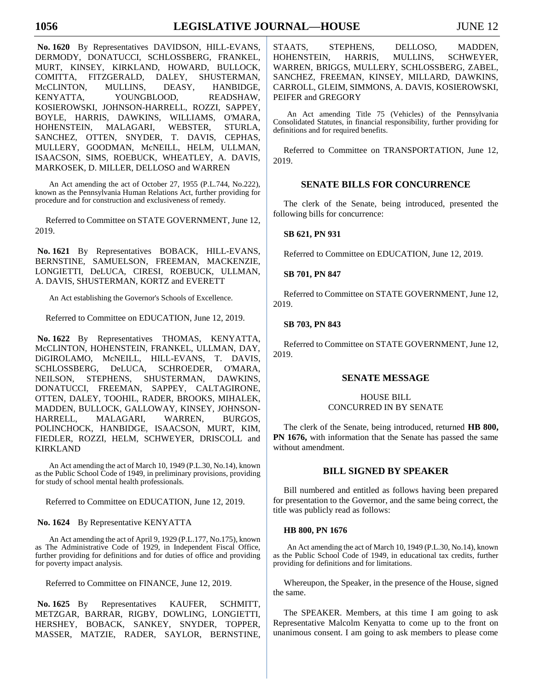**No. 1620** By Representatives DAVIDSON, HILL-EVANS, DERMODY, DONATUCCI, SCHLOSSBERG, FRANKEL, MURT, KINSEY, KIRKLAND, HOWARD, BULLOCK, COMITTA, FITZGERALD, DALEY, SHUSTERMAN, McCLINTON, MULLINS, DEASY, HANBIDGE, KENYATTA, YOUNGBLOOD, READSHAW, KOSIEROWSKI, JOHNSON-HARRELL, ROZZI, SAPPEY, BOYLE, HARRIS, DAWKINS, WILLIAMS, O'MARA, HOHENSTEIN, MALAGARI, WEBSTER, STURLA, SANCHEZ, OTTEN, SNYDER, T. DAVIS, CEPHAS, MULLERY, GOODMAN, McNEILL, HELM, ULLMAN, ISAACSON, SIMS, ROEBUCK, WHEATLEY, A. DAVIS, MARKOSEK, D. MILLER, DELLOSO and WARREN

An Act amending the act of October 27, 1955 (P.L.744, No.222), known as the Pennsylvania Human Relations Act, further providing for procedure and for construction and exclusiveness of remedy.

Referred to Committee on STATE GOVERNMENT, June 12, 2019.

**No. 1621** By Representatives BOBACK, HILL-EVANS, BERNSTINE, SAMUELSON, FREEMAN, MACKENZIE, LONGIETTI, DeLUCA, CIRESI, ROEBUCK, ULLMAN, A. DAVIS, SHUSTERMAN, KORTZ and EVERETT

An Act establishing the Governor's Schools of Excellence.

Referred to Committee on EDUCATION, June 12, 2019.

**No. 1622** By Representatives THOMAS, KENYATTA, McCLINTON, HOHENSTEIN, FRANKEL, ULLMAN, DAY, DiGIROLAMO, McNEILL, HILL-EVANS, T. DAVIS, SCHLOSSBERG, DeLUCA, SCHROEDER, O'MARA, NEILSON, STEPHENS, SHUSTERMAN, DAWKINS, DONATUCCI, FREEMAN, SAPPEY, CALTAGIRONE, OTTEN, DALEY, TOOHIL, RADER, BROOKS, MIHALEK, MADDEN, BULLOCK, GALLOWAY, KINSEY, JOHNSON-HARRELL, MALAGARI, WARREN, BURGOS, POLINCHOCK, HANBIDGE, ISAACSON, MURT, KIM, FIEDLER, ROZZI, HELM, SCHWEYER, DRISCOLL and KIRKLAND

An Act amending the act of March 10, 1949 (P.L.30, No.14), known as the Public School Code of 1949, in preliminary provisions, providing for study of school mental health professionals.

Referred to Committee on EDUCATION, June 12, 2019.

**No. 1624** By Representative KENYATTA

An Act amending the act of April 9, 1929 (P.L.177, No.175), known as The Administrative Code of 1929, in Independent Fiscal Office, further providing for definitions and for duties of office and providing for poverty impact analysis.

Referred to Committee on FINANCE, June 12, 2019.

**No. 1625** By Representatives KAUFER, SCHMITT, METZGAR, BARRAR, RIGBY, DOWLING, LONGIETTI, HERSHEY, BOBACK, SANKEY, SNYDER, TOPPER, MASSER, MATZIE, RADER, SAYLOR, BERNSTINE,

STAATS, STEPHENS, DELLOSO, MADDEN, HOHENSTEIN, HARRIS, MULLINS, SCHWEYER, WARREN, BRIGGS, MULLERY, SCHLOSSBERG, ZABEL, SANCHEZ, FREEMAN, KINSEY, MILLARD, DAWKINS, CARROLL, GLEIM, SIMMONS, A. DAVIS, KOSIEROWSKI, PEIFER and GREGORY

An Act amending Title 75 (Vehicles) of the Pennsylvania Consolidated Statutes, in financial responsibility, further providing for definitions and for required benefits.

Referred to Committee on TRANSPORTATION, June 12, 2019.

## **SENATE BILLS FOR CONCURRENCE**

The clerk of the Senate, being introduced, presented the following bills for concurrence:

## **SB 621, PN 931**

Referred to Committee on EDUCATION, June 12, 2019.

## **SB 701, PN 847**

Referred to Committee on STATE GOVERNMENT, June 12, 2019.

## **SB 703, PN 843**

Referred to Committee on STATE GOVERNMENT, June 12, 2019.

## **SENATE MESSAGE**

## HOUSE BILL CONCURRED IN BY SENATE

The clerk of the Senate, being introduced, returned **HB 800, PN 1676,** with information that the Senate has passed the same without amendment.

## **BILL SIGNED BY SPEAKER**

Bill numbered and entitled as follows having been prepared for presentation to the Governor, and the same being correct, the title was publicly read as follows:

## **HB 800, PN 1676**

An Act amending the act of March 10, 1949 (P.L.30, No.14), known as the Public School Code of 1949, in educational tax credits, further providing for definitions and for limitations.

Whereupon, the Speaker, in the presence of the House, signed the same.

The SPEAKER. Members, at this time I am going to ask Representative Malcolm Kenyatta to come up to the front on unanimous consent. I am going to ask members to please come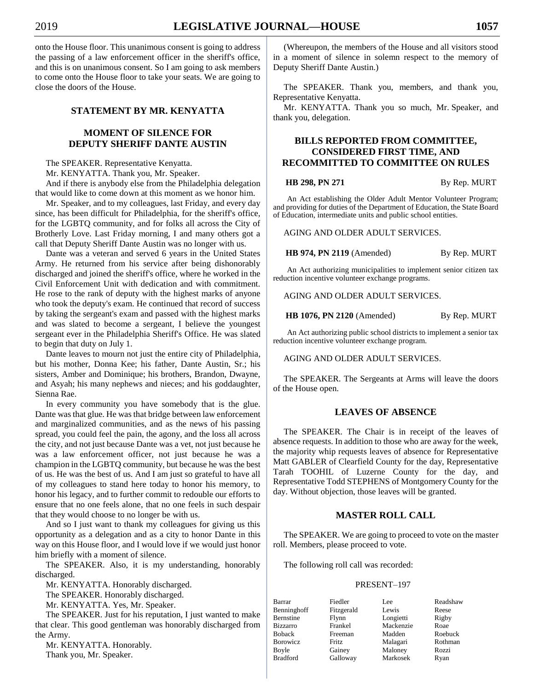onto the House floor. This unanimous consent is going to address the passing of a law enforcement officer in the sheriff's office, and this is on unanimous consent. So I am going to ask members to come onto the House floor to take your seats. We are going to close the doors of the House.

## **STATEMENT BY MR. KENYATTA**

## **MOMENT OF SILENCE FOR DEPUTY SHERIFF DANTE AUSTIN**

The SPEAKER. Representative Kenyatta.

Mr. KENYATTA. Thank you, Mr. Speaker.

And if there is anybody else from the Philadelphia delegation that would like to come down at this moment as we honor him.

Mr. Speaker, and to my colleagues, last Friday, and every day since, has been difficult for Philadelphia, for the sheriff's office, for the LGBTQ community, and for folks all across the City of Brotherly Love. Last Friday morning, I and many others got a call that Deputy Sheriff Dante Austin was no longer with us.

Dante was a veteran and served 6 years in the United States Army. He returned from his service after being dishonorably discharged and joined the sheriff's office, where he worked in the Civil Enforcement Unit with dedication and with commitment. He rose to the rank of deputy with the highest marks of anyone who took the deputy's exam. He continued that record of success by taking the sergeant's exam and passed with the highest marks and was slated to become a sergeant, I believe the youngest sergeant ever in the Philadelphia Sheriff's Office. He was slated to begin that duty on July 1.

Dante leaves to mourn not just the entire city of Philadelphia, but his mother, Donna Kee; his father, Dante Austin, Sr.; his sisters, Amber and Dominique; his brothers, Brandon, Dwayne, and Asyah; his many nephews and nieces; and his goddaughter, Sienna Rae.

In every community you have somebody that is the glue. Dante was that glue. He was that bridge between law enforcement and marginalized communities, and as the news of his passing spread, you could feel the pain, the agony, and the loss all across the city, and not just because Dante was a vet, not just because he was a law enforcement officer, not just because he was a champion in the LGBTQ community, but because he was the best of us. He was the best of us. And I am just so grateful to have all of my colleagues to stand here today to honor his memory, to honor his legacy, and to further commit to redouble our efforts to ensure that no one feels alone, that no one feels in such despair that they would choose to no longer be with us.

And so I just want to thank my colleagues for giving us this opportunity as a delegation and as a city to honor Dante in this way on this House floor, and I would love if we would just honor him briefly with a moment of silence.

The SPEAKER. Also, it is my understanding, honorably discharged.

Mr. KENYATTA. Honorably discharged.

The SPEAKER. Honorably discharged.

Mr. KENYATTA. Yes, Mr. Speaker.

The SPEAKER. Just for his reputation, I just wanted to make that clear. This good gentleman was honorably discharged from the Army.

Mr. KENYATTA. Honorably. Thank you, Mr. Speaker.

(Whereupon, the members of the House and all visitors stood in a moment of silence in solemn respect to the memory of Deputy Sheriff Dante Austin.)

The SPEAKER. Thank you, members, and thank you, Representative Kenyatta.

Mr. KENYATTA. Thank you so much, Mr. Speaker, and thank you, delegation.

## **BILLS REPORTED FROM COMMITTEE, CONSIDERED FIRST TIME, AND RECOMMITTED TO COMMITTEE ON RULES**

**HB 298, PN 271** By Rep. MURT

An Act establishing the Older Adult Mentor Volunteer Program; and providing for duties of the Department of Education, the State Board of Education, intermediate units and public school entities.

AGING AND OLDER ADULT SERVICES.

**HB 974, PN 2119** (Amended) By Rep. MURT

An Act authorizing municipalities to implement senior citizen tax reduction incentive volunteer exchange programs.

AGING AND OLDER ADULT SERVICES.

**HB 1076, PN 2120** (Amended) By Rep. MURT

An Act authorizing public school districts to implement a senior tax reduction incentive volunteer exchange program.

AGING AND OLDER ADULT SERVICES.

The SPEAKER. The Sergeants at Arms will leave the doors of the House open.

## **LEAVES OF ABSENCE**

The SPEAKER. The Chair is in receipt of the leaves of absence requests. In addition to those who are away for the week, the majority whip requests leaves of absence for Representative Matt GABLER of Clearfield County for the day, Representative Tarah TOOHIL of Luzerne County for the day, and Representative Todd STEPHENS of Montgomery County for the day. Without objection, those leaves will be granted.

## **MASTER ROLL CALL**

The SPEAKER. We are going to proceed to vote on the master roll. Members, please proceed to vote.

The following roll call was recorded:

#### PRESENT–197

| Barrar          | Fiedler    | Lee       | Readshaw |
|-----------------|------------|-----------|----------|
| Benninghoff     | Fitzgerald | Lewis     | Reese    |
| Bernstine       | Flynn      | Longietti | Rigby    |
| <b>Bizzarro</b> | Frankel    | Mackenzie | Roae     |
| <b>Boback</b>   | Freeman    | Madden    | Roebuck  |
| <b>Borowicz</b> | Fritz.     | Malagari  | Rothman  |
| Boyle           | Gainey     | Maloney   | Rozzi    |
| <b>Bradford</b> | Galloway   | Markosek  | Ryan     |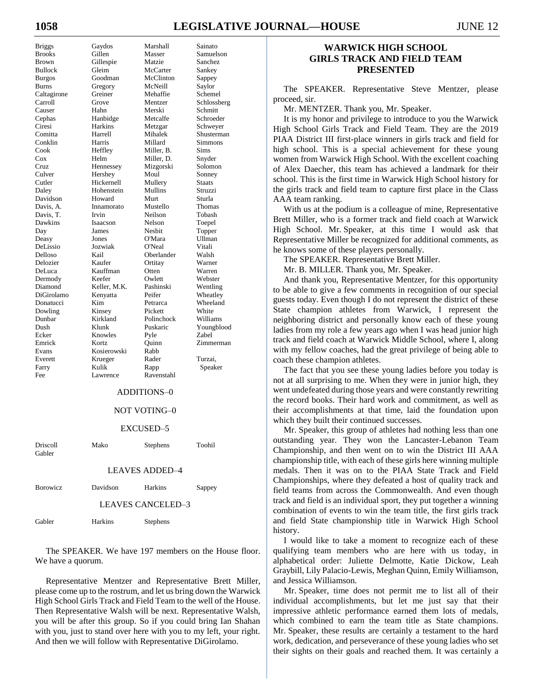# **1058 LEGISLATIVE JOURNAL—HOUSE** JUNE 12

| - ت                  |
|----------------------|
| <b>Brooks</b>        |
| <b>Brown</b>         |
| <b>Bullock</b>       |
| <b>Burgos</b>        |
| <b>Burns</b>         |
| Caltagirone          |
| Carroll              |
| Causer               |
| Cephas<br>Ciresi     |
|                      |
| Comitta              |
| Conklin              |
| Cook                 |
| $\cos$               |
|                      |
| Cruz<br>Culver       |
| Cutler               |
| Daley                |
| Davidson             |
| Davis, A.            |
| Davis, T.<br>Dawkins |
|                      |
| Day                  |
| Deasy                |
| DeLissio             |
| Delloso              |
| Delozier<br>DeLuca   |
|                      |
| Dermody              |
| Diamond              |
| DiGirolamo           |
| Donatucci            |
| Dowling<br>Dunbar    |
|                      |
| .<br>Dush            |
| Ecker                |
| Emrick               |
| Evans                |
| Everett              |
| Farry                |
| г<br>ംപ              |

Briggs Gaydos Marshall Sainato Gillen Masser Samuelson Gillespie Matzie Sanchez Gleim McCarter Sankey Goodman McClinton Sappey Gregory McNeill Saylor Greiner Mehaffie Schemel Grove Mentzer Schlossberg Hahn Merski Schmitt Hanbidge Metcalfe Schroeder Harkins Metzgar Schweyer Harrell Mihalek Shusterman<br>Harris Millard Simmons Harris Millard Simmons<br>
Heffley Miller, B. Sims Miller, B. Helm Miller, D. Snyder Hennessey Mizgorski Solomon Hershey Moul Sonney Hickernell Mullery Staats Hohenstein Mullins Struzzi Howard Murt Sturla Innamorato Mustello Thomas Davis, T. Irvin Neilson Tobash Isaacson Nelson Toepel James Nesbit Topper Deasy Jones O'Mara Ullman Jozwiak O'Neal Vitali Kail Oberlander Walsh<br>
Kaufer Ortitay Warne Kauffman Otten Warren Keefer Owlett Webster Keller, M.K. Pashinski Wentling Kenyatta Peifer Wheatley Kim Petrarca Wheeland Kinsey Pickett White Kirkland Polinchock Williams Klunk Puskaric Youngblood Knowles Pyle Zabel Kortz **Quinn** Zimmerman Kosierowski Rabb Everett Krueger Rader Turzai, Kulik Rapp Speaker

Warner

#### ADDITIONS–0

Lawrence Ravenstahl

#### NOT VOTING–0

#### EXCUSED–5

| Driscoll | Mako | Stephens | Toohil |
|----------|------|----------|--------|
| Gabler   |      |          |        |

#### LEAVES ADDED–4

Borowicz Davidson Harkins Sappey

# LEAVES CANCELED–3

| Harkins | Stephens |
|---------|----------|
|         |          |

The SPEAKER. We have 197 members on the House floor. We have a quorum.

Representative Mentzer and Representative Brett Miller, please come up to the rostrum, and let us bring down the Warwick High School Girls Track and Field Team to the well of the House. Then Representative Walsh will be next. Representative Walsh, you will be after this group. So if you could bring Ian Shahan with you, just to stand over here with you to my left, your right. And then we will follow with Representative DiGirolamo.

## **WARWICK HIGH SCHOOL GIRLS TRACK AND FIELD TEAM PRESENTED**

The SPEAKER. Representative Steve Mentzer, please proceed, sir.

Mr. MENTZER. Thank you, Mr. Speaker.

It is my honor and privilege to introduce to you the Warwick High School Girls Track and Field Team. They are the 2019 PIAA District III first-place winners in girls track and field for high school. This is a special achievement for these young women from Warwick High School. With the excellent coaching of Alex Daecher, this team has achieved a landmark for their school. This is the first time in Warwick High School history for the girls track and field team to capture first place in the Class AAA team ranking.

With us at the podium is a colleague of mine, Representative Brett Miller, who is a former track and field coach at Warwick High School. Mr. Speaker, at this time I would ask that Representative Miller be recognized for additional comments, as he knows some of these players personally.

The SPEAKER. Representative Brett Miller.

Mr. B. MILLER. Thank you, Mr. Speaker.

And thank you, Representative Mentzer, for this opportunity to be able to give a few comments in recognition of our special guests today. Even though I do not represent the district of these State champion athletes from Warwick, I represent the neighboring district and personally know each of these young ladies from my role a few years ago when I was head junior high track and field coach at Warwick Middle School, where I, along with my fellow coaches, had the great privilege of being able to coach these champion athletes.

The fact that you see these young ladies before you today is not at all surprising to me. When they were in junior high, they went undefeated during those years and were constantly rewriting the record books. Their hard work and commitment, as well as their accomplishments at that time, laid the foundation upon which they built their continued successes.

Mr. Speaker, this group of athletes had nothing less than one outstanding year. They won the Lancaster-Lebanon Team Championship, and then went on to win the District III AAA championship title, with each of these girls here winning multiple medals. Then it was on to the PIAA State Track and Field Championships, where they defeated a host of quality track and field teams from across the Commonwealth. And even though track and field is an individual sport, they put together a winning combination of events to win the team title, the first girls track and field State championship title in Warwick High School history.

I would like to take a moment to recognize each of these qualifying team members who are here with us today, in alphabetical order: Juliette Delmotte, Katie Dickow, Leah Graybill, Lily Palacio-Lewis, Meghan Quinn, Emily Williamson, and Jessica Williamson.

Mr. Speaker, time does not permit me to list all of their individual accomplishments, but let me just say that their impressive athletic performance earned them lots of medals, which combined to earn the team title as State champions. Mr. Speaker, these results are certainly a testament to the hard work, dedication, and perseverance of these young ladies who set their sights on their goals and reached them. It was certainly a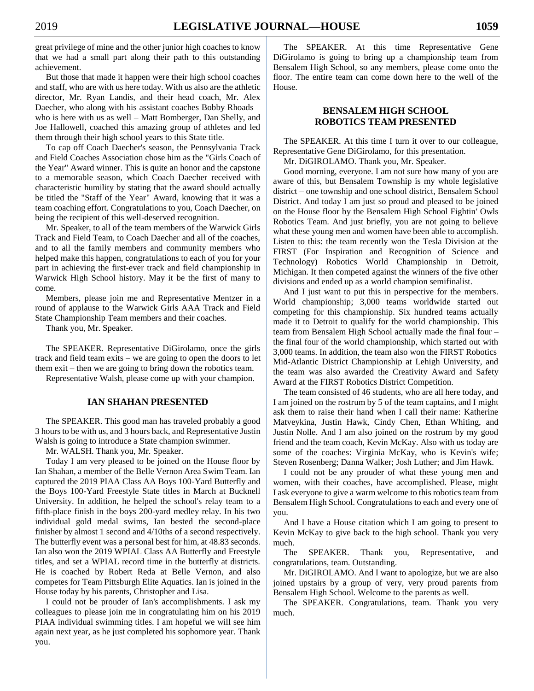great privilege of mine and the other junior high coaches to know that we had a small part along their path to this outstanding achievement.

But those that made it happen were their high school coaches and staff, who are with us here today. With us also are the athletic director, Mr. Ryan Landis, and their head coach, Mr. Alex Daecher, who along with his assistant coaches Bobby Rhoads – who is here with us as well – Matt Bomberger, Dan Shelly, and Joe Hallowell, coached this amazing group of athletes and led them through their high school years to this State title.

To cap off Coach Daecher's season, the Pennsylvania Track and Field Coaches Association chose him as the "Girls Coach of the Year" Award winner. This is quite an honor and the capstone to a memorable season, which Coach Daecher received with characteristic humility by stating that the award should actually be titled the "Staff of the Year" Award, knowing that it was a team coaching effort. Congratulations to you, Coach Daecher, on being the recipient of this well-deserved recognition.

Mr. Speaker, to all of the team members of the Warwick Girls Track and Field Team, to Coach Daecher and all of the coaches, and to all the family members and community members who helped make this happen, congratulations to each of you for your part in achieving the first-ever track and field championship in Warwick High School history. May it be the first of many to come.

Members, please join me and Representative Mentzer in a round of applause to the Warwick Girls AAA Track and Field State Championship Team members and their coaches.

Thank you, Mr. Speaker.

The SPEAKER. Representative DiGirolamo, once the girls track and field team exits – we are going to open the doors to let them exit – then we are going to bring down the robotics team.

Representative Walsh, please come up with your champion.

## **IAN SHAHAN PRESENTED**

The SPEAKER. This good man has traveled probably a good 3 hours to be with us, and 3 hours back, and Representative Justin Walsh is going to introduce a State champion swimmer.

Mr. WALSH. Thank you, Mr. Speaker.

Today I am very pleased to be joined on the House floor by Ian Shahan, a member of the Belle Vernon Area Swim Team. Ian captured the 2019 PIAA Class AA Boys 100-Yard Butterfly and the Boys 100-Yard Freestyle State titles in March at Bucknell University. In addition, he helped the school's relay team to a fifth-place finish in the boys 200-yard medley relay. In his two individual gold medal swims, Ian bested the second-place finisher by almost 1 second and 4/10ths of a second respectively. The butterfly event was a personal best for him, at 48.83 seconds. Ian also won the 2019 WPIAL Class AA Butterfly and Freestyle titles, and set a WPIAL record time in the butterfly at districts. He is coached by Robert Reda at Belle Vernon, and also competes for Team Pittsburgh Elite Aquatics. Ian is joined in the House today by his parents, Christopher and Lisa.

I could not be prouder of Ian's accomplishments. I ask my colleagues to please join me in congratulating him on his 2019 PIAA individual swimming titles. I am hopeful we will see him again next year, as he just completed his sophomore year. Thank you.

The SPEAKER. At this time Representative Gene DiGirolamo is going to bring up a championship team from Bensalem High School, so any members, please come onto the floor. The entire team can come down here to the well of the House.

## **BENSALEM HIGH SCHOOL ROBOTICS TEAM PRESENTED**

The SPEAKER. At this time I turn it over to our colleague, Representative Gene DiGirolamo, for this presentation.

Mr. DiGIROLAMO. Thank you, Mr. Speaker.

Good morning, everyone. I am not sure how many of you are aware of this, but Bensalem Township is my whole legislative district – one township and one school district, Bensalem School District. And today I am just so proud and pleased to be joined on the House floor by the Bensalem High School Fightin' Owls Robotics Team. And just briefly, you are not going to believe what these young men and women have been able to accomplish. Listen to this: the team recently won the Tesla Division at the FIRST (For Inspiration and Recognition of Science and Technology) Robotics World Championship in Detroit, Michigan. It then competed against the winners of the five other divisions and ended up as a world champion semifinalist.

And I just want to put this in perspective for the members. World championship; 3,000 teams worldwide started out competing for this championship. Six hundred teams actually made it to Detroit to qualify for the world championship. This team from Bensalem High School actually made the final four – the final four of the world championship, which started out with 3,000 teams. In addition, the team also won the FIRST Robotics Mid-Atlantic District Championship at Lehigh University, and the team was also awarded the Creativity Award and Safety Award at the FIRST Robotics District Competition.

The team consisted of 46 students, who are all here today, and I am joined on the rostrum by 5 of the team captains, and I might ask them to raise their hand when I call their name: Katherine Matveykina, Justin Hawk, Cindy Chen, Ethan Whiting, and Justin Nolle. And I am also joined on the rostrum by my good friend and the team coach, Kevin McKay. Also with us today are some of the coaches: Virginia McKay, who is Kevin's wife; Steven Rosenberg; Danna Walker; Josh Luther; and Jim Hawk.

I could not be any prouder of what these young men and women, with their coaches, have accomplished. Please, might I ask everyone to give a warm welcome to this robotics team from Bensalem High School. Congratulations to each and every one of you.

And I have a House citation which I am going to present to Kevin McKay to give back to the high school. Thank you very much.

The SPEAKER. Thank you, Representative, and congratulations, team. Outstanding.

Mr. DiGIROLAMO. And I want to apologize, but we are also joined upstairs by a group of very, very proud parents from Bensalem High School. Welcome to the parents as well.

The SPEAKER. Congratulations, team. Thank you very much.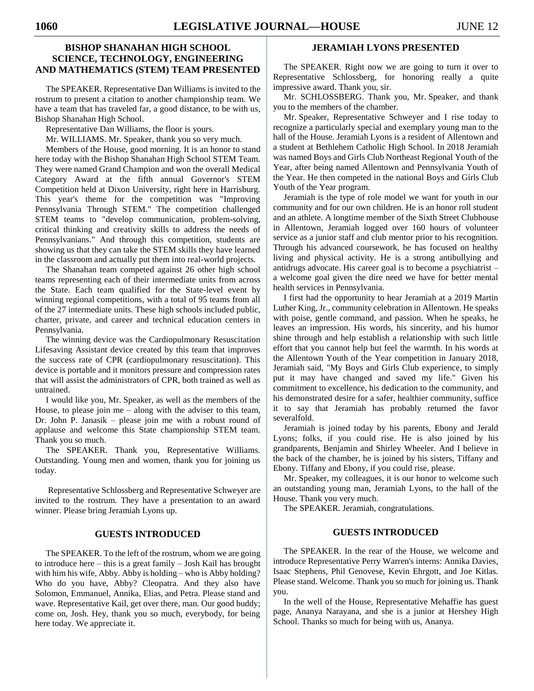## **BISHOP SHANAHAN HIGH SCHOOL SCIENCE, TECHNOLOGY, ENGINEERING AND MATHEMATICS (STEM) TEAM PRESENTED**

The SPEAKER. Representative Dan Williams is invited to the rostrum to present a citation to another championship team. We have a team that has traveled far, a good distance, to be with us, Bishop Shanahan High School.

Representative Dan Williams, the floor is yours.

Mr. WILLIAMS. Mr. Speaker, thank you so very much.

Members of the House, good morning. It is an honor to stand here today with the Bishop Shanahan High School STEM Team. They were named Grand Champion and won the overall Medical Category Award at the fifth annual Governor's STEM Competition held at Dixon University, right here in Harrisburg. This year's theme for the competition was "Improving Pennsylvania Through STEM." The competition challenged STEM teams to "develop communication, problem-solving, critical thinking and creativity skills to address the needs of Pennsylvanians." And through this competition, students are showing us that they can take the STEM skills they have learned in the classroom and actually put them into real-world projects.

The Shanahan team competed against 26 other high school teams representing each of their intermediate units from across the State. Each team qualified for the State-level event by winning regional competitions, with a total of 95 teams from all of the 27 intermediate units. These high schools included public, charter, private, and career and technical education centers in Pennsylvania.

The winning device was the Cardiopulmonary Resuscitation Lifesaving Assistant device created by this team that improves the success rate of CPR (cardiopulmonary resuscitation). This device is portable and it monitors pressure and compression rates that will assist the administrators of CPR, both trained as well as untrained.

I would like you, Mr. Speaker, as well as the members of the House, to please join  $me - along with the advisor to this team,$ Dr. John P. Janasik – please join me with a robust round of applause and welcome this State championship STEM team. Thank you so much.

The SPEAKER. Thank you, Representative Williams. Outstanding. Young men and women, thank you for joining us today.

Representative Schlossberg and Representative Schweyer are invited to the rostrum. They have a presentation to an award winner. Please bring Jeramiah Lyons up.

## **GUESTS INTRODUCED**

The SPEAKER. To the left of the rostrum, whom we are going to introduce here – this is a great family – Josh Kail has brought with him his wife, Abby. Abby is holding – who is Abby holding? Who do you have, Abby? Cleopatra. And they also have Solomon, Emmanuel, Annika, Elias, and Petra. Please stand and wave. Representative Kail, get over there, man. Our good buddy; come on, Josh. Hey, thank you so much, everybody, for being here today. We appreciate it.

## **JERAMIAH LYONS PRESENTED**

The SPEAKER. Right now we are going to turn it over to Representative Schlossberg, for honoring really a quite impressive award. Thank you, sir.

Mr. SCHLOSSBERG. Thank you, Mr. Speaker, and thank you to the members of the chamber.

Mr. Speaker, Representative Schweyer and I rise today to recognize a particularly special and exemplary young man to the hall of the House. Jeramiah Lyons is a resident of Allentown and a student at Bethlehem Catholic High School. In 2018 Jeramiah was named Boys and Girls Club Northeast Regional Youth of the Year, after being named Allentown and Pennsylvania Youth of the Year. He then competed in the national Boys and Girls Club Youth of the Year program.

Jeramiah is the type of role model we want for youth in our community and for our own children. He is an honor roll student and an athlete. A longtime member of the Sixth Street Clubhouse in Allentown, Jeramiah logged over 160 hours of volunteer service as a junior staff and club mentor prior to his recognition. Through his advanced coursework, he has focused on healthy living and physical activity. He is a strong antibullying and antidrugs advocate. His career goal is to become a psychiatrist – a welcome goal given the dire need we have for better mental health services in Pennsylvania.

I first had the opportunity to hear Jeramiah at a 2019 Martin Luther King, Jr., community celebration in Allentown. He speaks with poise, gentle command, and passion. When he speaks, he leaves an impression. His words, his sincerity, and his humor shine through and help establish a relationship with such little effort that you cannot help but feel the warmth. In his words at the Allentown Youth of the Year competition in January 2018, Jeramiah said, "My Boys and Girls Club experience, to simply put it may have changed and saved my life." Given his commitment to excellence, his dedication to the community, and his demonstrated desire for a safer, healthier community, suffice it to say that Jeramiah has probably returned the favor severalfold.

Jeramiah is joined today by his parents, Ebony and Jerald Lyons; folks, if you could rise. He is also joined by his grandparents, Benjamin and Shirley Wheeler. And I believe in the back of the chamber, he is joined by his sisters, Tiffany and Ebony. Tiffany and Ebony, if you could rise, please.

Mr. Speaker, my colleagues, it is our honor to welcome such an outstanding young man, Jeramiah Lyons, to the hall of the House. Thank you very much.

The SPEAKER. Jeramiah, congratulations.

## **GUESTS INTRODUCED**

The SPEAKER. In the rear of the House, we welcome and introduce Representative Perry Warren's interns: Annika Davies, Isaac Stephens, Phil Genovese, Kevin Ehrgott, and Joe Kitlas. Please stand. Welcome. Thank you so much for joining us. Thank you.

In the well of the House, Representative Mehaffie has guest page, Ananya Narayana, and she is a junior at Hershey High School. Thanks so much for being with us, Ananya.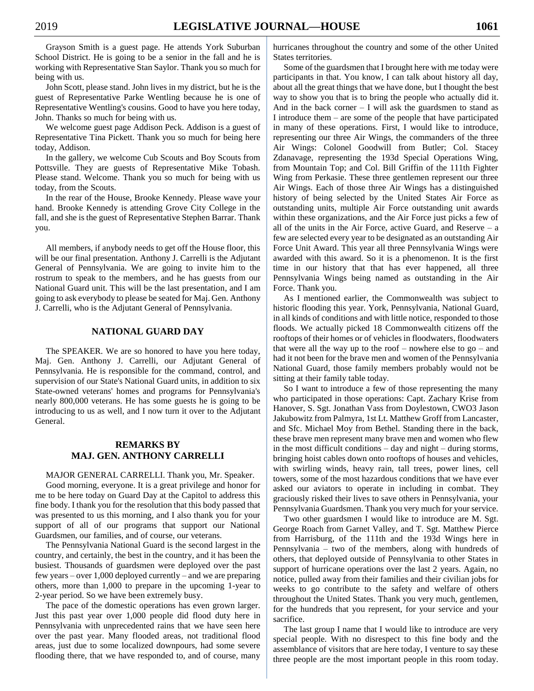Grayson Smith is a guest page. He attends York Suburban School District. He is going to be a senior in the fall and he is working with Representative Stan Saylor. Thank you so much for being with us.

John Scott, please stand. John lives in my district, but he is the guest of Representative Parke Wentling because he is one of Representative Wentling's cousins. Good to have you here today, John. Thanks so much for being with us.

We welcome guest page Addison Peck. Addison is a guest of Representative Tina Pickett. Thank you so much for being here today, Addison.

In the gallery, we welcome Cub Scouts and Boy Scouts from Pottsville. They are guests of Representative Mike Tobash. Please stand. Welcome. Thank you so much for being with us today, from the Scouts.

In the rear of the House, Brooke Kennedy. Please wave your hand. Brooke Kennedy is attending Grove City College in the fall, and she is the guest of Representative Stephen Barrar. Thank you.

All members, if anybody needs to get off the House floor, this will be our final presentation. Anthony J. Carrelli is the Adjutant General of Pennsylvania. We are going to invite him to the rostrum to speak to the members, and he has guests from our National Guard unit. This will be the last presentation, and I am going to ask everybody to please be seated for Maj. Gen. Anthony J. Carrelli, who is the Adjutant General of Pennsylvania.

## **NATIONAL GUARD DAY**

The SPEAKER. We are so honored to have you here today, Maj. Gen. Anthony J. Carrelli, our Adjutant General of Pennsylvania. He is responsible for the command, control, and supervision of our State's National Guard units, in addition to six State-owned veterans' homes and programs for Pennsylvania's nearly 800,000 veterans. He has some guests he is going to be introducing to us as well, and I now turn it over to the Adjutant General.

## **REMARKS BY MAJ. GEN. ANTHONY CARRELLI**

#### MAJOR GENERAL CARRELLI. Thank you, Mr. Speaker.

Good morning, everyone. It is a great privilege and honor for me to be here today on Guard Day at the Capitol to address this fine body. I thank you for the resolution that this body passed that was presented to us this morning, and I also thank you for your support of all of our programs that support our National Guardsmen, our families, and of course, our veterans.

The Pennsylvania National Guard is the second largest in the country, and certainly, the best in the country, and it has been the busiest. Thousands of guardsmen were deployed over the past few years – over 1,000 deployed currently – and we are preparing others, more than 1,000 to prepare in the upcoming 1-year to 2-year period. So we have been extremely busy.

The pace of the domestic operations has even grown larger. Just this past year over 1,000 people did flood duty here in Pennsylvania with unprecedented rains that we have seen here over the past year. Many flooded areas, not traditional flood areas, just due to some localized downpours, had some severe flooding there, that we have responded to, and of course, many

hurricanes throughout the country and some of the other United States territories.

Some of the guardsmen that I brought here with me today were participants in that. You know, I can talk about history all day, about all the great things that we have done, but I thought the best way to show you that is to bring the people who actually did it. And in the back corner  $- I$  will ask the guardsmen to stand as I introduce them – are some of the people that have participated in many of these operations. First, I would like to introduce, representing our three Air Wings, the commanders of the three Air Wings: Colonel Goodwill from Butler; Col. Stacey Zdanavage, representing the 193d Special Operations Wing, from Mountain Top; and Col. Bill Griffin of the 111th Fighter Wing from Perkasie. These three gentlemen represent our three Air Wings. Each of those three Air Wings has a distinguished history of being selected by the United States Air Force as outstanding units, multiple Air Force outstanding unit awards within these organizations, and the Air Force just picks a few of all of the units in the Air Force, active Guard, and Reserve  $-$  a few are selected every year to be designated as an outstanding Air Force Unit Award. This year all three Pennsylvania Wings were awarded with this award. So it is a phenomenon. It is the first time in our history that that has ever happened, all three Pennsylvania Wings being named as outstanding in the Air Force. Thank you.

As I mentioned earlier, the Commonwealth was subject to historic flooding this year. York, Pennsylvania, National Guard, in all kinds of conditions and with little notice, responded to those floods. We actually picked 18 Commonwealth citizens off the rooftops of their homes or of vehicles in floodwaters, floodwaters that were all the way up to the roof – nowhere else to  $go - and$ had it not been for the brave men and women of the Pennsylvania National Guard, those family members probably would not be sitting at their family table today.

So I want to introduce a few of those representing the many who participated in those operations: Capt. Zachary Krise from Hanover, S. Sgt. Jonathan Vass from Doylestown, CWO3 Jason Jakubowitz from Palmyra, 1st Lt. Matthew Groff from Lancaster, and Sfc. Michael Moy from Bethel. Standing there in the back, these brave men represent many brave men and women who flew in the most difficult conditions – day and night – during storms, bringing hoist cables down onto rooftops of houses and vehicles, with swirling winds, heavy rain, tall trees, power lines, cell towers, some of the most hazardous conditions that we have ever asked our aviators to operate in including in combat. They graciously risked their lives to save others in Pennsylvania, your Pennsylvania Guardsmen. Thank you very much for your service.

Two other guardsmen I would like to introduce are M. Sgt. George Roach from Garnet Valley, and T. Sgt. Matthew Pierce from Harrisburg, of the 111th and the 193d Wings here in Pennsylvania – two of the members, along with hundreds of others, that deployed outside of Pennsylvania to other States in support of hurricane operations over the last 2 years. Again, no notice, pulled away from their families and their civilian jobs for weeks to go contribute to the safety and welfare of others throughout the United States. Thank you very much, gentlemen, for the hundreds that you represent, for your service and your sacrifice.

The last group I name that I would like to introduce are very special people. With no disrespect to this fine body and the assemblance of visitors that are here today, I venture to say these three people are the most important people in this room today.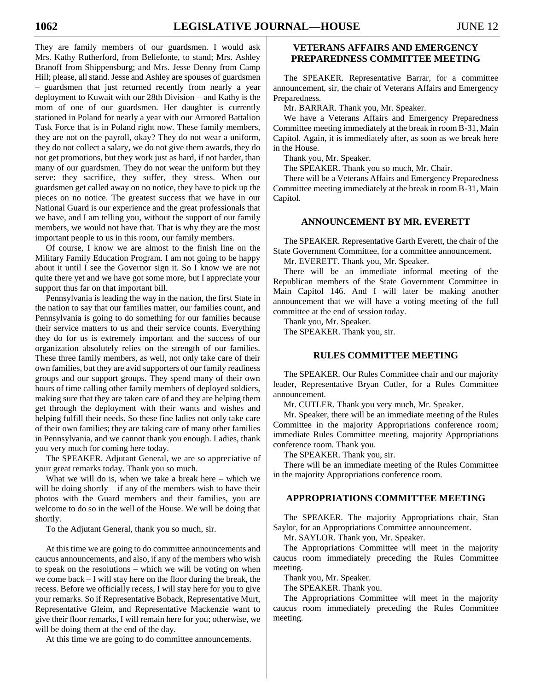They are family members of our guardsmen. I would ask Mrs. Kathy Rutherford, from Bellefonte, to stand; Mrs. Ashley Branoff from Shippensburg; and Mrs. Jesse Denny from Camp Hill; please, all stand. Jesse and Ashley are spouses of guardsmen – guardsmen that just returned recently from nearly a year deployment to Kuwait with our 28th Division – and Kathy is the mom of one of our guardsmen. Her daughter is currently stationed in Poland for nearly a year with our Armored Battalion Task Force that is in Poland right now. These family members, they are not on the payroll, okay? They do not wear a uniform, they do not collect a salary, we do not give them awards, they do not get promotions, but they work just as hard, if not harder, than many of our guardsmen. They do not wear the uniform but they serve: they sacrifice, they suffer, they stress. When our guardsmen get called away on no notice, they have to pick up the pieces on no notice. The greatest success that we have in our National Guard is our experience and the great professionals that we have, and I am telling you, without the support of our family members, we would not have that. That is why they are the most important people to us in this room, our family members.

Of course, I know we are almost to the finish line on the Military Family Education Program. I am not going to be happy about it until I see the Governor sign it. So I know we are not quite there yet and we have got some more, but I appreciate your support thus far on that important bill.

Pennsylvania is leading the way in the nation, the first State in the nation to say that our families matter, our families count, and Pennsylvania is going to do something for our families because their service matters to us and their service counts. Everything they do for us is extremely important and the success of our organization absolutely relies on the strength of our families. These three family members, as well, not only take care of their own families, but they are avid supporters of our family readiness groups and our support groups. They spend many of their own hours of time calling other family members of deployed soldiers, making sure that they are taken care of and they are helping them get through the deployment with their wants and wishes and helping fulfill their needs. So these fine ladies not only take care of their own families; they are taking care of many other families in Pennsylvania, and we cannot thank you enough. Ladies, thank you very much for coming here today.

The SPEAKER. Adjutant General, we are so appreciative of your great remarks today. Thank you so much.

What we will do is, when we take a break here – which we will be doing shortly  $-$  if any of the members wish to have their photos with the Guard members and their families, you are welcome to do so in the well of the House. We will be doing that shortly.

To the Adjutant General, thank you so much, sir.

At this time we are going to do committee announcements and caucus announcements, and also, if any of the members who wish to speak on the resolutions – which we will be voting on when we come back – I will stay here on the floor during the break, the recess. Before we officially recess, I will stay here for you to give your remarks. So if Representative Boback, Representative Murt, Representative Gleim, and Representative Mackenzie want to give their floor remarks, I will remain here for you; otherwise, we will be doing them at the end of the day.

At this time we are going to do committee announcements.

## **VETERANS AFFAIRS AND EMERGENCY PREPAREDNESS COMMITTEE MEETING**

The SPEAKER. Representative Barrar, for a committee announcement, sir, the chair of Veterans Affairs and Emergency Preparedness.

Mr. BARRAR. Thank you, Mr. Speaker.

We have a Veterans Affairs and Emergency Preparedness Committee meeting immediately at the break in room B-31, Main Capitol. Again, it is immediately after, as soon as we break here in the House.

Thank you, Mr. Speaker.

The SPEAKER. Thank you so much, Mr. Chair.

There will be a Veterans Affairs and Emergency Preparedness Committee meeting immediately at the break in room B-31, Main Capitol.

## **ANNOUNCEMENT BY MR. EVERETT**

The SPEAKER. Representative Garth Everett, the chair of the State Government Committee, for a committee announcement.

Mr. EVERETT. Thank you, Mr. Speaker.

There will be an immediate informal meeting of the Republican members of the State Government Committee in Main Capitol 146. And I will later be making another announcement that we will have a voting meeting of the full committee at the end of session today.

Thank you, Mr. Speaker. The SPEAKER. Thank you, sir.

## **RULES COMMITTEE MEETING**

The SPEAKER. Our Rules Committee chair and our majority leader, Representative Bryan Cutler, for a Rules Committee announcement.

Mr. CUTLER. Thank you very much, Mr. Speaker.

Mr. Speaker, there will be an immediate meeting of the Rules Committee in the majority Appropriations conference room; immediate Rules Committee meeting, majority Appropriations conference room. Thank you.

The SPEAKER. Thank you, sir.

There will be an immediate meeting of the Rules Committee in the majority Appropriations conference room.

## **APPROPRIATIONS COMMITTEE MEETING**

The SPEAKER. The majority Appropriations chair, Stan Saylor, for an Appropriations Committee announcement.

Mr. SAYLOR. Thank you, Mr. Speaker.

The Appropriations Committee will meet in the majority caucus room immediately preceding the Rules Committee meeting.

Thank you, Mr. Speaker.

The SPEAKER. Thank you.

The Appropriations Committee will meet in the majority caucus room immediately preceding the Rules Committee meeting.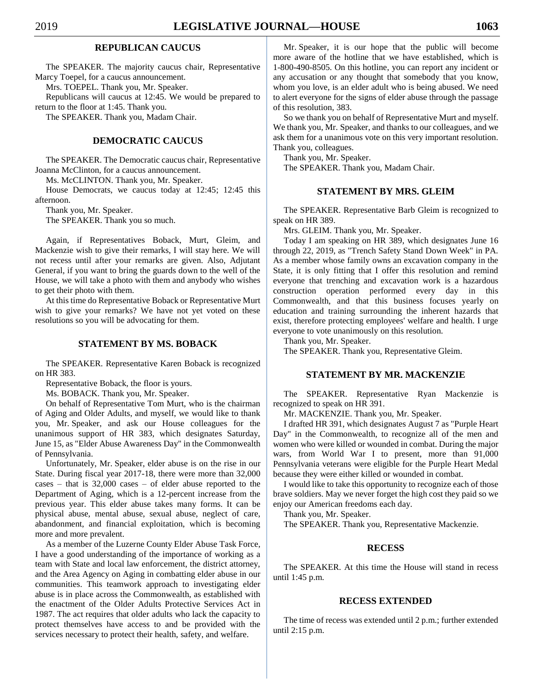## **REPUBLICAN CAUCUS**

The SPEAKER. The majority caucus chair, Representative Marcy Toepel, for a caucus announcement.

Mrs. TOEPEL. Thank you, Mr. Speaker.

Republicans will caucus at 12:45. We would be prepared to return to the floor at 1:45. Thank you.

The SPEAKER. Thank you, Madam Chair.

## **DEMOCRATIC CAUCUS**

The SPEAKER. The Democratic caucus chair, Representative Joanna McClinton, for a caucus announcement.

Ms. McCLINTON. Thank you, Mr. Speaker.

House Democrats, we caucus today at 12:45; 12:45 this afternoon.

Thank you, Mr. Speaker.

The SPEAKER. Thank you so much.

Again, if Representatives Boback, Murt, Gleim, and Mackenzie wish to give their remarks, I will stay here. We will not recess until after your remarks are given. Also, Adjutant General, if you want to bring the guards down to the well of the House, we will take a photo with them and anybody who wishes to get their photo with them.

At this time do Representative Boback or Representative Murt wish to give your remarks? We have not yet voted on these resolutions so you will be advocating for them.

## **STATEMENT BY MS. BOBACK**

The SPEAKER. Representative Karen Boback is recognized on HR 383.

Representative Boback, the floor is yours.

Ms. BOBACK. Thank you, Mr. Speaker.

On behalf of Representative Tom Murt, who is the chairman of Aging and Older Adults, and myself, we would like to thank you, Mr. Speaker, and ask our House colleagues for the unanimous support of HR 383, which designates Saturday, June 15, as "Elder Abuse Awareness Day" in the Commonwealth of Pennsylvania.

Unfortunately, Mr. Speaker, elder abuse is on the rise in our State. During fiscal year 2017-18, there were more than 32,000 cases – that is 32,000 cases – of elder abuse reported to the Department of Aging, which is a 12-percent increase from the previous year. This elder abuse takes many forms. It can be physical abuse, mental abuse, sexual abuse, neglect of care, abandonment, and financial exploitation, which is becoming more and more prevalent.

As a member of the Luzerne County Elder Abuse Task Force, I have a good understanding of the importance of working as a team with State and local law enforcement, the district attorney, and the Area Agency on Aging in combatting elder abuse in our communities. This teamwork approach to investigating elder abuse is in place across the Commonwealth, as established with the enactment of the Older Adults Protective Services Act in 1987. The act requires that older adults who lack the capacity to protect themselves have access to and be provided with the services necessary to protect their health, safety, and welfare.

Mr. Speaker, it is our hope that the public will become more aware of the hotline that we have established, which is 1-800-490-8505. On this hotline, you can report any incident or any accusation or any thought that somebody that you know, whom you love, is an elder adult who is being abused. We need to alert everyone for the signs of elder abuse through the passage of this resolution, 383.

So we thank you on behalf of Representative Murt and myself. We thank you, Mr. Speaker, and thanks to our colleagues, and we ask them for a unanimous vote on this very important resolution. Thank you, colleagues.

Thank you, Mr. Speaker. The SPEAKER. Thank you, Madam Chair.

## **STATEMENT BY MRS. GLEIM**

The SPEAKER. Representative Barb Gleim is recognized to speak on HR 389.

Mrs. GLEIM. Thank you, Mr. Speaker.

Today I am speaking on HR 389, which designates June 16 through 22, 2019, as "Trench Safety Stand Down Week" in PA. As a member whose family owns an excavation company in the State, it is only fitting that I offer this resolution and remind everyone that trenching and excavation work is a hazardous construction operation performed every day in this Commonwealth, and that this business focuses yearly on education and training surrounding the inherent hazards that exist, therefore protecting employees' welfare and health. I urge everyone to vote unanimously on this resolution.

Thank you, Mr. Speaker.

The SPEAKER. Thank you, Representative Gleim.

## **STATEMENT BY MR. MACKENZIE**

The SPEAKER. Representative Ryan Mackenzie is recognized to speak on HR 391.

Mr. MACKENZIE. Thank you, Mr. Speaker.

I drafted HR 391, which designates August 7 as "Purple Heart Day" in the Commonwealth, to recognize all of the men and women who were killed or wounded in combat. During the major wars, from World War I to present, more than 91,000 Pennsylvania veterans were eligible for the Purple Heart Medal because they were either killed or wounded in combat.

I would like to take this opportunity to recognize each of those brave soldiers. May we never forget the high cost they paid so we enjoy our American freedoms each day.

Thank you, Mr. Speaker.

The SPEAKER. Thank you, Representative Mackenzie.

#### **RECESS**

The SPEAKER. At this time the House will stand in recess until 1:45 p.m.

## **RECESS EXTENDED**

The time of recess was extended until 2 p.m.; further extended until 2:15 p.m.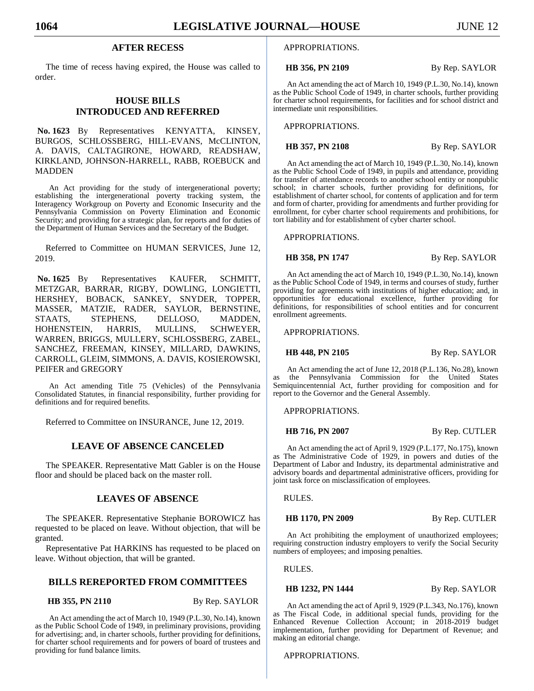## **AFTER RECESS**

The time of recess having expired, the House was called to order.

## **HOUSE BILLS INTRODUCED AND REFERRED**

**No. 1623** By Representatives KENYATTA, KINSEY, BURGOS, SCHLOSSBERG, HILL-EVANS, McCLINTON, A. DAVIS, CALTAGIRONE, HOWARD, READSHAW, KIRKLAND, JOHNSON-HARRELL, RABB, ROEBUCK and MADDEN

An Act providing for the study of intergenerational poverty; establishing the intergenerational poverty tracking system, the Interagency Workgroup on Poverty and Economic Insecurity and the Pennsylvania Commission on Poverty Elimination and Economic Security; and providing for a strategic plan, for reports and for duties of the Department of Human Services and the Secretary of the Budget.

Referred to Committee on HUMAN SERVICES, June 12, 2019.

**No. 1625** By Representatives KAUFER, SCHMITT, METZGAR, BARRAR, RIGBY, DOWLING, LONGIETTI, HERSHEY, BOBACK, SANKEY, SNYDER, TOPPER, MASSER, MATZIE, RADER, SAYLOR, BERNSTINE, STAATS, STEPHENS, DELLOSO, MADDEN, HOHENSTEIN, HARRIS, MULLINS, SCHWEYER, WARREN, BRIGGS, MULLERY, SCHLOSSBERG, ZABEL, SANCHEZ, FREEMAN, KINSEY, MILLARD, DAWKINS, CARROLL, GLEIM, SIMMONS, A. DAVIS, KOSIEROWSKI, PEIFER and GREGORY

An Act amending Title 75 (Vehicles) of the Pennsylvania Consolidated Statutes, in financial responsibility, further providing for definitions and for required benefits.

Referred to Committee on INSURANCE, June 12, 2019.

## **LEAVE OF ABSENCE CANCELED**

The SPEAKER. Representative Matt Gabler is on the House floor and should be placed back on the master roll.

## **LEAVES OF ABSENCE**

The SPEAKER. Representative Stephanie BOROWICZ has requested to be placed on leave. Without objection, that will be granted.

Representative Pat HARKINS has requested to be placed on leave. Without objection, that will be granted.

## **BILLS REREPORTED FROM COMMITTEES**

**HB 355, PN 2110** By Rep. SAYLOR

An Act amending the act of March 10, 1949 (P.L.30, No.14), known as the Public School Code of 1949, in preliminary provisions, providing for advertising; and, in charter schools, further providing for definitions, for charter school requirements and for powers of board of trustees and providing for fund balance limits.

#### APPROPRIATIONS.

**HB 356, PN 2109** By Rep. SAYLOR

An Act amending the act of March 10, 1949 (P.L.30, No.14), known as the Public School Code of 1949, in charter schools, further providing for charter school requirements, for facilities and for school district and intermediate unit responsibilities.

APPROPRIATIONS.

**HB 357, PN 2108** By Rep. SAYLOR

An Act amending the act of March 10, 1949 (P.L.30, No.14), known as the Public School Code of 1949, in pupils and attendance, providing for transfer of attendance records to another school entity or nonpublic school; in charter schools, further providing for definitions, for establishment of charter school, for contents of application and for term and form of charter, providing for amendments and further providing for enrollment, for cyber charter school requirements and prohibitions, for tort liability and for establishment of cyber charter school.

APPROPRIATIONS.

**HB 358, PN 1747** By Rep. SAYLOR

An Act amending the act of March 10, 1949 (P.L.30, No.14), known as the Public School Code of 1949, in terms and courses of study, further providing for agreements with institutions of higher education; and, in opportunities for educational excellence, further providing for definitions, for responsibilities of school entities and for concurrent enrollment agreements.

APPROPRIATIONS.

**HB 448, PN 2105** By Rep. SAYLOR

An Act amending the act of June 12, 2018 (P.L.136, No.28), known as the Pennsylvania Commission for the United States Semiquincentennial Act, further providing for composition and for report to the Governor and the General Assembly.

APPROPRIATIONS.

**HB 716, PN 2007** By Rep. CUTLER

An Act amending the act of April 9, 1929 (P.L.177, No.175), known as The Administrative Code of 1929, in powers and duties of the Department of Labor and Industry, its departmental administrative and advisory boards and departmental administrative officers, providing for joint task force on misclassification of employees.

RULES.

**HB 1170, PN 2009** By Rep. CUTLER

An Act prohibiting the employment of unauthorized employees; requiring construction industry employers to verify the Social Security numbers of employees; and imposing penalties.

RULES.

#### **HB 1232, PN 1444** By Rep. SAYLOR

An Act amending the act of April 9, 1929 (P.L.343, No.176), known as The Fiscal Code, in additional special funds, providing for the Enhanced Revenue Collection Account; in 2018-2019 budget implementation, further providing for Department of Revenue; and making an editorial change.

APPROPRIATIONS.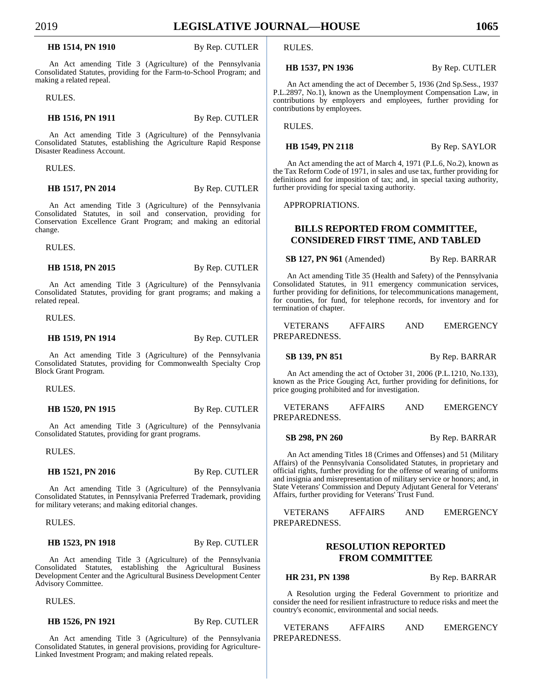#### **HB 1514, PN 1910** By Rep. CUTLER

An Act amending Title 3 (Agriculture) of the Pennsylvania Consolidated Statutes, providing for the Farm-to-School Program; and making a related repeal.

RULES.

#### **HB 1516, PN 1911** By Rep. CUTLER

An Act amending Title 3 (Agriculture) of the Pennsylvania Consolidated Statutes, establishing the Agriculture Rapid Response Disaster Readiness Account.

RULES.

**HB 1517, PN 2014** By Rep. CUTLER

An Act amending Title 3 (Agriculture) of the Pennsylvania Consolidated Statutes, in soil and conservation, providing for Conservation Excellence Grant Program; and making an editorial change.

RULES.

#### **HB 1518, PN 2015** By Rep. CUTLER

An Act amending Title 3 (Agriculture) of the Pennsylvania Consolidated Statutes, providing for grant programs; and making a related repeal.

RULES.

## **HB 1519, PN 1914** By Rep. CUTLER

An Act amending Title 3 (Agriculture) of the Pennsylvania Consolidated Statutes, providing for Commonwealth Specialty Crop Block Grant Program.

RULES.

**HB 1520, PN 1915** By Rep. CUTLER

An Act amending Title 3 (Agriculture) of the Pennsylvania Consolidated Statutes, providing for grant programs.

RULES.

**HB 1521, PN 2016** By Rep. CUTLER

An Act amending Title 3 (Agriculture) of the Pennsylvania Consolidated Statutes, in Pennsylvania Preferred Trademark, providing for military veterans; and making editorial changes.

RULES.

#### **HB 1523, PN 1918** By Rep. CUTLER

An Act amending Title 3 (Agriculture) of the Pennsylvania Consolidated Statutes, establishing the Agricultural Business Development Center and the Agricultural Business Development Center Advisory Committee.

RULES.

**HB 1526, PN 1921** By Rep. CUTLER

An Act amending Title 3 (Agriculture) of the Pennsylvania Consolidated Statutes, in general provisions, providing for Agriculture-Linked Investment Program; and making related repeals.

RULES.

#### **HB 1537, PN 1936** By Rep. CUTLER

An Act amending the act of December 5, 1936 (2nd Sp.Sess., 1937 P.L.2897, No.1), known as the Unemployment Compensation Law, in contributions by employers and employees, further providing for contributions by employees.

RULES.

#### **HB 1549, PN 2118** By Rep. SAYLOR

An Act amending the act of March 4, 1971 (P.L.6, No.2), known as the Tax Reform Code of 1971, in sales and use tax, further providing for definitions and for imposition of tax; and, in special taxing authority, further providing for special taxing authority.

APPROPRIATIONS.

## **BILLS REPORTED FROM COMMITTEE, CONSIDERED FIRST TIME, AND TABLED**

**SB 127, PN 961** (Amended) By Rep. BARRAR

An Act amending Title 35 (Health and Safety) of the Pennsylvania Consolidated Statutes, in 911 emergency communication services, further providing for definitions, for telecommunications management, for counties, for fund, for telephone records, for inventory and for termination of chapter.

VETERANS AFFAIRS AND EMERGENCY PREPAREDNESS.

**SB 139, PN 851** By Rep. BARRAR

An Act amending the act of October 31, 2006 (P.L.1210, No.133), known as the Price Gouging Act, further providing for definitions, for price gouging prohibited and for investigation.

VETERANS AFFAIRS AND EMERGENCY PREPAREDNESS.

**SB 298, PN 260** By Rep. BARRAR

An Act amending Titles 18 (Crimes and Offenses) and 51 (Military Affairs) of the Pennsylvania Consolidated Statutes, in proprietary and official rights, further providing for the offense of wearing of uniforms and insignia and misrepresentation of military service or honors; and, in State Veterans' Commission and Deputy Adjutant General for Veterans' Affairs, further providing for Veterans' Trust Fund.

## VETERANS AFFAIRS AND EMERGENCY PREPAREDNESS.

## **RESOLUTION REPORTED FROM COMMITTEE**

**HR 231, PN 1398** By Rep. BARRAR

A Resolution urging the Federal Government to prioritize and consider the need for resilient infrastructure to reduce risks and meet the country's economic, environmental and social needs.

VETERANS AFFAIRS AND EMERGENCY PREPAREDNESS.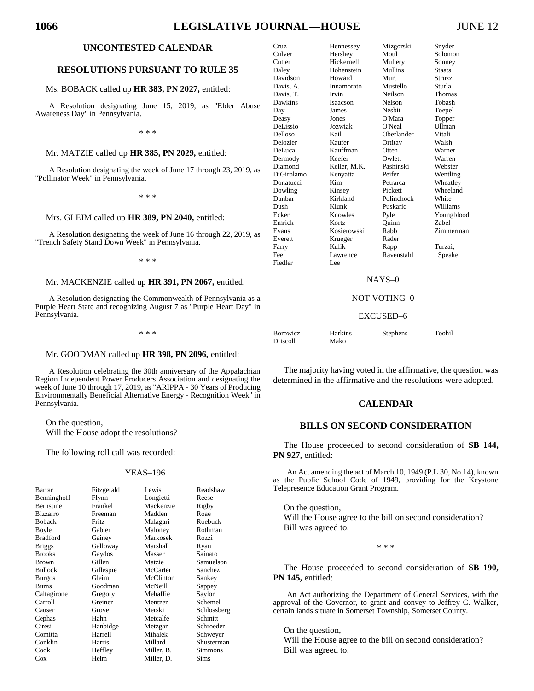# **1066 LEGISLATIVE JOURNAL—HOUSE** JUNE 12

### **UNCONTESTED CALENDAR**

#### **RESOLUTIONS PURSUANT TO RULE 35**

#### Ms. BOBACK called up **HR 383, PN 2027,** entitled:

A Resolution designating June 15, 2019, as "Elder Abuse Awareness Day" in Pennsylvania.

\* \* \*

#### Mr. MATZIE called up **HR 385, PN 2029,** entitled:

A Resolution designating the week of June 17 through 23, 2019, as "Pollinator Week" in Pennsylvania.

\* \* \*

## Mrs. GLEIM called up **HR 389, PN 2040,** entitled:

A Resolution designating the week of June 16 through 22, 2019, as "Trench Safety Stand Down Week" in Pennsylvania.

\* \* \*

#### Mr. MACKENZIE called up **HR 391, PN 2067,** entitled:

A Resolution designating the Commonwealth of Pennsylvania as a Purple Heart State and recognizing August 7 as "Purple Heart Day" in Pennsylvania.

\* \* \*

#### Mr. GOODMAN called up **HR 398, PN 2096,** entitled:

A Resolution celebrating the 30th anniversary of the Appalachian Region Independent Power Producers Association and designating the week of June 10 through 17, 2019, as "ARIPPA - 30 Years of Producing Environmentally Beneficial Alternative Energy - Recognition Week" in Pennsylvania.

On the question, Will the House adopt the resolutions?

The following roll call was recorded:

#### YEAS–196

| Barrar          | Fitzgerald | Lewis      | Readshaw    |
|-----------------|------------|------------|-------------|
| Benninghoff     | Flynn      | Longietti  | Reese       |
| Bernstine       | Frankel    | Mackenzie  | Rigby       |
| Bizzarro        | Freeman    | Madden     | Roae        |
| <b>Boback</b>   | Fritz      | Malagari   | Roebuck     |
| Boyle           | Gabler     | Maloney    | Rothman     |
| <b>Bradford</b> | Gainey     | Markosek   | Rozzi       |
| <b>Briggs</b>   | Galloway   | Marshall   | Ryan        |
| <b>Brooks</b>   | Gaydos     | Masser     | Sainato     |
| Brown           | Gillen     | Matzie     | Samuelson   |
| <b>Bullock</b>  | Gillespie  | McCarter   | Sanchez     |
| Burgos          | Gleim      | McClinton  | Sankey      |
| Burns           | Goodman    | McNeill    | Sappey      |
| Caltagirone     | Gregory    | Mehaffie   | Saylor      |
| Carroll         | Greiner    | Mentzer    | Schemel     |
| Causer          | Grove      | Merski     | Schlossberg |
| Cephas          | Hahn       | Metcalfe   | Schmitt     |
| Ciresi          | Hanbidge   | Metzgar    | Schroeder   |
| Comitta         | Harrell    | Mihalek    | Schweyer    |
| Conklin         | Harris     | Millard    | Shusterman  |
| Cook            | Heffley    | Miller, B. | Simmons     |
| $\cos$          | Helm       | Miller, D. | Sims        |

| Cruz              | Hennessey       | Mizgorski      | Snyder        |
|-------------------|-----------------|----------------|---------------|
| Culver            | Hershey         | Moul           | Solomon       |
| Cutler            | Hickernell      | Mullery        | Sonney        |
| Daley             | Hohenstein      | <b>Mullins</b> | <b>Staats</b> |
| Davidson          | Howard          | Murt           | Struzzi       |
| Davis, A.         | Innamorato      | Mustello       | Sturla        |
| Davis, T.         | Irvin           | Neilson        | Thomas        |
| Dawkins           | <b>Isaacson</b> | <b>Nelson</b>  | Tobash        |
| Day               | James           | <b>Nesbit</b>  | Toepel        |
| Deasy             | Jones           | O'Mara         | Topper        |
| DeLissio          | Jozwiak         | O'Neal         | <b>Ullman</b> |
| Delloso           | Kail            | Oberlander     | Vitali        |
| Delozier          | Kaufer          | Ortitay        | Walsh         |
| DeLuca            | Kauffman        | Otten          | Warner        |
| Dermody           | Keefer          | Owlett         | Warren        |
| Diamond           | Keller, M.K.    | Pashinski      | Webster       |
| <b>DiGirolamo</b> | Kenyatta        | Peifer         | Wentling      |
| Donatucci         | Kim             | Petrarca       | Wheatley      |
| Dowling           | Kinsey          | Pickett        | Wheeland      |
| Dunbar            | Kirkland        | Polinchock     | White         |
| Dush              | Klunk           | Puskaric       | Williams      |
| Ecker             | Knowles         | Pyle           | Youngblood    |
| Emrick            | Kortz           | Ouinn          | Zabel         |
| Evans             | Kosierowski     | Rabb           | Zimmerman     |
| Everett           | Krueger         | Rader          |               |
| Farry             | Kulik           | Rapp           | Turzai.       |
| Fee               | Lawrence        | Ravenstahl     | Speaker       |
| Fiedler           | Lee             |                |               |

#### NAYS–0

#### NOT VOTING–0

#### EXCUSED–6

| <b>Borowicz</b> | Harkins | <b>Stephens</b> | Toohil |
|-----------------|---------|-----------------|--------|
| <b>Driscoll</b> | Mako    |                 |        |

The majority having voted in the affirmative, the question was determined in the affirmative and the resolutions were adopted.

## **CALENDAR**

## **BILLS ON SECOND CONSIDERATION**

The House proceeded to second consideration of **SB 144, PN 927,** entitled:

An Act amending the act of March 10, 1949 (P.L.30, No.14), known as the Public School Code of 1949, providing for the Keystone Telepresence Education Grant Program.

On the question, Will the House agree to the bill on second consideration? Bill was agreed to.

\* \* \*

The House proceeded to second consideration of **SB 190, PN 145,** entitled:

An Act authorizing the Department of General Services, with the approval of the Governor, to grant and convey to Jeffrey C. Walker, certain lands situate in Somerset Township, Somerset County.

On the question, Will the House agree to the bill on second consideration? Bill was agreed to.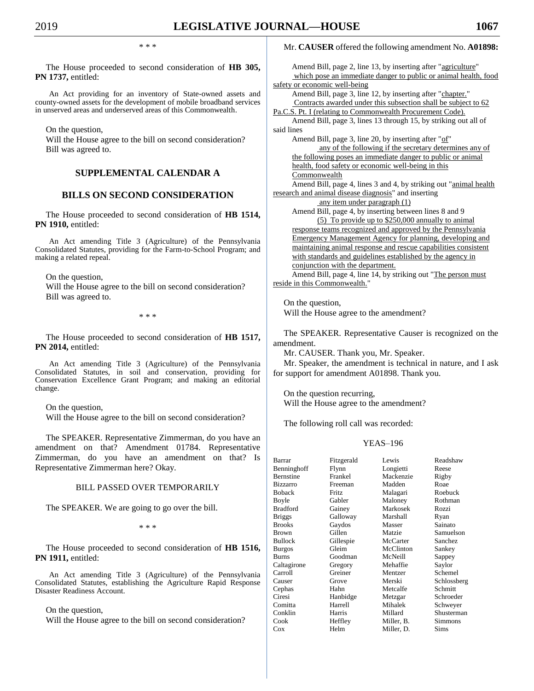\* \* \*

The House proceeded to second consideration of **HB 305, PN 1737,** entitled:

An Act providing for an inventory of State-owned assets and county-owned assets for the development of mobile broadband services in unserved areas and underserved areas of this Commonwealth.

On the question,

Will the House agree to the bill on second consideration? Bill was agreed to.

# **SUPPLEMENTAL CALENDAR A**

## **BILLS ON SECOND CONSIDERATION**

The House proceeded to second consideration of **HB 1514, PN 1910,** entitled:

An Act amending Title 3 (Agriculture) of the Pennsylvania Consolidated Statutes, providing for the Farm-to-School Program; and making a related repeal.

On the question,

Will the House agree to the bill on second consideration? Bill was agreed to.

\* \* \*

The House proceeded to second consideration of **HB 1517, PN 2014,** entitled:

An Act amending Title 3 (Agriculture) of the Pennsylvania Consolidated Statutes, in soil and conservation, providing for Conservation Excellence Grant Program; and making an editorial change.

On the question,

Will the House agree to the bill on second consideration?

The SPEAKER. Representative Zimmerman, do you have an amendment on that? Amendment 01784. Representative Zimmerman, do you have an amendment on that? Is Representative Zimmerman here? Okay.

## BILL PASSED OVER TEMPORARILY

The SPEAKER. We are going to go over the bill.

\* \* \*

The House proceeded to second consideration of **HB 1516, PN 1911,** entitled:

An Act amending Title 3 (Agriculture) of the Pennsylvania Consolidated Statutes, establishing the Agriculture Rapid Response Disaster Readiness Account.

On the question,

Will the House agree to the bill on second consideration?

## Mr. **CAUSER** offered the following amendment No. **A01898:**

Amend Bill, page 2, line 13, by inserting after "agriculture" which pose an immediate danger to public or animal health, food safety or economic well-being Amend Bill, page 3, line 12, by inserting after "chapter." Contracts awarded under this subsection shall be subject to 62 Pa.C.S. Pt. I (relating to Commonwealth Procurement Code). Amend Bill, page 3, lines 13 through 15, by striking out all of said lines Amend Bill, page 3, line 20, by inserting after "of" any of the following if the secretary determines any of the following poses an immediate danger to public or animal health, food safety or economic well-being in this **Commonwealth** Amend Bill, page 4, lines 3 and 4, by striking out "animal health research and animal disease diagnosis" and inserting any item under paragraph (1) Amend Bill, page 4, by inserting between lines 8 and 9 (5) To provide up to \$250,000 annually to animal response teams recognized and approved by the Pennsylvania Emergency Management Agency for planning, developing and maintaining animal response and rescue capabilities consistent with standards and guidelines established by the agency in conjunction with the department. Amend Bill, page 4, line 14, by striking out "The person must reside in this Commonwealth."

On the question, Will the House agree to the amendment?

The SPEAKER. Representative Causer is recognized on the amendment.

Mr. CAUSER. Thank you, Mr. Speaker.

Mr. Speaker, the amendment is technical in nature, and I ask for support for amendment A01898. Thank you.

On the question recurring, Will the House agree to the amendment?

The following roll call was recorded:

| Barrar          | Fitzgerald | Lewis      | Readshaw    |
|-----------------|------------|------------|-------------|
| Benninghoff     | Flynn      | Longietti  | Reese       |
| Bernstine       | Frankel    | Mackenzie  | Rigby       |
| <b>Bizzarro</b> | Freeman    | Madden     | Roae        |
| Boback          | Fritz      | Malagari   | Roebuck     |
| Boyle           | Gabler     | Maloney    | Rothman     |
| Bradford        | Gainey     | Markosek   | Rozzi       |
| <b>Briggs</b>   | Galloway   | Marshall   | Ryan        |
| <b>Brooks</b>   | Gaydos     | Masser     | Sainato     |
| Brown           | Gillen     | Matzie     | Samuelson   |
| Bullock         | Gillespie  | McCarter   | Sanchez     |
| <b>Burgos</b>   | Gleim      | McClinton  | Sankey      |
| Burns           | Goodman    | McNeill    | Sappey      |
| Caltagirone     | Gregory    | Mehaffie   | Saylor      |
| Carroll         | Greiner    | Mentzer    | Schemel     |
| Causer          | Grove      | Merski     | Schlossberg |
| Cephas          | Hahn       | Metcalfe   | Schmitt     |
| Ciresi          | Hanbidge   | Metzgar    | Schroeder   |
| Comitta         | Harrell    | Mihalek    | Schweyer    |
| Conklin         | Harris     | Millard    | Shusterman  |
| Cook            | Heffley    | Miller, B. | Simmons     |
| Cox             | Helm       | Miller, D. | Sims        |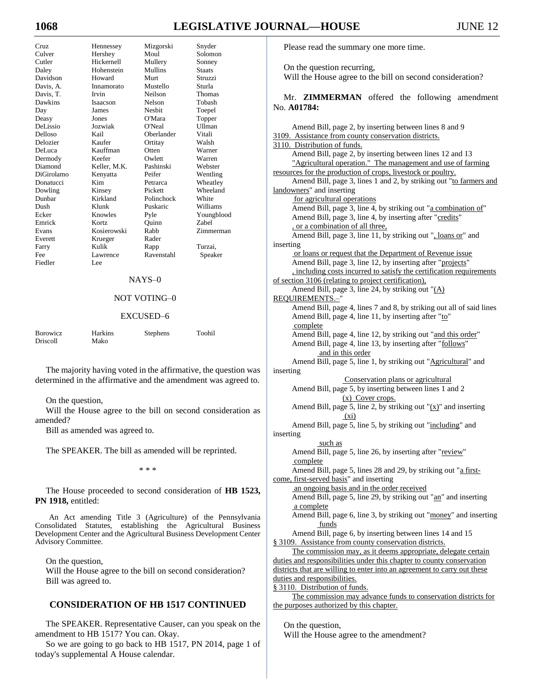# **10688 LEGISLATIVE JOURNAL—HOUSE** JUNE 12

| C <sub>r</sub> | Hennessey       | Mizgorski     | Snyder        |
|----------------|-----------------|---------------|---------------|
| Culver         | Hershey         | Moul          | Solomon       |
| Cutler         | Hickernell      | Mullery       | Sonney        |
| Daley          | Hohenstein      | Mullins       | <b>Staats</b> |
| Davidson       | Howard          | Murt          | Struzzi       |
| Davis, A.      | Innamorato      | Mustello      | Sturla        |
| Davis, T.      | Irvin           | Neilson       | Thomas        |
| Dawkins        | <b>Isaacson</b> | Nelson        | Tobash        |
| Day            | James           | <b>Neshit</b> | Toepel        |
| Deasy          | Jones           | O'Mara        | Topper        |
| DeLissio       | Jozwiak         | O'Neal        | Ullman        |
| Delloso        | Kail            | Oberlander    | Vitali        |
| Delozier       | Kaufer          | Ortitay       | Walsh         |
| DeLuca         | Kauffman        | Otten         | Warner        |
| Dermody        | Keefer          | Owlett        | Warren        |
| Diamond        | Keller, M.K.    | Pashinski     | Webster       |
| DiGirolamo     | Kenyatta        | Peifer        | Wentling      |
| Donatucci      | Kim             | Petrarca      | Wheatley      |
| Dowling        | Kinsey          | Pickett       | Wheeland      |
| Dunbar         | Kirkland        | Polinchock    | White         |
| Dush           | Klunk           | Puskaric      | Williams      |
| Ecker          | Knowles         | Pyle          | Youngblood    |
| Emrick         | Kortz           | Quinn         | <b>Zabel</b>  |
| Evans          | Kosierowski     | Rabb          | Zimmerman     |
| Everett        | Krueger         | Rader         |               |
| Farry          | Kulik           | Rapp          | Turzai,       |
| Fee            | Lawrence        | Ravenstahl    | Speaker       |
| Fiedler        | Lee             |               |               |
|                |                 |               |               |

## NAYS–0

## NOT VOTING–0

#### EXCUSED–6

| <b>Borowicz</b> | <b>Harkins</b> | Stephens | Toohil |
|-----------------|----------------|----------|--------|
| <b>Driscoll</b> | Mako           |          |        |

The majority having voted in the affirmative, the question was determined in the affirmative and the amendment was agreed to.

#### On the question,

Will the House agree to the bill on second consideration as amended?

Bill as amended was agreed to.

The SPEAKER. The bill as amended will be reprinted.

\* \* \*

The House proceeded to second consideration of **HB 1523, PN 1918,** entitled:

An Act amending Title 3 (Agriculture) of the Pennsylvania Consolidated Statutes, establishing the Agricultural Business Development Center and the Agricultural Business Development Center Advisory Committee.

On the question,

Will the House agree to the bill on second consideration? Bill was agreed to.

## **CONSIDERATION OF HB 1517 CONTINUED**

The SPEAKER. Representative Causer, can you speak on the amendment to HB 1517? You can. Okay.

So we are going to go back to HB 1517, PN 2014, page 1 of today's supplemental A House calendar.

Please read the summary one more time.

On the question recurring,

Will the House agree to the bill on second consideration?

Mr. **ZIMMERMAN** offered the following amendment No. **A01784:**

Amend Bill, page 2, by inserting between lines 8 and 9 3109. Assistance from county conservation districts. 3110. Distribution of funds. Amend Bill, page 2, by inserting between lines 12 and 13 "Agricultural operation." The management and use of farming resources for the production of crops, livestock or poultry. Amend Bill, page 3, lines 1 and 2, by striking out "to farmers and landowners" and inserting for agricultural operations Amend Bill, page 3, line 4, by striking out "a combination of" Amend Bill, page 3, line 4, by inserting after "credits" , or a combination of all three, Amend Bill, page 3, line 11, by striking out ", loans or" and inserting or loans or request that the Department of Revenue issue Amend Bill, page 3, line 12, by inserting after "projects" , including costs incurred to satisfy the certification requirements of section 3106 (relating to project certification), Amend Bill, page 3, line 24, by striking out "(A) REQUIREMENTS.-Amend Bill, page 4, lines 7 and 8, by striking out all of said lines Amend Bill, page 4, line 11, by inserting after "to" complete Amend Bill, page 4, line 12, by striking out "and this order" Amend Bill, page 4, line 13, by inserting after "follows" and in this order Amend Bill, page 5, line 1, by striking out "Agricultural" and inserting Conservation plans or agricultural Amend Bill, page 5, by inserting between lines 1 and 2 (x) Cover crops. Amend Bill, page 5, line 2, by striking out " $(x)$ " and inserting (xi) Amend Bill, page 5, line 5, by striking out "including" and inserting such as Amend Bill, page 5, line 26, by inserting after "review" complete Amend Bill, page 5, lines 28 and 29, by striking out "a firstcome, first-served basis" and inserting an ongoing basis and in the order received Amend Bill, page 5, line 29, by striking out "an" and inserting a complete Amend Bill, page 6, line 3, by striking out "money" and inserting funds Amend Bill, page 6, by inserting between lines 14 and 15 § 3109. Assistance from county conservation districts. The commission may, as it deems appropriate, delegate certain duties and responsibilities under this chapter to county conservation districts that are willing to enter into an agreement to carry out these duties and responsibilities. § 3110. Distribution of funds. The commission may advance funds to conservation districts for the purposes authorized by this chapter.

On the question,

Will the House agree to the amendment?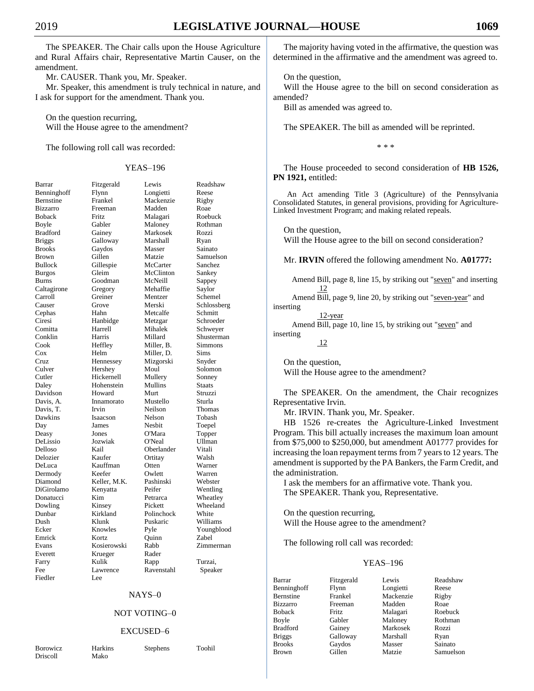The SPEAKER. The Chair calls upon the House Agriculture and Rural Affairs chair, Representative Martin Causer, on the amendment.

Mr. CAUSER. Thank you, Mr. Speaker.

Mr. Speaker, this amendment is truly technical in nature, and I ask for support for the amendment. Thank you.

On the question recurring, Will the House agree to the amendment?

The following roll call was recorded:

| Barrar              |
|---------------------|
| Benninghoff         |
| Bernstine           |
| Bizzarro            |
| <b>Boback</b>       |
| Boyle               |
| <b>Bradford</b>     |
| <b>Briggs</b>       |
| <b>Brooks</b>       |
| Brown               |
| <b>Bullock</b>      |
| <b>Burgos</b>       |
| Burns               |
| Caltagirone         |
| Carroll             |
| Causer              |
| Cephas              |
| Ciresi              |
| Comitta             |
| Conklin             |
| Cook                |
| Cox                 |
| Cruz                |
| Culver              |
| Cutler              |
| Daley               |
| Davidson            |
| Davis, A.           |
| Davis, T.           |
| Dawkins             |
| Day                 |
| Deasy               |
|                     |
| DeLissio<br>Delloso |
| Delozier            |
| DeLuca              |
|                     |
| Dermody<br>Diamond  |
| DiGirolamo          |
| Donatucci           |
| Dowling             |
| Dunbar              |
| Dush                |
| Ecker               |
| Emrick              |
| Evans               |
| Everett             |
| Farry               |
| Fee                 |
| Fiedler             |
|                     |

|                  |              | <b>YEAS-196</b> |             |
|------------------|--------------|-----------------|-------------|
| Barrar           | Fitzgerald   | Lewis           | Readshaw    |
| Benninghoff      | Flynn        | Longietti       | Reese       |
| Bernstine        | Frankel      | Mackenzie       | Rigby       |
| <b>Bizzarro</b>  | Freeman      | Madden          | Roae        |
| Boback           | Fritz        | Malagari        | Roebuck     |
| Boyle            | Gabler       | Maloney         | Rothman     |
| Bradford         | Gainey       | Markosek        | Rozzi       |
| Briggs           | Galloway     | Marshall        | Ryan        |
| <b>Brooks</b>    | Gaydos       | Masser          | Sainato     |
| Brown            | Gillen       | Matzie          | Samuelson   |
| Bullock          | Gillespie    | McCarter        | Sanchez     |
| Burgos           | Gleim        | McClinton       | Sankey      |
| Burns            | Goodman      | McNeill         | Sappey      |
| Caltagirone      | Gregory      | Mehaffie        | Saylor      |
| Carroll          | Greiner      | Mentzer         | Schemel     |
| Causer           | Grove        | Merski          | Schlossberg |
| Cephas           | Hahn         | Metcalfe        | Schmitt     |
| Ciresi           | Hanbidge     | Metzgar         | Schroeder   |
| Comitta          | Harrell      | Mihalek         | Schweyer    |
| Conklin          | Harris       | Millard         | Shusterman  |
| Cook             | Heffley      | Miller, B.      | Simmons     |
| Cox              | Helm         | Miller, D.      | Sims        |
| Cruz             | Hennessey    | Mizgorski       | Snyder      |
| Culver           | Hershey      | Moul            | Solomon     |
| Cutler           | Hickernell   | Mullery         | Sonney      |
| Daley            | Hohenstein   | Mullins         | Staats      |
| Davidson         | Howard       | Murt            | Struzzi     |
| Davis, A.        | Innamorato   | Mustello        | Sturla      |
| Davis, T.        | Irvin        | Neilson         | Thomas      |
| Dawkins          | Isaacson     | Nelson          | Tobash      |
| Day              | James        | Nesbit          | Toepel      |
| Deasy            | Jones        | O'Mara          | Topper      |
| DeLissio         | Jozwiak      | O'Neal          | Ullman      |
| Delloso          | Kail         | Oberlander      | Vitali      |
| Delozier         | Kaufer       | Ortitay         | Walsh       |
| DeLuca           | Kauffman     | Otten           | Warner      |
| Dermody          | Keefer       | Owlett          | Warren      |
| Diamond          | Keller, M.K. | Pashinski       | Webster     |
| DiGirolamo       | Kenyatta     | Peifer          | Wentling    |
| Donatucci        | Kim          | Petrarca        | Wheatley    |
| Dowling          | Kinsey       | Pickett         | Wheeland    |
| Dunbar           | Kirkland     | Polinchock      | White       |
| Dush             | Klunk        | Puskaric        | Williams    |
| Ecker            | Knowles      | Pyle            | Youngblood  |
| Emrick           | Kortz        | Quinn           | Zabel       |
| Evans            | Kosierowski  | Rabb            | Zimmerman   |
| Everett          | Krueger      | Rader           |             |
| Farry            | Kulik        | Rapp            | Turzai,     |
| Fee              | Lawrence     | Ravenstahl      | Speaker     |
| $_{\rm Fiodlar}$ | ۵۵.          |                 |             |

## NAYS–0

## NOT VOTING–0

#### EXCUSED–6

Driscoll

Borowicz Harkins Stephens Toohil

Lee

The majority having voted in the affirmative, the question was determined in the affirmative and the amendment was agreed to.

On the question,

Will the House agree to the bill on second consideration as amended?

Bill as amended was agreed to.

The SPEAKER. The bill as amended will be reprinted.

\* \* \*

The House proceeded to second consideration of **HB 1526, PN 1921,** entitled:

An Act amending Title 3 (Agriculture) of the Pennsylvania Consolidated Statutes, in general provisions, providing for Agriculture-Linked Investment Program; and making related repeals.

On the question,

Will the House agree to the bill on second consideration?

Mr. **IRVIN** offered the following amendment No. **A01777:**

Amend Bill, page 8, line 15, by striking out "seven" and inserting 12

Amend Bill, page 9, line 20, by striking out "seven-year" and inserting 12-year

Amend Bill, page 10, line 15, by striking out "seven" and inserting

12

On the question, Will the House agree to the amendment?

The SPEAKER. On the amendment, the Chair recognizes Representative Irvin.

Mr. IRVIN. Thank you, Mr. Speaker.

HB 1526 re-creates the Agriculture-Linked Investment Program. This bill actually increases the maximum loan amount from \$75,000 to \$250,000, but amendment A01777 provides for increasing the loan repayment terms from 7 years to 12 years. The amendment is supported by the PA Bankers, the Farm Credit, and the administration.

I ask the members for an affirmative vote. Thank you. The SPEAKER. Thank you, Representative.

On the question recurring, Will the House agree to the amendment?

The following roll call was recorded:

| Barrar          | Fitzgerald | Lewis     | Readshaw  |
|-----------------|------------|-----------|-----------|
| Benninghoff     | Flynn      | Longietti | Reese     |
| Bernstine       | Frankel    | Mackenzie | Rigby     |
| <b>Bizzarro</b> | Freeman    | Madden    | Roae      |
| <b>Boback</b>   | Fritz.     | Malagari  | Roebuck   |
| Boyle           | Gabler     | Maloney   | Rothman   |
| <b>Bradford</b> | Gainey     | Markosek  | Rozzi     |
| <b>Briggs</b>   | Galloway   | Marshall  | Ryan      |
| <b>Brooks</b>   | Gaydos     | Masser    | Sainato   |
| <b>Brown</b>    | Gillen     | Matzie    | Samuelson |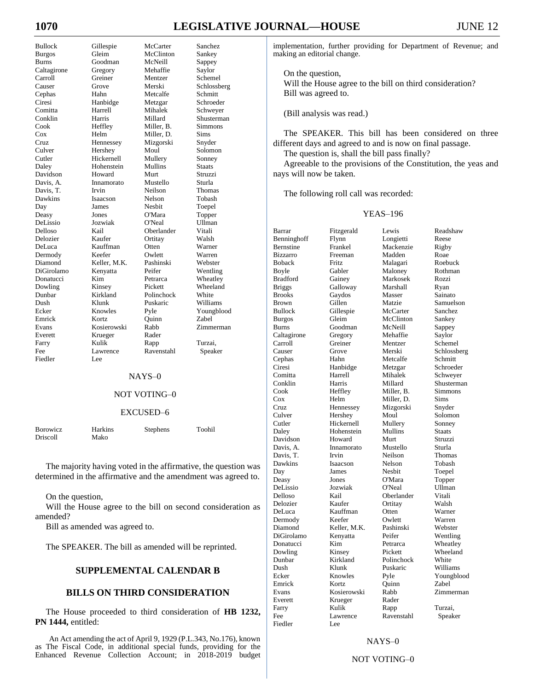# **1070 LEGISLATIVE JOURNAL—HOUSE** JUNE 12

Fiedler Lee

Bullock Gillespie McCarter Sanchez Burgos Gleim McClinton Sankey Burns Goodman McNeill Sappey Caltagirone Gregory Mehaffie Saylor Carroll Greiner Mentzer Schemel Causer Grove Merski Schlossberg Cephas Hahn Metcalfe Schmitt Ciresi Hanbidge Metzgar Schroeder Comitta Harrell Mihalek Schweyer Conklin Harris Millard Shusterman Cook Heffley Miller, B. Simmons Cox Helm Miller, D. Sims Hennessey Culver Hershey Moul Solomon<br>
Cutler Hickernell Mullery Sonney Cutler Hickernell Mullery Sonney Daley Hohenstein Mullins Staats Davidson Howard Murt Struzzi Davis, A. Innamorato Mustello Sturla Davis, T. Irvin Neilson Thomas Dawkins Isaacson Nelson Tobash Day James Nesbit Toepel<br>Deasy Jones O'Mara Topper Deasy Jones O'Mara Topper DeLissio Jozwiak O'Neal Ullman Delloso Kail Oberlander Vitali Delozier Kaufer Ortitay Walsh DeLuca Kauffman Otten Warner Dermody Keefer Owlett Warren Keller, M.K. DiGirolamo Kenyatta Peifer Wentling Donatucci Kim Petrarca Wheatley Dowling Kinsey Pickett Wheeland<br>
Dunbar Kirkland Polinchock White Dunbar Kirkland Polinchock White Dush Klunk Puskaric Williams Ecker Knowles Pyle Youngblood Emrick Kortz Quinn Zabel Evans Kosierowski Rabb Zimmerman Everett Krueger Rader Farry Kulik Rapp Turzai, Fee Lawrence Ravenstahl Speaker

#### NAYS–0

### NOT VOTING–0

#### EXCUSED–6

| <b>Borowicz</b> | Harkins | Stephens | Toohil |
|-----------------|---------|----------|--------|
| Driscoll        | Mako    |          |        |

The majority having voted in the affirmative, the question was determined in the affirmative and the amendment was agreed to.

On the question,

Will the House agree to the bill on second consideration as amended?

Bill as amended was agreed to.

The SPEAKER. The bill as amended will be reprinted.

#### **SUPPLEMENTAL CALENDAR B**

## **BILLS ON THIRD CONSIDERATION**

The House proceeded to third consideration of **HB 1232, PN 1444,** entitled:

An Act amending the act of April 9, 1929 (P.L.343, No.176), known as The Fiscal Code, in additional special funds, providing for the Enhanced Revenue Collection Account; in 2018-2019 budget implementation, further providing for Department of Revenue; and making an editorial change.

On the question,

Will the House agree to the bill on third consideration? Bill was agreed to.

(Bill analysis was read.)

The SPEAKER. This bill has been considered on three different days and agreed to and is now on final passage.

The question is, shall the bill pass finally?

Agreeable to the provisions of the Constitution, the yeas and nays will now be taken.

The following roll call was recorded:

#### YEAS–196

| Barrar           | Fitzgerald   | Lewis      | Readshaw       |
|------------------|--------------|------------|----------------|
| Benninghoff      | Flynn        | Longietti  | Reese          |
| <b>Bernstine</b> | Frankel      | Mackenzie  | Rigby          |
| <b>Bizzarro</b>  | Freeman      | Madden     | Roae           |
| <b>Boback</b>    | Fritz.       | Malagari   | Roebuck        |
| Boyle            | Gabler       | Maloney    | Rothman        |
| Bradford         | Gainey       | Markosek   | Rozzi          |
| <b>Briggs</b>    | Galloway     | Marshall   | Ryan           |
| <b>Brooks</b>    | Gaydos       | Masser     | Sainato        |
| <b>Brown</b>     | Gillen       | Matzie     | Samuelson      |
| <b>Bullock</b>   | Gillespie    | McCarter   | Sanchez        |
| <b>Burgos</b>    | Gleim        | McClinton  | Sankey         |
| <b>Burns</b>     | Goodman      | McNeill    | Sappey         |
| Caltagirone      | Gregory      | Mehaffie   | Saylor         |
| Carroll          | Greiner      | Mentzer    | Schemel        |
| Causer           | Grove        | Merski     | Schlossberg    |
| Cephas           | Hahn         | Metcalfe   | Schmitt        |
| Ciresi           | Hanbidge     | Metzgar    | Schroeder      |
| Comitta          | Harrell      | Mihalek    | Schweyer       |
| Conklin          | Harris       | Millard    | Shusterman     |
| Cook             | Heffley      | Miller, B. | <b>Simmons</b> |
| Cox              | Helm         | Miller, D. | Sims           |
| Cruz             | Hennessey    | Mizgorski  | Snyder         |
| Culver           | Hershey      | Moul       | Solomon        |
| Cutler           | Hickernell   | Mullery    | Sonney         |
| Daley            | Hohenstein   | Mullins    | <b>Staats</b>  |
| Davidson         | Howard       | Murt       | Struzzi        |
| Davis, A.        | Innamorato   | Mustello   | Sturla         |
| Davis, T.        | Irvin        | Neilson    | Thomas         |
| Dawkins          | Isaacson     | Nelson     | Tobash         |
| Day              | James        | Nesbit     | Toepel         |
| Deasy            | Jones        | O'Mara     | Topper         |
| DeLissio         | Jozwiak      | O'Neal     | Ullman         |
| Delloso          | Kail         | Oberlander | Vitali         |
| Delozier         | Kaufer       | Ortitay    | Walsh          |
| DeLuca           | Kauffman     | Otten      | Warner         |
| Dermody          | Keefer       | Owlett     | Warren         |
| Diamond          | Keller, M.K. | Pashinski  | Webster        |
| DiGirolamo       | Kenyatta     | Peifer     | Wentling       |
| Donatucci        | Kim          | Petrarca   | Wheatley       |
| Dowling          | Kinsey       | Pickett    | Wheeland       |
| Dunbar           | Kirkland     | Polinchock | White          |
| Dush             | Klunk        | Puskaric   | Williams       |
| Ecker            | Knowles      | Pyle       | Youngblood     |
| Emrick           | Kortz        | Quinn      | Zabel          |
| Evans            | Kosierowski  | Rabb       | Zimmerman      |
| Everett          | Krueger      | Rader      |                |
| Farry            | Kulik        | Rapp       | Turzai,        |
| Fee              | Lawrence     | Ravenstahl | Speaker        |
| Fiedler          | Lee          |            |                |
|                  |              |            |                |

#### NAYS–0

## NOT VOTING–0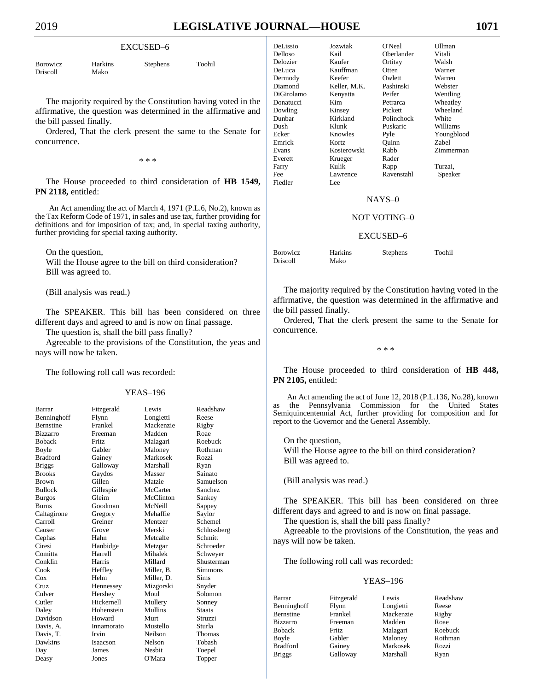#### EXCUSED–6

| Borowicz | <b>Harkins</b> | Stephens | Toohil |
|----------|----------------|----------|--------|
| Driscoll | Mako           |          |        |

The majority required by the Constitution having voted in the affirmative, the question was determined in the affirmative and the bill passed finally.

Ordered, That the clerk present the same to the Senate for concurrence.

\* \* \*

The House proceeded to third consideration of **HB 1549, PN 2118,** entitled:

An Act amending the act of March 4, 1971 (P.L.6, No.2), known as the Tax Reform Code of 1971, in sales and use tax, further providing for definitions and for imposition of tax; and, in special taxing authority, further providing for special taxing authority.

On the question,

Will the House agree to the bill on third consideration? Bill was agreed to.

(Bill analysis was read.)

The SPEAKER. This bill has been considered on three different days and agreed to and is now on final passage.

The question is, shall the bill pass finally?

Agreeable to the provisions of the Constitution, the yeas and nays will now be taken.

The following roll call was recorded:

#### YEAS–196

| Barrar           | Fitzgerald     | Lewis      | Readshaw      |
|------------------|----------------|------------|---------------|
| Benninghoff      | Flynn          | Longietti  | Reese         |
| <b>Bernstine</b> | Frankel        | Mackenzie  | Rigby         |
| <b>Bizzarro</b>  | Freeman        | Madden     | Roae          |
| <b>Boback</b>    | <b>Fritz</b>   | Malagari   | Roebuck       |
| Boyle            | Gabler         | Maloney    | Rothman       |
| <b>Bradford</b>  | Gainey         | Markosek   | Rozzi         |
| <b>Briggs</b>    | Galloway       | Marshall   | Ryan          |
| <b>Brooks</b>    | Gaydos         | Masser     | Sainato       |
| <b>Brown</b>     | Gillen         | Matzie     | Samuelson     |
| <b>Bullock</b>   | Gillespie      | McCarter   | Sanchez       |
| <b>Burgos</b>    | Gleim          | McClinton  | Sankey        |
| <b>Burns</b>     | Goodman        | McNeill    | Sappey        |
| Caltagirone      | Gregory        | Mehaffie   | Saylor        |
| Carroll          | Greiner        | Mentzer    | Schemel       |
| Causer           | Grove          | Merski     | Schlossberg   |
| Cephas           | Hahn           | Metcalfe   | Schmitt       |
| Ciresi           | Hanbidge       | Metzgar    | Schroeder     |
| Comitta          | <b>Harrell</b> | Mihalek    | Schweyer      |
| Conklin          | Harris         | Millard    | Shusterman    |
| Cook             | Heffley        | Miller. B. | Simmons       |
| Cox              | Helm           | Miller. D. | <b>Sims</b>   |
| Cruz             | Hennessey      | Mizgorski  | Snyder        |
| Culver           | Hershey        | Moul       | Solomon       |
| Cutler           | Hickernell     | Mullery    | Sonney        |
| Daley            | Hohenstein     | Mullins    | <b>Staats</b> |
| Davidson         | Howard         | Murt       | Struzzi       |
| Davis, A.        | Innamorato     | Mustello   | Sturla        |
| Davis, T.        | Irvin          | Neilson    | Thomas        |
| Dawkins          | Isaacson       | Nelson     | Tobash        |
| Day              | James          | Nesbit     | Toepel        |
| Deasy            | Jones          | O'Mara     | Topper        |

| DeLissio   | Jozwiak      | O'Neal     | Ullman     |
|------------|--------------|------------|------------|
| Delloso    | Kail         | Oberlander | Vitali     |
| Delozier   | Kaufer       | Ortitay    | Walsh      |
| DeLuca     | Kauffman     | Otten      | Warner     |
| Dermody    | Keefer       | Owlett     | Warren     |
| Diamond    | Keller, M.K. | Pashinski  | Webster    |
| DiGirolamo | Kenyatta     | Peifer     | Wentling   |
| Donatucci  | Kim          | Petrarca   | Wheatley   |
| Dowling    | Kinsey       | Pickett    | Wheeland   |
| Dunbar     | Kirkland     | Polinchock | White      |
| Dush       | Klunk        | Puskaric   | Williams   |
| Ecker      | Knowles      | Pyle       | Youngblood |
| Emrick     | Kortz        | Ouinn      | Zabel      |
| Evans      | Kosierowski  | Rabb       | Zimmerman  |
| Everett    | Krueger      | Rader      |            |
| Farry      | Kulik        | Rapp       | Turzai,    |
| Fee        | Lawrence     | Ravenstahl | Speaker    |
| Fiedler    | Lee          |            |            |

#### NAYS–0

#### NOT VOTING–0

#### EXCUSED–6

| <b>Borowicz</b> | Harkins | Stephens | Toohil |
|-----------------|---------|----------|--------|
| Driscoll        | Mako    |          |        |

The majority required by the Constitution having voted in the affirmative, the question was determined in the affirmative and the bill passed finally.

Ordered, That the clerk present the same to the Senate for concurrence.

\* \* \*

The House proceeded to third consideration of **HB 448, PN 2105,** entitled:

An Act amending the act of June 12, 2018 (P.L.136, No.28), known as the Pennsylvania Commission for the United States Semiquincentennial Act, further providing for composition and for report to the Governor and the General Assembly.

On the question, Will the House agree to the bill on third consideration? Bill was agreed to.

(Bill analysis was read.)

The SPEAKER. This bill has been considered on three different days and agreed to and is now on final passage.

The question is, shall the bill pass finally?

Agreeable to the provisions of the Constitution, the yeas and nays will now be taken.

The following roll call was recorded:

| Barrar           | Fitzgerald | Lewis     | Readshaw |
|------------------|------------|-----------|----------|
| Benninghoff      | Flynn      | Longietti | Reese    |
| <b>Bernstine</b> | Frankel    | Mackenzie | Rigby    |
| <b>Bizzarro</b>  | Freeman    | Madden    | Roae     |
| <b>Boback</b>    | Fritz.     | Malagari  | Roebuck  |
| Boyle            | Gabler     | Maloney   | Rothman  |
| <b>Bradford</b>  | Gainey     | Markosek  | Rozzi    |
| <b>Briggs</b>    | Galloway   | Marshall  | Ryan     |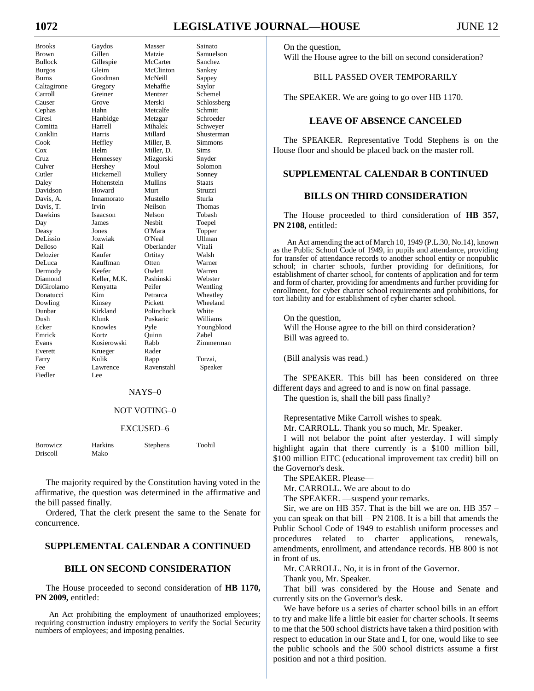# **1072 LEGISLATIVE JOURNAL—HOUSE** JUNE 12

Dawkins Isaacson Fiedler Lee

Brooks Gaydos Masser Sainato Brown Gillen Matzie Samuelson Bullock Gillespie McCarter Sanchez Burgos Gleim McClinton Sankey Burns Goodman McNeill Sappey<br>Caltagirone Gregory Mehaffie Saylor Caltagirone Gregory Mehaffie Saylor Carroll Greiner Mentzer Schemel Causer Grove Merski Schlossberg Hahn Metcalfe Schmitt Ciresi Hanbidge Metzgar Schroeder Comitta Harrell Mihalek Schweyer Conklin Harris Millard Shusterman Simmons Cox Helm Miller, D. Sims Cruz Hennessey Mizgorski Snyder Culver Hershey Moul Solomon Cutler Hickernell Mullery Sonney Daley Hohenstein Mullins Staats Davidson Howard Murt Struzzi Davis, A. Innamorato Mustello Sturla Davis, T. Irvin Neilson Thomas<br>
Dawkins Isaacson Nelson Tobash Day James Nesbit Toepel Deasy Jones O'Mara Topper DeLissio Jozwiak O'Neal Ullman Delloso Kail Oberlander Vitali Delozier Kaufer Ortitay Walsh Kauffman Dermody Keefer Owlett Warren Diamond Keller, M.K. Pashinski Webster DiGirolamo Kenyatta Peifer Wentling Donatucci Kim Petrarca Wheatley Dowling Kinsey Pickett Wheeland Dunbar Kirkland Polinchock White Dush Klunk Puskaric Williams Ecker Knowles Pyle Youngblood Emrick Kortz Quinn Zabel Evans Kosierowski Rabb Zimmerman Everett Krueger Rader<br>Farry Kulik Rapp Farry Kulik Rapp Turzai, Fee Lawrence Ravenstahl Speaker

#### NAYS–0

## NOT VOTING–0

## EXCUSED–6

| <b>Borowicz</b> | Harkins | Stephens | Toohil |
|-----------------|---------|----------|--------|
| Driscoll        | Mako    |          |        |

The majority required by the Constitution having voted in the affirmative, the question was determined in the affirmative and the bill passed finally.

Ordered, That the clerk present the same to the Senate for concurrence.

## **SUPPLEMENTAL CALENDAR A CONTINUED**

## **BILL ON SECOND CONSIDERATION**

The House proceeded to second consideration of **HB 1170, PN 2009,** entitled:

An Act prohibiting the employment of unauthorized employees; requiring construction industry employers to verify the Social Security numbers of employees; and imposing penalties.

On the question, Will the House agree to the bill on second consideration?

## BILL PASSED OVER TEMPORARILY

The SPEAKER. We are going to go over HB 1170.

## **LEAVE OF ABSENCE CANCELED**

The SPEAKER. Representative Todd Stephens is on the House floor and should be placed back on the master roll.

## **SUPPLEMENTAL CALENDAR B CONTINUED**

## **BILLS ON THIRD CONSIDERATION**

The House proceeded to third consideration of **HB 357, PN 2108,** entitled:

An Act amending the act of March 10, 1949 (P.L.30, No.14), known as the Public School Code of 1949, in pupils and attendance, providing for transfer of attendance records to another school entity or nonpublic school; in charter schools, further providing for definitions, for establishment of charter school, for contents of application and for term and form of charter, providing for amendments and further providing for enrollment, for cyber charter school requirements and prohibitions, for tort liability and for establishment of cyber charter school.

On the question, Will the House agree to the bill on third consideration? Bill was agreed to.

(Bill analysis was read.)

The SPEAKER. This bill has been considered on three different days and agreed to and is now on final passage. The question is, shall the bill pass finally?

Representative Mike Carroll wishes to speak.

Mr. CARROLL. Thank you so much, Mr. Speaker.

I will not belabor the point after yesterday. I will simply highlight again that there currently is a \$100 million bill, \$100 million EITC (educational improvement tax credit) bill on the Governor's desk.

The SPEAKER. Please—

Mr. CARROLL. We are about to do—

The SPEAKER. —suspend your remarks.

Sir, we are on HB 357. That is the bill we are on. HB 357 – you can speak on that bill – PN 2108. It is a bill that amends the Public School Code of 1949 to establish uniform processes and procedures related to charter applications, renewals, amendments, enrollment, and attendance records. HB 800 is not in front of us.

Mr. CARROLL. No, it is in front of the Governor.

Thank you, Mr. Speaker.

That bill was considered by the House and Senate and currently sits on the Governor's desk.

We have before us a series of charter school bills in an effort to try and make life a little bit easier for charter schools. It seems to me that the 500 school districts have taken a third position with respect to education in our State and I, for one, would like to see the public schools and the 500 school districts assume a first position and not a third position.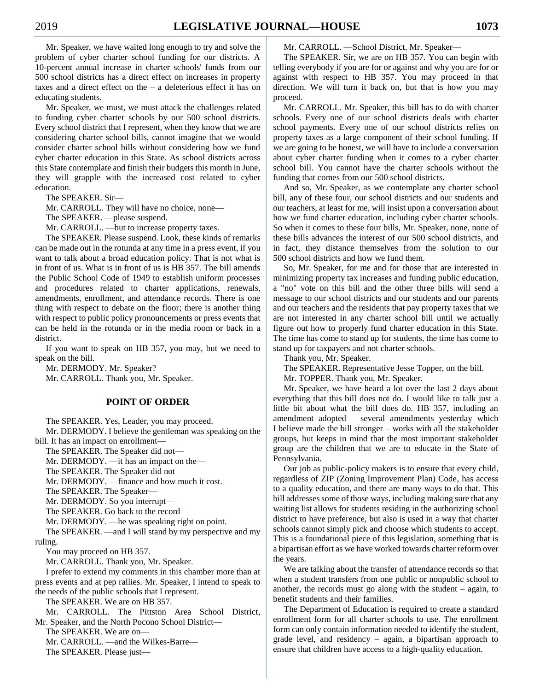Mr. Speaker, we have waited long enough to try and solve the problem of cyber charter school funding for our districts. A 10-percent annual increase in charter schools' funds from our 500 school districts has a direct effect on increases in property taxes and a direct effect on the – a deleterious effect it has on educating students.

Mr. Speaker, we must, we must attack the challenges related to funding cyber charter schools by our 500 school districts. Every school district that I represent, when they know that we are considering charter school bills, cannot imagine that we would consider charter school bills without considering how we fund cyber charter education in this State. As school districts across this State contemplate and finish their budgets this month in June, they will grapple with the increased cost related to cyber education.

The SPEAKER. Sir—

Mr. CARROLL. They will have no choice, none—

The SPEAKER. —please suspend.

Mr. CARROLL. —but to increase property taxes.

The SPEAKER. Please suspend. Look, these kinds of remarks can be made out in the rotunda at any time in a press event, if you want to talk about a broad education policy. That is not what is in front of us. What is in front of us is HB 357. The bill amends the Public School Code of 1949 to establish uniform processes and procedures related to charter applications, renewals, amendments, enrollment, and attendance records. There is one thing with respect to debate on the floor; there is another thing with respect to public policy pronouncements or press events that can be held in the rotunda or in the media room or back in a district.

If you want to speak on HB 357, you may, but we need to speak on the bill.

Mr. DERMODY. Mr. Speaker? Mr. CARROLL. Thank you, Mr. Speaker.

#### **POINT OF ORDER**

The SPEAKER. Yes, Leader, you may proceed.

Mr. DERMODY. I believe the gentleman was speaking on the bill. It has an impact on enrollment—

The SPEAKER. The Speaker did not—

Mr. DERMODY. —it has an impact on the—

The SPEAKER. The Speaker did not—

Mr. DERMODY. —finance and how much it cost.

The SPEAKER. The Speaker—

Mr. DERMODY. So you interrupt—

The SPEAKER. Go back to the record—

Mr. DERMODY. —he was speaking right on point.

The SPEAKER. —and I will stand by my perspective and my ruling.

You may proceed on HB 357.

Mr. CARROLL. Thank you, Mr. Speaker.

I prefer to extend my comments in this chamber more than at press events and at pep rallies. Mr. Speaker, I intend to speak to the needs of the public schools that I represent.

The SPEAKER. We are on HB 357.

Mr. CARROLL. The Pittston Area School District, Mr. Speaker, and the North Pocono School District—

The SPEAKER. We are on—

Mr. CARROLL. —and the Wilkes-Barre—

The SPEAKER. Please just—

Mr. CARROLL. —School District, Mr. Speaker—

The SPEAKER. Sir, we are on HB 357. You can begin with telling everybody if you are for or against and why you are for or against with respect to HB 357. You may proceed in that direction. We will turn it back on, but that is how you may proceed.

Mr. CARROLL. Mr. Speaker, this bill has to do with charter schools. Every one of our school districts deals with charter school payments. Every one of our school districts relies on property taxes as a large component of their school funding. If we are going to be honest, we will have to include a conversation about cyber charter funding when it comes to a cyber charter school bill. You cannot have the charter schools without the funding that comes from our 500 school districts.

And so, Mr. Speaker, as we contemplate any charter school bill, any of these four, our school districts and our students and our teachers, at least for me, will insist upon a conversation about how we fund charter education, including cyber charter schools. So when it comes to these four bills, Mr. Speaker, none, none of these bills advances the interest of our 500 school districts, and in fact, they distance themselves from the solution to our 500 school districts and how we fund them.

So, Mr. Speaker, for me and for those that are interested in minimizing property tax increases and funding public education, a "no" vote on this bill and the other three bills will send a message to our school districts and our students and our parents and our teachers and the residents that pay property taxes that we are not interested in any charter school bill until we actually figure out how to properly fund charter education in this State. The time has come to stand up for students, the time has come to stand up for taxpayers and not charter schools.

Thank you, Mr. Speaker.

The SPEAKER. Representative Jesse Topper, on the bill.

Mr. TOPPER. Thank you, Mr. Speaker.

Mr. Speaker, we have heard a lot over the last 2 days about everything that this bill does not do. I would like to talk just a little bit about what the bill does do. HB 357, including an amendment adopted – several amendments yesterday which I believe made the bill stronger – works with all the stakeholder groups, but keeps in mind that the most important stakeholder group are the children that we are to educate in the State of Pennsylvania.

Our job as public-policy makers is to ensure that every child, regardless of ZIP (Zoning Improvement Plan) Code, has access to a quality education, and there are many ways to do that. This bill addresses some of those ways, including making sure that any waiting list allows for students residing in the authorizing school district to have preference, but also is used in a way that charter schools cannot simply pick and choose which students to accept. This is a foundational piece of this legislation, something that is a bipartisan effort as we have worked towards charter reform over the years.

We are talking about the transfer of attendance records so that when a student transfers from one public or nonpublic school to another, the records must go along with the student  $-$  again, to benefit students and their families.

The Department of Education is required to create a standard enrollment form for all charter schools to use. The enrollment form can only contain information needed to identify the student, grade level, and residency – again, a bipartisan approach to ensure that children have access to a high-quality education.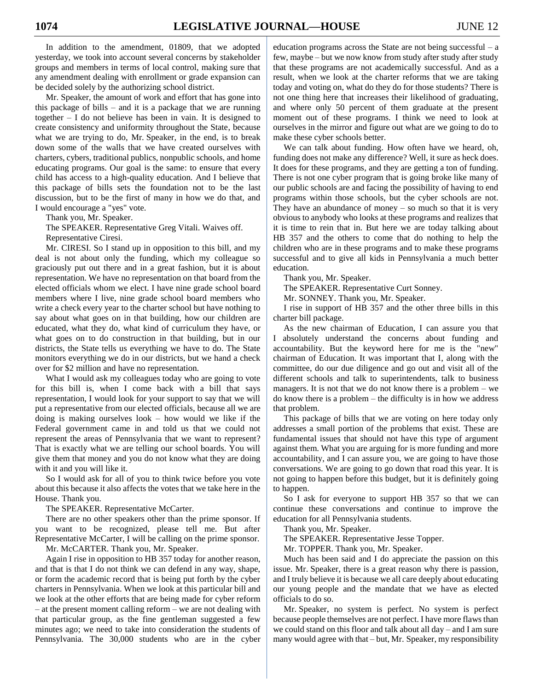In addition to the amendment, 01809, that we adopted yesterday, we took into account several concerns by stakeholder groups and members in terms of local control, making sure that any amendment dealing with enrollment or grade expansion can be decided solely by the authorizing school district.

Mr. Speaker, the amount of work and effort that has gone into this package of bills – and it is a package that we are running together – I do not believe has been in vain. It is designed to create consistency and uniformity throughout the State, because what we are trying to do, Mr. Speaker, in the end, is to break down some of the walls that we have created ourselves with charters, cybers, traditional publics, nonpublic schools, and home educating programs. Our goal is the same: to ensure that every child has access to a high-quality education. And I believe that this package of bills sets the foundation not to be the last discussion, but to be the first of many in how we do that, and I would encourage a "yes" vote.

Thank you, Mr. Speaker.

The SPEAKER. Representative Greg Vitali. Waives off. Representative Ciresi.

Mr. CIRESI. So I stand up in opposition to this bill, and my deal is not about only the funding, which my colleague so graciously put out there and in a great fashion, but it is about representation. We have no representation on that board from the elected officials whom we elect. I have nine grade school board members where I live, nine grade school board members who write a check every year to the charter school but have nothing to say about what goes on in that building, how our children are educated, what they do, what kind of curriculum they have, or what goes on to do construction in that building, but in our districts, the State tells us everything we have to do. The State monitors everything we do in our districts, but we hand a check over for \$2 million and have no representation.

What I would ask my colleagues today who are going to vote for this bill is, when I come back with a bill that says representation, I would look for your support to say that we will put a representative from our elected officials, because all we are doing is making ourselves look – how would we like if the Federal government came in and told us that we could not represent the areas of Pennsylvania that we want to represent? That is exactly what we are telling our school boards. You will give them that money and you do not know what they are doing with it and you will like it.

So I would ask for all of you to think twice before you vote about this because it also affects the votes that we take here in the House. Thank you.

The SPEAKER. Representative McCarter.

There are no other speakers other than the prime sponsor. If you want to be recognized, please tell me. But after Representative McCarter, I will be calling on the prime sponsor.

Mr. McCARTER. Thank you, Mr. Speaker.

Again I rise in opposition to HB 357 today for another reason, and that is that I do not think we can defend in any way, shape, or form the academic record that is being put forth by the cyber charters in Pennsylvania. When we look at this particular bill and we look at the other efforts that are being made for cyber reform – at the present moment calling reform – we are not dealing with that particular group, as the fine gentleman suggested a few minutes ago; we need to take into consideration the students of Pennsylvania. The 30,000 students who are in the cyber

education programs across the State are not being successful – a few, maybe – but we now know from study after study after study that these programs are not academically successful. And as a result, when we look at the charter reforms that we are taking today and voting on, what do they do for those students? There is not one thing here that increases their likelihood of graduating, and where only 50 percent of them graduate at the present moment out of these programs. I think we need to look at ourselves in the mirror and figure out what are we going to do to make these cyber schools better.

We can talk about funding. How often have we heard, oh, funding does not make any difference? Well, it sure as heck does. It does for these programs, and they are getting a ton of funding. There is not one cyber program that is going broke like many of our public schools are and facing the possibility of having to end programs within those schools, but the cyber schools are not. They have an abundance of money  $-$  so much so that it is very obvious to anybody who looks at these programs and realizes that it is time to rein that in. But here we are today talking about HB 357 and the others to come that do nothing to help the children who are in these programs and to make these programs successful and to give all kids in Pennsylvania a much better education.

Thank you, Mr. Speaker.

The SPEAKER. Representative Curt Sonney.

Mr. SONNEY. Thank you, Mr. Speaker.

I rise in support of HB 357 and the other three bills in this charter bill package.

As the new chairman of Education, I can assure you that I absolutely understand the concerns about funding and accountability. But the keyword here for me is the "new" chairman of Education. It was important that I, along with the committee, do our due diligence and go out and visit all of the different schools and talk to superintendents, talk to business managers. It is not that we do not know there is a problem – we do know there is a problem – the difficulty is in how we address that problem.

This package of bills that we are voting on here today only addresses a small portion of the problems that exist. These are fundamental issues that should not have this type of argument against them. What you are arguing for is more funding and more accountability, and I can assure you, we are going to have those conversations. We are going to go down that road this year. It is not going to happen before this budget, but it is definitely going to happen.

So I ask for everyone to support HB 357 so that we can continue these conversations and continue to improve the education for all Pennsylvania students.

Thank you, Mr. Speaker.

The SPEAKER. Representative Jesse Topper.

Mr. TOPPER. Thank you, Mr. Speaker.

Much has been said and I do appreciate the passion on this issue. Mr. Speaker, there is a great reason why there is passion, and I truly believe it is because we all care deeply about educating our young people and the mandate that we have as elected officials to do so.

Mr. Speaker, no system is perfect. No system is perfect because people themselves are not perfect. I have more flaws than we could stand on this floor and talk about all day – and I am sure many would agree with that – but, Mr. Speaker, my responsibility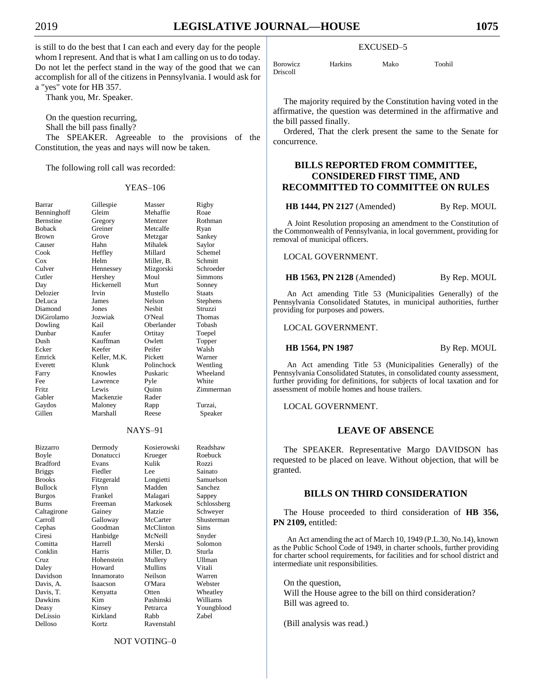is still to do the best that I can each and every day for the people whom I represent. And that is what I am calling on us to do today. Do not let the perfect stand in the way of the good that we can accomplish for all of the citizens in Pennsylvania. I would ask for a "yes" vote for HB 357.

Thank you, Mr. Speaker.

On the question recurring,

Shall the bill pass finally?

The SPEAKER. Agreeable to the provisions of the Constitution, the yeas and nays will now be taken.

The following roll call was recorded:

## YEAS–106

| Barrar          | Gillespie    | Masser      | Rigby         |
|-----------------|--------------|-------------|---------------|
| Benninghoff     | Gleim        | Mehaffie    | Roae          |
| Bernstine       | Gregory      | Mentzer     | Rothman       |
| <b>Boback</b>   | Greiner      | Metcalfe    | Ryan          |
| <b>Brown</b>    | Grove        | Metzgar     | Sankey        |
| Causer          | Hahn         | Mihalek     | Saylor        |
| Cook            | Heffley      | Millard     | Schemel       |
| Cox             | Helm         | Miller, B.  | Schmitt       |
| Culver          | Hennessey    | Mizgorski   | Schroeder     |
| Cutler          | Hershey      | Moul        | Simmons       |
| Day             | Hickernell   | Murt        | Sonney        |
| Delozier        | Irvin        | Mustello    | <b>Staats</b> |
| DeLuca          | James        | Nelson      | Stephens      |
| Diamond         | Jones        | Nesbit      | Struzzi       |
| DiGirolamo      | Jozwiak      | O'Neal      | Thomas        |
| Dowling         | Kail         | Oberlander  | Tobash        |
| Dunbar          | Kaufer       |             |               |
|                 | Kauffman     | Ortitay     | Toepel        |
| Dush            |              | Owlett      | Topper        |
| Ecker           | Keefer       | Peifer      | Walsh         |
| Emrick          | Keller, M.K. | Pickett     | Warner        |
| Everett         | Klunk        | Polinchock  | Wentling      |
| Farry           | Knowles      | Puskaric    | Wheeland      |
| Fee             | Lawrence     | Pyle        | White         |
| <b>Fritz</b>    | Lewis        | Ouinn       | Zimmerman     |
| Gabler          | Mackenzie    | Rader       |               |
| Gaydos          | Maloney      | Rapp        | Turzai,       |
| Gillen          | Marshall     | Reese       | Speaker       |
|                 |              | $NAYS-91$   |               |
|                 |              |             |               |
| <b>Bizzarro</b> | Dermody      | Kosierowski | Readshaw      |
| Boyle           | Donatucci    | Krueger     | Roebuck       |
| <b>Bradford</b> | Evans        | Kulik       | Rozzi         |
| <b>Briggs</b>   | Fiedler      | Lee         | Sainato       |
| <b>Brooks</b>   | Fitzgerald   | Longietti   | Samuelson     |
| <b>Bullock</b>  | Flynn        | Madden      | Sanchez       |
| <b>Burgos</b>   | Frankel      | Malagari    | Sappey        |
| Burns           | Freeman      | Markosek    | Schlossberg   |
| Caltagirone     | Gainey       | Matzie      | Schweyer      |
| Carroll         | Galloway     | McCarter    | Shusterman    |
| Cephas          | Goodman      | McClinton   | Sims          |
| Ciresi          | Hanbidge     | McNeill     | Snyder        |
| Comitta         | Harrell      | Merski      | Solomon       |
| Conklin         | Harris       | Miller, D.  | Sturla        |
| Cruz            | Hohenstein   | Mullery     | Ullman        |
| Daley           | Howard       | Mullins     | Vitali        |
| Davidson        | Innamorato   | Neilson     | Warren        |
| Davis, A.       | Isaacson     | O'Mara      | Webster       |
| Davis, T.       | Kenyatta     | Otten       | Wheatley      |
| Dawkins         | Kim          | Pashinski   | Williams      |
|                 |              |             |               |

Samuelson Deasy Kinsey Petrarca Youngblood DeLissio Kirkland Rabb Zabel

EXCUSED–5

Borowicz Harkins Mako Toohil Driscoll

The majority required by the Constitution having voted in the affirmative, the question was determined in the affirmative and the bill passed finally.

Ordered, That the clerk present the same to the Senate for concurrence.

## **BILLS REPORTED FROM COMMITTEE, CONSIDERED FIRST TIME, AND RECOMMITTED TO COMMITTEE ON RULES**

**HB 1444, PN 2127** (Amended) By Rep. MOUL

A Joint Resolution proposing an amendment to the Constitution of the Commonwealth of Pennsylvania, in local government, providing for removal of municipal officers.

LOCAL GOVERNMENT.

**HB 1563, PN 2128** (Amended) By Rep. MOUL

An Act amending Title 53 (Municipalities Generally) of the Pennsylvania Consolidated Statutes, in municipal authorities, further providing for purposes and powers.

LOCAL GOVERNMENT.

**HB 1564, PN 1987** By Rep. MOUL

An Act amending Title 53 (Municipalities Generally) of the Pennsylvania Consolidated Statutes, in consolidated county assessment, further providing for definitions, for subjects of local taxation and for assessment of mobile homes and house trailers.

LOCAL GOVERNMENT.

## **LEAVE OF ABSENCE**

The SPEAKER. Representative Margo DAVIDSON has requested to be placed on leave. Without objection, that will be granted.

## **BILLS ON THIRD CONSIDERATION**

The House proceeded to third consideration of **HB 356, PN 2109,** entitled:

An Act amending the act of March 10, 1949 (P.L.30, No.14), known as the Public School Code of 1949, in charter schools, further providing for charter school requirements, for facilities and for school district and intermediate unit responsibilities.

On the question,

Will the House agree to the bill on third consideration? Bill was agreed to.

(Bill analysis was read.)

NOT VOTING–0

Delloso Kortz Ravenstahl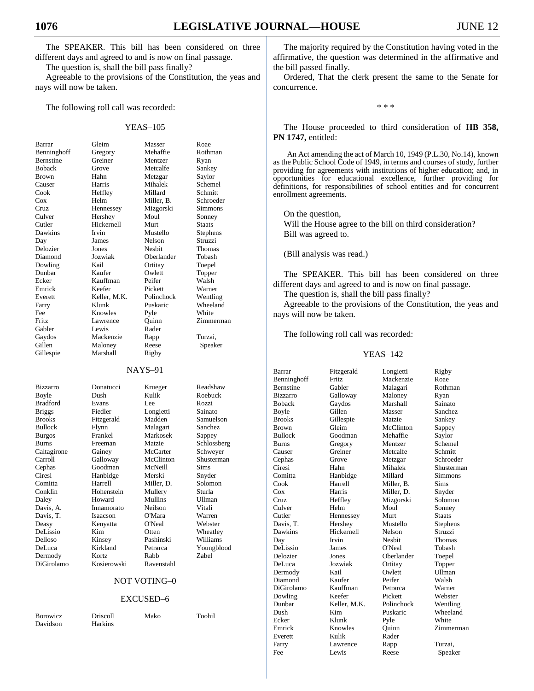The SPEAKER. This bill has been considered on three different days and agreed to and is now on final passage.

The question is, shall the bill pass finally?

Agreeable to the provisions of the Constitution, the yeas and nays will now be taken.

The following roll call was recorded:

#### YEAS–105

| Barrar          | Gleim        | Masser        | Roae  |
|-----------------|--------------|---------------|-------|
| Benninghoff     | Gregory      | Mehaffie      | Roth  |
| Bernstine       | Greiner      | Mentzer       | Ryan  |
| <b>Boback</b>   | Grove        | Metcalfe      | Sank  |
| <b>Brown</b>    | Hahn         | Metzgar       | Saylo |
| Causer          | Harris       | Mihalek       | Sche  |
| Cook            | Heffley      | Millard       | Schn  |
| Cox             | Helm         | Miller, B.    | Schro |
| Cruz.           | Hennessey    | Mizgorski     | Simn  |
| Culver          | Hershey      | Moul          | Sonn  |
| Cutler          | Hickernell   | Murt          | Staat |
| Dawkins         | Irvin        | Mustello      | Steph |
| Day             | James        | Nelson        | Struz |
| Delozier        | Jones        | <b>Nesbit</b> | Thon  |
| Diamond         | Jozwiak      | Oberlander    | Toba  |
| Dowling         | Kail         | Ortitay       | Toep  |
| Dunbar          | Kaufer       | Owlett        | Topp  |
| Ecker           | Kauffman     | Peifer        | Wals  |
| Emrick          | Keefer       | Pickett       | Warr  |
| Everett         | Keller, M.K. | Polinchock    | Went  |
| Farry           | Klunk        | Puskaric      | Whee  |
| Fee             | Knowles      | Pyle          | Whit  |
| Fritz.          | Lawrence     | Ouinn         | Zimn  |
| Gabler          | Lewis        | Rader         |       |
| Gaydos          | Mackenzie    | Rapp          | Turza |
| Gillen          | Maloney      | Reese         | Spe   |
| Gillespie       | Marshall     | Rigby         |       |
|                 |              | $NAYS-91$     |       |
| <b>Bizzarro</b> | Donatucci    | Krueger       | Read  |
| Boyle           | Dush         | Kulik         | Roeb  |
| <b>Bradford</b> | Evans        | Lee           | Rozz  |
| <b>Briggs</b>   | Fiedler      | Longietti     | Saina |
|                 |              |               |       |

Gregory Mehaffie Rothman Greiner Mentzer Ryan Grove Metcalfe Sankey Hahn Metzgar Saylor Harris Mihalek Schemel Heffley Millard Schmitt<br>Helm Miller, B. Schroed Hennessey Mizgorski Simmons Hershey Moul Sonney Hickernell Murt Staats Irvin Mustello Stephens James Nelson Struzzi Jones Nesbit Thomas Jozwiak Oberlander Tobash Kail Ortitay Toepel Kaufer Owlett Topper Kauffman Peifer Walsh Emrick Keefer Pickett Warner Keller, M.K. Polinchock Wentling Klunk Puskaric Wheeland Knowles Pyle White<br>Lawrence Ouinn Zimm Lewis Rader Mackenzie Rapp Turzai, Maloney Reese Speaker

Schroeder Ouinn Zimmerman

Davis, A. Innamorato

Bradford Evans Lee Rozzi Fiedler Longietti Sainato<br>Fitzgerald Madden Samuel Brooks Fitzgerald Madden Samuelson Bullock Flynn Malagari Sanchez Burgos Frankel Markosek Sappey Burns Freeman Matzie Schlossberg Caltagirone Gainey McCarter Schweyer Carroll Galloway McClinton Shusterman Cephas Goodman McNeill Sims Ciresi Hanbidge Merski Snyder Comitta Harrell Miller, D. Solomon Conklin Hohenstein Mullery Sturla Daley Howard Mullins Ullman<br>
Davis A Innamorato Neilson Vitali Davis, T. Isaacson O'Mara Warren Deasy Kenyatta O'Neal Webster<br>
DeLissio Kim Otten Wheatle DeLissio Kim Otten Wheatley<br>
Delloso Kinsey Pashinski Williams DeLuca Kirkland Petrarca Youngblood Dermody Kortz Rabb Zabel DiGirolamo Kosierowski Ravenstahl

Donatucci Krueger Readshaw Boyle Dush Kulik Roebuck Pashinski Williams

#### NOT VOTING–0

#### EXCUSED–6

| <b>Borowicz</b> | <b>Driscoll</b> | Mako | Toohil |
|-----------------|-----------------|------|--------|
| Davidson        | <b>Harkins</b>  |      |        |

The majority required by the Constitution having voted in the affirmative, the question was determined in the affirmative and the bill passed finally.

Ordered, That the clerk present the same to the Senate for concurrence.

\* \* \*

The House proceeded to third consideration of **HB 358, PN 1747,** entitled:

An Act amending the act of March 10, 1949 (P.L.30, No.14), known as the Public School Code of 1949, in terms and courses of study, further providing for agreements with institutions of higher education; and, in opportunities for educational excellence, further providing for definitions, for responsibilities of school entities and for concurrent enrollment agreements.

On the question, Will the House agree to the bill on third consideration? Bill was agreed to.

(Bill analysis was read.)

The SPEAKER. This bill has been considered on three different days and agreed to and is now on final passage.

The question is, shall the bill pass finally?

Agreeable to the provisions of the Constitution, the yeas and nays will now be taken.

The following roll call was recorded:

| Barrar           | Fitzgerald   | Longietti  | Rigby         |
|------------------|--------------|------------|---------------|
| Benninghoff      | <b>Fritz</b> | Mackenzie  | Roae          |
| <b>Bernstine</b> | Gabler       | Malagari   | Rothman       |
| <b>Bizzarro</b>  | Galloway     | Maloney    | Ryan          |
| <b>Boback</b>    | Gaydos       | Marshall   | Sainato       |
| <b>Boyle</b>     | Gillen       | Masser     | Sanchez       |
| <b>Brooks</b>    | Gillespie    | Matzie     | Sankey        |
| <b>Brown</b>     | Gleim        | McClinton  | Sappey        |
| <b>Bullock</b>   | Goodman      | Mehaffie   | Saylor        |
| <b>Burns</b>     | Gregory      | Mentzer    | Schemel       |
| Causer           | Greiner      | Metcalfe   | Schmitt       |
| Cephas           | Grove        | Metzgar    | Schroeder     |
| Ciresi           | Hahn         | Mihalek    | Shusterman    |
| Comitta          | Hanbidge     | Millard    | Simmons       |
| Cook             | Harrell      | Miller. B. | Sims          |
| Cox              | Harris       | Miller, D. | Snyder        |
| Cruz             | Heffley      | Mizgorski  | Solomon       |
| Culver           | Helm         | Moul       | Sonney        |
| Cutler           | Hennessey    | Murt       | <b>Staats</b> |
| Davis, T.        | Hershey      | Mustello   | Stephens      |
| Dawkins          | Hickernell   | Nelson     | Struzzi       |
| Day              | Irvin        | Neshit     | Thomas        |
| DeLissio         | James        | O'Neal     | Tobash        |
| Delozier         | Jones        | Oberlander | Toepel        |
| DeLuca           | Jozwiak      | Ortitay    | Topper        |
| Dermody          | Kail         | Owlett     | <b>Ullman</b> |
| Diamond          | Kaufer       | Peifer     | Walsh         |
| DiGirolamo       | Kauffman     | Petrarca   | Warner        |
| Dowling          | Keefer       | Pickett    | Webster       |
| Dunbar           | Keller, M.K. | Polinchock | Wentling      |
| Dush             | Kim          | Puskaric   | Wheeland      |
| Ecker            | Klunk        | Pyle       | White         |
| Emrick           | Knowles      | Ouinn      | Zimmerman     |
| Everett          | Kulik        | Rader      |               |
| Farry            | Lawrence     | Rapp       | Turzai,       |
| Fee              | Lewis        | Reese      | Speaker       |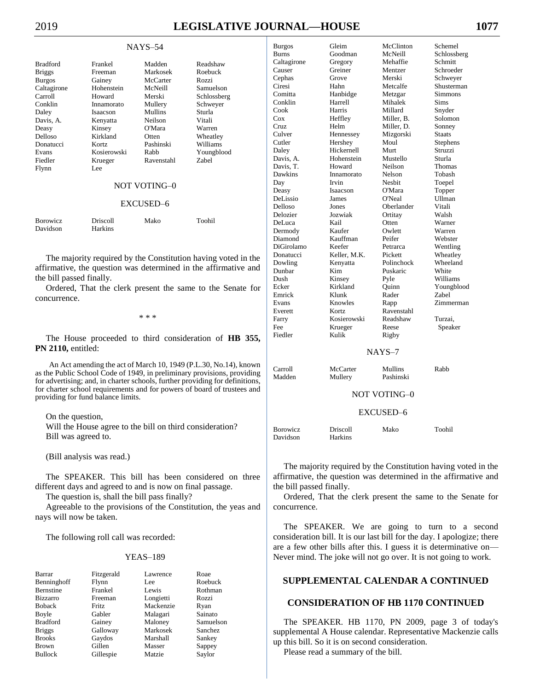# 2019 **LEGISLATIVE JOURNAL—HOUSE 1077**

#### NAYS–54

| <b>Bradford</b> | Frankel     | Madden     | Readshaw    |
|-----------------|-------------|------------|-------------|
| <b>Briggs</b>   | Freeman     | Markosek   | Roebuck     |
| <b>Burgos</b>   | Gainey      | McCarter   | Rozzi       |
| Caltagirone     | Hohenstein  | McNeill    | Samuelson   |
| Carroll         | Howard      | Merski     | Schlossberg |
| Conklin         | Innamorato  | Mullery    | Schweyer    |
| Daley           | Isaacson    | Mullins    | Sturla      |
| Davis, A.       | Kenyatta    | Neilson    | Vitali      |
| Deasy           | Kinsey      | O'Mara     | Warren      |
| Delloso         | Kirkland    | Otten      | Wheatley    |
| Donatucci       | Kortz       | Pashinski  | Williams    |
| Evans           | Kosierowski | Rabb       | Youngblood  |
| Fiedler         | Krueger     | Ravenstahl | Zabel       |
| Flynn           | Lee.        |            |             |

## NOT VOTING–0

### EXCUSED–6

| <b>Borowicz</b> | <b>Driscoll</b> | Mako | Toohil |
|-----------------|-----------------|------|--------|
| Davidson        | <b>Harkins</b>  |      |        |

The majority required by the Constitution having voted in the affirmative, the question was determined in the affirmative and the bill passed finally.

Ordered, That the clerk present the same to the Senate for concurrence.

\* \* \*

The House proceeded to third consideration of **HB 355, PN 2110,** entitled:

An Act amending the act of March 10, 1949 (P.L.30, No.14), known as the Public School Code of 1949, in preliminary provisions, providing for advertising; and, in charter schools, further providing for definitions, for charter school requirements and for powers of board of trustees and providing for fund balance limits.

### On the question,

Will the House agree to the bill on third consideration? Bill was agreed to.

(Bill analysis was read.)

The SPEAKER. This bill has been considered on three different days and agreed to and is now on final passage.

The question is, shall the bill pass finally?

Agreeable to the provisions of the Constitution, the yeas and nays will now be taken.

The following roll call was recorded:

#### YEAS–189

| Barrar           | Fitzgerald   | Lawrence  | Roae      |
|------------------|--------------|-----------|-----------|
| Benninghoff      | Flynn        | Lee.      | Roebuck   |
| <b>Bernstine</b> | Frankel      | Lewis     | Rothman   |
| <b>Bizzarro</b>  | Freeman      | Longietti | Rozzi     |
| <b>Boback</b>    | <b>Fritz</b> | Mackenzie | Ryan      |
| Boyle            | Gabler       | Malagari  | Sainato   |
| <b>Bradford</b>  | Gainey       | Maloney   | Samuelson |
| <b>Briggs</b>    | Galloway     | Markosek  | Sanchez   |
| <b>Brooks</b>    | Gaydos       | Marshall  | Sankey    |
| <b>Brown</b>     | Gillen       | Masser    | Sappey    |
| <b>Bullock</b>   | Gillespie    | Matzie    | Saylor    |

| <b>Burgos</b>     | Gleim               | McClinton           | Schemel          |
|-------------------|---------------------|---------------------|------------------|
| Burns             | Goodman             | McNeill             | Schlossberg      |
| Caltagirone       | Gregory             | Mehaffie            | Schmitt          |
| Causer            | Greiner             | Mentzer             | Schroeder        |
| Cephas            | Grove               | Merski              | Schweyer         |
| Ciresi            | Hahn                | Metcalfe            | Shusterman       |
| Comitta           | Hanbidge            | Metzgar             | <b>Simmons</b>   |
| Conklin           | Harrell             | Mihalek             | <b>Sims</b>      |
| Cook              | Harris              | Millard             | Snyder           |
| $\cos$            | Heffley             | Miller. B.          | Solomon          |
| Cruz              | Helm                | Miller, D.          | Sonney           |
| Culver            | Hennessey           | Mizgorski           | <b>Staats</b>    |
| Cutler            | Hershey             | Moul                | Stephens         |
| Daley             | Hickernell          | Murt                | Struzzi          |
| Davis, A.         | Hohenstein          | Mustello            | Sturla           |
| Davis, T.         | Howard              | Neilson             | Thomas           |
| Dawkins           |                     | Nelson              | Tobash           |
|                   | Innamorato<br>Irvin | Nesbit              |                  |
| Day               |                     | O'Mara              | Toepel           |
| Deasy<br>DeLissio | Isaacson            | O'Neal              | Topper<br>Ullman |
|                   | James               |                     |                  |
| Delloso           | Jones               | Oberlander          | Vitali           |
| Delozier          | Jozwiak             | Ortitay             | Walsh            |
| DeLuca            | Kail                | Otten               | Warner           |
| Dermody           | Kaufer              | Owlett              | Warren           |
| Diamond           | Kauffman            | Peifer              | Webster          |
| DiGirolamo        | Keefer              | Petrarca            | Wentling         |
| Donatucci         | Keller, M.K.        | Pickett             | Wheatley         |
| Dowling           | Kenyatta            | Polinchock          | Wheeland         |
| Dunbar            | Kim                 | Puskaric            | White            |
| Dush              | Kinsey              | Pyle                | Williams         |
| Ecker             | Kirkland            | Ouinn               | Youngblood       |
| Emrick            | Klunk               | Rader               | Zabel            |
| Evans             | Knowles             | Rapp                | Zimmerman        |
| Everett           | Kortz               | Ravenstahl          |                  |
| Farry             | Kosierowski         | Readshaw            | Turzai,          |
| Fee               | Krueger             | Reese               | Speaker          |
| Fiedler           | Kulik               | Rigby               |                  |
|                   |                     |                     |                  |
|                   |                     | NAYS-7              |                  |
| Carroll           | McCarter            | Mullins             | Rabb             |
| Madden            | Mullery             | Pashinski           |                  |
|                   |                     |                     |                  |
|                   |                     | <b>NOT VOTING-0</b> |                  |
|                   |                     | EXCUSED-6           |                  |
|                   |                     |                     |                  |
| <b>Borowicz</b>   | Driscoll            | Mako                | Toohil           |

The majority required by the Constitution having voted in the affirmative, the question was determined in the affirmative and the bill passed finally.

Ordered, That the clerk present the same to the Senate for concurrence.

The SPEAKER. We are going to turn to a second consideration bill. It is our last bill for the day. I apologize; there are a few other bills after this. I guess it is determinative on— Never mind. The joke will not go over. It is not going to work.

## **SUPPLEMENTAL CALENDAR A CONTINUED**

## **CONSIDERATION OF HB 1170 CONTINUED**

The SPEAKER. HB 1170, PN 2009, page 3 of today's supplemental A House calendar. Representative Mackenzie calls up this bill. So it is on second consideration.

Please read a summary of the bill.

Davidson Harkins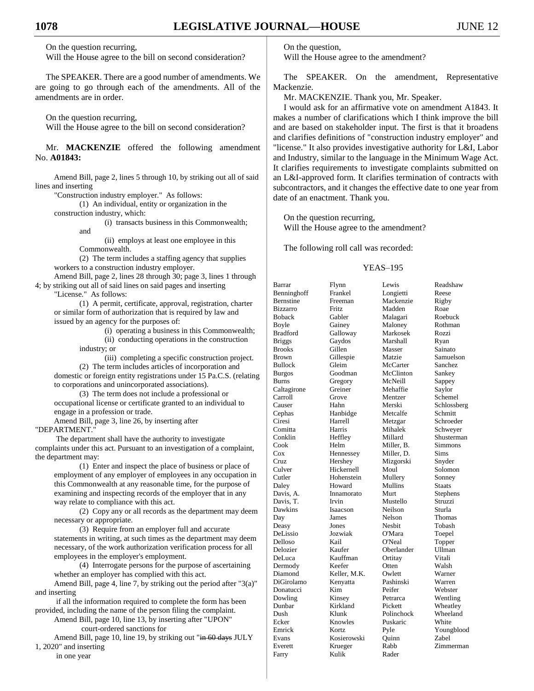On the question recurring,

Will the House agree to the bill on second consideration?

The SPEAKER. There are a good number of amendments. We are going to go through each of the amendments. All of the amendments are in order.

On the question recurring,

Will the House agree to the bill on second consideration?

Mr. **MACKENZIE** offered the following amendment No. **A01843:**

Amend Bill, page 2, lines 5 through 10, by striking out all of said lines and inserting

"Construction industry employer." As follows:

(1) An individual, entity or organization in the

construction industry, which:

(i) transacts business in this Commonwealth;

and

(ii) employs at least one employee in this Commonwealth.

(2) The term includes a staffing agency that supplies workers to a construction industry employer.

Amend Bill, page 2, lines 28 through 30; page 3, lines 1 through 4; by striking out all of said lines on said pages and inserting

"License." As follows:

(1) A permit, certificate, approval, registration, charter or similar form of authorization that is required by law and issued by an agency for the purposes of:

(i) operating a business in this Commonwealth;

(ii) conducting operations in the construction

industry; or

(iii) completing a specific construction project. (2) The term includes articles of incorporation and domestic or foreign entity registrations under 15 Pa.C.S. (relating to corporations and unincorporated associations).

(3) The term does not include a professional or occupational license or certificate granted to an individual to engage in a profession or trade.

Amend Bill, page 3, line 26, by inserting after "DEPARTMENT."

The department shall have the authority to investigate complaints under this act. Pursuant to an investigation of a complaint, the department may:

(1) Enter and inspect the place of business or place of employment of any employer of employees in any occupation in this Commonwealth at any reasonable time, for the purpose of examining and inspecting records of the employer that in any way relate to compliance with this act.

(2) Copy any or all records as the department may deem necessary or appropriate.

(3) Require from an employer full and accurate statements in writing, at such times as the department may deem necessary, of the work authorization verification process for all employees in the employer's employment.

(4) Interrogate persons for the purpose of ascertaining whether an employer has complied with this act.

Amend Bill, page 4, line 7, by striking out the period after "3(a)" and inserting

if all the information required to complete the form has been provided, including the name of the person filing the complaint.

Amend Bill, page 10, line 13, by inserting after "UPON" court-ordered sanctions for

Amend Bill, page 10, line 19, by striking out "in 60 days JULY 1, 2020" and inserting

in one year

On the question,

Will the House agree to the amendment?

The SPEAKER. On the amendment, Representative Mackenzie.

Mr. MACKENZIE. Thank you, Mr. Speaker.

I would ask for an affirmative vote on amendment A1843. It makes a number of clarifications which I think improve the bill and are based on stakeholder input. The first is that it broadens and clarifies definitions of "construction industry employer" and "license." It also provides investigative authority for L&I, Labor and Industry, similar to the language in the Minimum Wage Act. It clarifies requirements to investigate complaints submitted on an L&I-approved form. It clarifies termination of contracts with subcontractors, and it changes the effective date to one year from date of an enactment. Thank you.

On the question recurring, Will the House agree to the amendment?

The following roll call was recorded:

## YEAS–195

| Barrar          | Flynn        | Lewis      | Readshaw    |
|-----------------|--------------|------------|-------------|
| Benninghoff     | Frankel      | Longietti  | Reese       |
| Bernstine       | Freeman      | Mackenzie  | Rigby       |
| <b>Bizzarro</b> | Fritz        | Madden     | Roae        |
| <b>Boback</b>   | Gabler       | Malagari   | Roebuck     |
| Boyle           | Gainey       | Maloney    | Rothman     |
| <b>Bradford</b> | Galloway     | Markosek   | Rozzi       |
| <b>Briggs</b>   | Gaydos       | Marshall   | Ryan        |
| <b>Brooks</b>   | Gillen       | Masser     | Sainato     |
| <b>Brown</b>    | Gillespie    | Matzie     | Samuelson   |
| <b>Bullock</b>  | Gleim        | McCarter   | Sanchez     |
| <b>Burgos</b>   | Goodman      | McClinton  | Sankey      |
| <b>Burns</b>    | Gregory      | McNeill    | Sappey      |
| Caltagirone     | Greiner      | Mehaffie   | Saylor      |
| Carroll         | Grove        | Mentzer    | Schemel     |
| Causer          | Hahn         | Merski     | Schlossberg |
| Cephas          | Hanbidge     | Metcalfe   | Schmitt     |
| Ciresi          | Harrell      | Metzgar    | Schroeder   |
| Comitta         | Harris       | Mihalek    | Schweyer    |
| Conklin         | Heffley      | Millard    | Shusterman  |
| Cook            | Helm         | Miller, B. | Simmons     |
| $\cos$          | Hennessey    | Miller, D. | Sims        |
| Cruz            | Hershey      | Mizgorski  | Snyder      |
| Culver          | Hickernell   | Moul       | Solomon     |
| Cutler          | Hohenstein   | Mullery    | Sonney      |
| Daley           | Howard       | Mullins    | Staats      |
| Davis, A.       | Innamorato   | Murt       | Stephens    |
| Davis, T.       | Irvin        | Mustello   | Struzzi     |
| Dawkins         | Isaacson     | Neilson    | Sturla      |
| Day             | James        | Nelson     | Thomas      |
| Deasy           | Jones        | Nesbit     | Tobash      |
| DeLissio        | Jozwiak      | O'Mara     | Toepel      |
| Delloso         | Kail         | O'Neal     | Topper      |
| Delozier        | Kaufer       | Oberlander | Ullman      |
| DeLuca          | Kauffman     | Ortitay    | Vitali      |
| Dermody         | Keefer       | Otten      | Walsh       |
| Diamond         | Keller, M.K. | Owlett     | Warner      |
| DiGirolamo      | Kenyatta     | Pashinski  | Warren      |
| Donatucci       | Kim          | Peifer     | Webster     |
| Dowling         | Kinsey       | Petrarca   | Wentling    |
| Dunbar          | Kirkland     | Pickett    | Wheatley    |
| Dush            | Klunk        | Polinchock | Wheeland    |
| Ecker           | Knowles      | Puskaric   | White       |
| Emrick          | Kortz        | Pyle       | Youngblood  |
| Evans           | Kosierowski  | Ouinn      | Zabel       |
| Everett         | Krueger      | Rabb       | Zimmerman   |
|                 | Kulik        |            |             |
| Farry           |              | Rader      |             |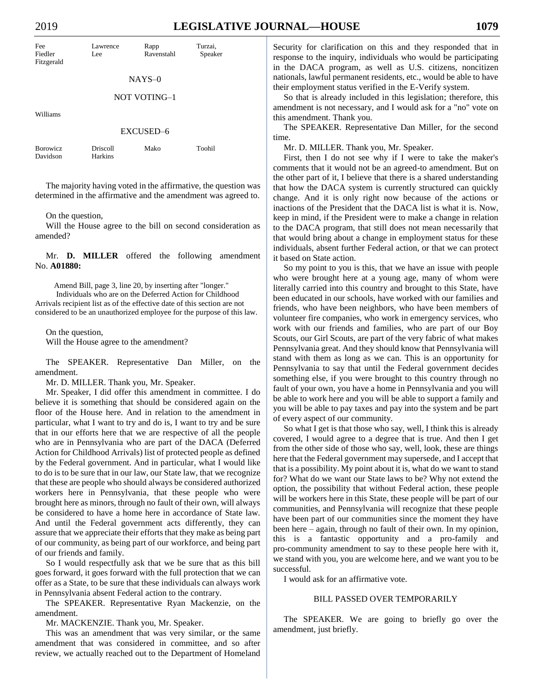| Fee<br>Fiedler<br>Fitzgerald | Lawrence<br>Lee            | Rapp<br>Ravenstahl | Turzai,<br>Speaker |
|------------------------------|----------------------------|--------------------|--------------------|
|                              |                            | $NAYS-0$           |                    |
|                              |                            | NOT VOTING-1       |                    |
| Williams                     |                            |                    |                    |
|                              |                            | EXCUSED-6          |                    |
| <b>Borowicz</b><br>Davidson  | <b>Driscoll</b><br>Harkins | Mako               | Toohil             |

The majority having voted in the affirmative, the question was determined in the affirmative and the amendment was agreed to.

On the question,

Will the House agree to the bill on second consideration as amended?

Mr. **D. MILLER** offered the following amendment No. **A01880:**

Amend Bill, page 3, line 20, by inserting after "longer." Individuals who are on the Deferred Action for Childhood Arrivals recipient list as of the effective date of this section are not considered to be an unauthorized employee for the purpose of this law.

On the question, Will the House agree to the amendment?

The SPEAKER. Representative Dan Miller, on the amendment.

Mr. D. MILLER. Thank you, Mr. Speaker.

Mr. Speaker, I did offer this amendment in committee. I do believe it is something that should be considered again on the floor of the House here. And in relation to the amendment in particular, what I want to try and do is, I want to try and be sure that in our efforts here that we are respective of all the people who are in Pennsylvania who are part of the DACA (Deferred Action for Childhood Arrivals) list of protected people as defined by the Federal government. And in particular, what I would like to do is to be sure that in our law, our State law, that we recognize that these are people who should always be considered authorized workers here in Pennsylvania, that these people who were brought here as minors, through no fault of their own, will always be considered to have a home here in accordance of State law. And until the Federal government acts differently, they can assure that we appreciate their efforts that they make as being part of our community, as being part of our workforce, and being part of our friends and family.

So I would respectfully ask that we be sure that as this bill goes forward, it goes forward with the full protection that we can offer as a State, to be sure that these individuals can always work in Pennsylvania absent Federal action to the contrary.

The SPEAKER. Representative Ryan Mackenzie, on the amendment.

Mr. MACKENZIE. Thank you, Mr. Speaker.

This was an amendment that was very similar, or the same amendment that was considered in committee, and so after review, we actually reached out to the Department of Homeland Security for clarification on this and they responded that in response to the inquiry, individuals who would be participating in the DACA program, as well as U.S. citizens, noncitizen nationals, lawful permanent residents, etc., would be able to have their employment status verified in the E-Verify system.

So that is already included in this legislation; therefore, this amendment is not necessary, and I would ask for a "no" vote on this amendment. Thank you.

The SPEAKER. Representative Dan Miller, for the second time.

Mr. D. MILLER. Thank you, Mr. Speaker.

First, then I do not see why if I were to take the maker's comments that it would not be an agreed-to amendment. But on the other part of it, I believe that there is a shared understanding that how the DACA system is currently structured can quickly change. And it is only right now because of the actions or inactions of the President that the DACA list is what it is. Now, keep in mind, if the President were to make a change in relation to the DACA program, that still does not mean necessarily that that would bring about a change in employment status for these individuals, absent further Federal action, or that we can protect it based on State action.

So my point to you is this, that we have an issue with people who were brought here at a young age, many of whom were literally carried into this country and brought to this State, have been educated in our schools, have worked with our families and friends, who have been neighbors, who have been members of volunteer fire companies, who work in emergency services, who work with our friends and families, who are part of our Boy Scouts, our Girl Scouts, are part of the very fabric of what makes Pennsylvania great. And they should know that Pennsylvania will stand with them as long as we can. This is an opportunity for Pennsylvania to say that until the Federal government decides something else, if you were brought to this country through no fault of your own, you have a home in Pennsylvania and you will be able to work here and you will be able to support a family and you will be able to pay taxes and pay into the system and be part of every aspect of our community.

So what I get is that those who say, well, I think this is already covered, I would agree to a degree that is true. And then I get from the other side of those who say, well, look, these are things here that the Federal government may supersede, and I accept that that is a possibility. My point about it is, what do we want to stand for? What do we want our State laws to be? Why not extend the option, the possibility that without Federal action, these people will be workers here in this State, these people will be part of our communities, and Pennsylvania will recognize that these people have been part of our communities since the moment they have been here – again, through no fault of their own. In my opinion, this is a fantastic opportunity and a pro-family and pro-community amendment to say to these people here with it, we stand with you, you are welcome here, and we want you to be successful.

I would ask for an affirmative vote.

## BILL PASSED OVER TEMPORARILY

The SPEAKER. We are going to briefly go over the amendment, just briefly.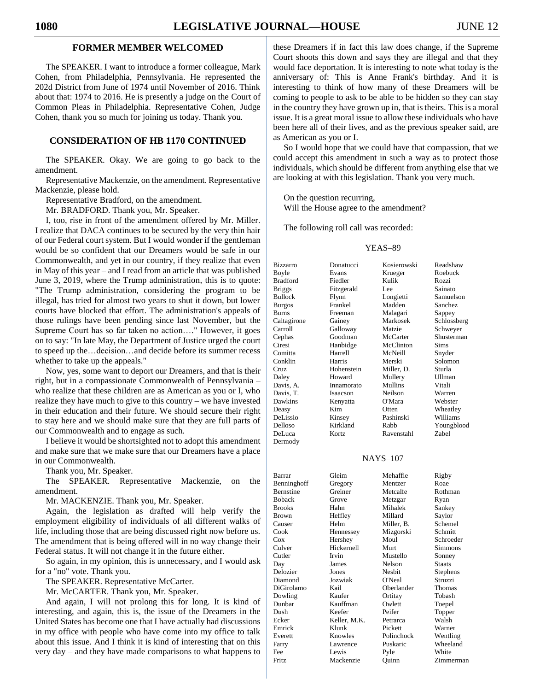## **FORMER MEMBER WELCOMED**

The SPEAKER. I want to introduce a former colleague, Mark Cohen, from Philadelphia, Pennsylvania. He represented the 202d District from June of 1974 until November of 2016. Think about that: 1974 to 2016. He is presently a judge on the Court of Common Pleas in Philadelphia. Representative Cohen, Judge Cohen, thank you so much for joining us today. Thank you.

## **CONSIDERATION OF HB 1170 CONTINUED**

The SPEAKER. Okay. We are going to go back to the amendment.

Representative Mackenzie, on the amendment. Representative Mackenzie, please hold.

Representative Bradford, on the amendment.

Mr. BRADFORD. Thank you, Mr. Speaker.

I, too, rise in front of the amendment offered by Mr. Miller. I realize that DACA continues to be secured by the very thin hair of our Federal court system. But I would wonder if the gentleman would be so confident that our Dreamers would be safe in our Commonwealth, and yet in our country, if they realize that even in May of this year – and I read from an article that was published June 3, 2019, where the Trump administration, this is to quote: "The Trump administration, considering the program to be illegal, has tried for almost two years to shut it down, but lower courts have blocked that effort. The administration's appeals of those rulings have been pending since last November, but the Supreme Court has so far taken no action…." However, it goes on to say: "In late May, the Department of Justice urged the court to speed up the…decision…and decide before its summer recess whether to take up the appeals."

Now, yes, some want to deport our Dreamers, and that is their right, but in a compassionate Commonwealth of Pennsylvania – who realize that these children are as American as you or I, who realize they have much to give to this country – we have invested in their education and their future. We should secure their right to stay here and we should make sure that they are full parts of our Commonwealth and to engage as such.

I believe it would be shortsighted not to adopt this amendment and make sure that we make sure that our Dreamers have a place in our Commonwealth.

Thank you, Mr. Speaker.

The SPEAKER. Representative Mackenzie, on the amendment.

Mr. MACKENZIE. Thank you, Mr. Speaker.

Again, the legislation as drafted will help verify the employment eligibility of individuals of all different walks of life, including those that are being discussed right now before us. The amendment that is being offered will in no way change their Federal status. It will not change it in the future either.

So again, in my opinion, this is unnecessary, and I would ask for a "no" vote. Thank you.

The SPEAKER. Representative McCarter.

Mr. McCARTER. Thank you, Mr. Speaker.

And again, I will not prolong this for long. It is kind of interesting, and again, this is, the issue of the Dreamers in the United States has become one that I have actually had discussions in my office with people who have come into my office to talk about this issue. And I think it is kind of interesting that on this very day – and they have made comparisons to what happens to these Dreamers if in fact this law does change, if the Supreme Court shoots this down and says they are illegal and that they would face deportation. It is interesting to note what today is the anniversary of: This is Anne Frank's birthday. And it is interesting to think of how many of these Dreamers will be coming to people to ask to be able to be hidden so they can stay in the country they have grown up in, that is theirs. This is a moral issue. It is a great moral issue to allow these individuals who have been here all of their lives, and as the previous speaker said, are as American as you or I.

So I would hope that we could have that compassion, that we could accept this amendment in such a way as to protect those individuals, which should be different from anything else that we are looking at with this legislation. Thank you very much.

On the question recurring, Will the House agree to the amendment?

The following roll call was recorded:

#### YEAS–89

| Bizzarro        | Donatucci  | Kosierowski | Readshaw    |
|-----------------|------------|-------------|-------------|
| Boyle           | Evans      | Krueger     | Roebuck     |
| <b>Bradford</b> | Fiedler    | Kulik       | Rozzi       |
| <b>Briggs</b>   | Fitzgerald | Lee         | Sainato     |
| <b>Bullock</b>  | Flynn      | Longietti   | Samuelson   |
| Burgos          | Frankel    | Madden      | Sanchez     |
| Burns           | Freeman    | Malagari    | Sappey      |
| Caltagirone     | Gainey     | Markosek    | Schlossberg |
| Carroll         | Galloway   | Matzie      | Schweyer    |
| Cephas          | Goodman    | McCarter    | Shusterman  |
| Ciresi          | Hanbidge   | McClinton   | <b>Sims</b> |
| Comitta         | Harrell    | McNeill     | Snyder      |
| Conklin         | Harris     | Merski      | Solomon     |
| Cruz            | Hohenstein | Miller, D.  | Sturla      |
| Daley           | Howard     | Mullery     | Ullman      |
| Davis, A.       | Innamorato | Mullins     | Vitali      |
| Davis, T.       | Isaacson   | Neilson     | Warren      |
| Dawkins         | Kenyatta   | O'Mara      | Webster     |
| Deasy           | Kim        | Otten       | Wheatley    |
| DeLissio        | Kinsey     | Pashinski   | Williams    |
| Delloso         | Kirkland   | Rabb        | Youngblood  |
| DeLuca          | Kortz      | Ravenstahl  | Zabel       |
| Dermody         |            |             |             |
|                 |            |             |             |

#### NAYS–107

| Barrar           | Gleim        | Mehaffie   | Rigby         |
|------------------|--------------|------------|---------------|
| Benninghoff      | Gregory      | Mentzer    | Roae          |
| <b>Bernstine</b> | Greiner      | Metcalfe   | Rothman       |
| Boback           | Grove        | Metzgar    | Ryan          |
| <b>Brooks</b>    | Hahn         | Mihalek    | Sankey        |
| Brown            | Heffley      | Millard    | Saylor        |
| Causer           | Helm         | Miller, B. | Schemel       |
| Cook             | Hennessey    | Mizgorski  | Schmitt       |
| Cox              | Hershey      | Moul       | Schroeder     |
| Culver           | Hickernell   | Murt       | Simmons       |
| Cutler           | Irvin        | Mustello   | Sonney        |
| Day              | James        | Nelson     | <b>Staats</b> |
| Delozier         | Jones        | Nesbit     | Stephens      |
| Diamond          | Jozwiak      | O'Neal     | Struzzi       |
| DiGirolamo       | Kail         | Oberlander | Thomas        |
| Dowling          | Kaufer       | Ortitay    | Tobash        |
| Dunbar           | Kauffman     | Owlett     | Toepel        |
| Dush             | Keefer       | Peifer     | Topper        |
| Ecker            | Keller, M.K. | Petrarca   | Walsh         |
| Emrick           | Klunk        | Pickett    | Warner        |
| Everett          | Knowles      | Polinchock | Wentling      |
| Farry            | Lawrence     | Puskaric   | Wheeland      |
| Fee              | Lewis        | Pyle       | White         |
| Fritz            | Mackenzie    | Ouinn      | Zimmerman     |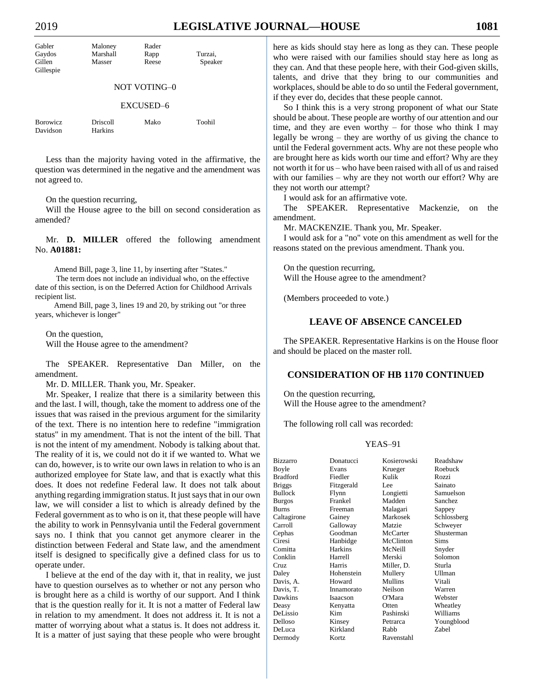# 2019 **LEGISLATIVE JOURNAL—HOUSE 1081**

| Gabler              | Maloney  | Rader |         |  |  |
|---------------------|----------|-------|---------|--|--|
| Gaydos              | Marshall | Rapp  | Turzai, |  |  |
| Gillen              | Masser   | Reese | Speaker |  |  |
| Gillespie           |          |       |         |  |  |
| <b>NOT VOTING-0</b> |          |       |         |  |  |
| EXCUSED-6           |          |       |         |  |  |

| <b>Borowicz</b> | <b>Driscoll</b> | Mako | Toohil |
|-----------------|-----------------|------|--------|
| Davidson        | <b>Harkins</b>  |      |        |

Less than the majority having voted in the affirmative, the question was determined in the negative and the amendment was not agreed to.

On the question recurring,

Will the House agree to the bill on second consideration as amended?

Mr. **D. MILLER** offered the following amendment No. **A01881:**

Amend Bill, page 3, line 11, by inserting after "States."

The term does not include an individual who, on the effective date of this section, is on the Deferred Action for Childhood Arrivals recipient list.

Amend Bill, page 3, lines 19 and 20, by striking out "or three years, whichever is longer"

On the question, Will the House agree to the amendment?

The SPEAKER. Representative Dan Miller, on the amendment.

Mr. D. MILLER. Thank you, Mr. Speaker.

Mr. Speaker, I realize that there is a similarity between this and the last. I will, though, take the moment to address one of the issues that was raised in the previous argument for the similarity of the text. There is no intention here to redefine "immigration status" in my amendment. That is not the intent of the bill. That is not the intent of my amendment. Nobody is talking about that. The reality of it is, we could not do it if we wanted to. What we can do, however, is to write our own laws in relation to who is an authorized employee for State law, and that is exactly what this does. It does not redefine Federal law. It does not talk about anything regarding immigration status. It just says that in our own law, we will consider a list to which is already defined by the Federal government as to who is on it, that these people will have the ability to work in Pennsylvania until the Federal government says no. I think that you cannot get anymore clearer in the distinction between Federal and State law, and the amendment itself is designed to specifically give a defined class for us to operate under.

I believe at the end of the day with it, that in reality, we just have to question ourselves as to whether or not any person who is brought here as a child is worthy of our support. And I think that is the question really for it. It is not a matter of Federal law in relation to my amendment. It does not address it. It is not a matter of worrying about what a status is. It does not address it. It is a matter of just saying that these people who were brought here as kids should stay here as long as they can. These people who were raised with our families should stay here as long as they can. And that these people here, with their God-given skills, talents, and drive that they bring to our communities and workplaces, should be able to do so until the Federal government, if they ever do, decides that these people cannot.

So I think this is a very strong proponent of what our State should be about. These people are worthy of our attention and our time, and they are even worthy – for those who think I may legally be wrong – they are worthy of us giving the chance to until the Federal government acts. Why are not these people who are brought here as kids worth our time and effort? Why are they not worth it for us – who have been raised with all of us and raised with our families – why are they not worth our effort? Why are they not worth our attempt?

I would ask for an affirmative vote.

The SPEAKER. Representative Mackenzie, on the amendment.

Mr. MACKENZIE. Thank you, Mr. Speaker.

I would ask for a "no" vote on this amendment as well for the reasons stated on the previous amendment. Thank you.

On the question recurring, Will the House agree to the amendment?

(Members proceeded to vote.)

## **LEAVE OF ABSENCE CANCELED**

The SPEAKER. Representative Harkins is on the House floor and should be placed on the master roll.

## **CONSIDERATION OF HB 1170 CONTINUED**

On the question recurring, Will the House agree to the amendment?

The following roll call was recorded:

| <b>Bizzarro</b> | Donatucci  | Kosierowski | Readshaw    |
|-----------------|------------|-------------|-------------|
| Boyle           | Evans      | Krueger     | Roebuck     |
| <b>Bradford</b> | Fiedler    | Kulik       | Rozzi       |
| <b>Briggs</b>   | Fitzgerald | Lee         | Sainato     |
| Bullock         | Flynn      | Longietti   | Samuelson   |
| <b>Burgos</b>   | Frankel    | Madden      | Sanchez     |
| <b>Burns</b>    | Freeman    | Malagari    | Sappey      |
| Caltagirone     | Gainey     | Markosek    | Schlossberg |
| Carroll         | Galloway   | Matzie      | Schweyer    |
| Cephas          | Goodman    | McCarter    | Shusterman  |
| Ciresi          | Hanbidge   | McClinton   | <b>Sims</b> |
| Comitta         | Harkins    | McNeill     | Snyder      |
| Conklin         | Harrell    | Merski      | Solomon     |
| Cruz            | Harris     | Miller, D.  | Sturla      |
| Daley           | Hohenstein | Mullery     | Ullman      |
| Davis, A.       | Howard     | Mullins     | Vitali      |
| Davis, T.       | Innamorato | Neilson     | Warren      |
| Dawkins         | Isaacson   | O'Mara      | Webster     |
| Deasy           | Kenyatta   | Otten       | Wheatley    |
| DeLissio        | Kim        | Pashinski   | Williams    |
| Delloso         | Kinsey     | Petrarca    | Youngblood  |
| DeLuca          | Kirkland   | Rabb        | Zabel       |
| Dermody         | Kortz      | Ravenstahl  |             |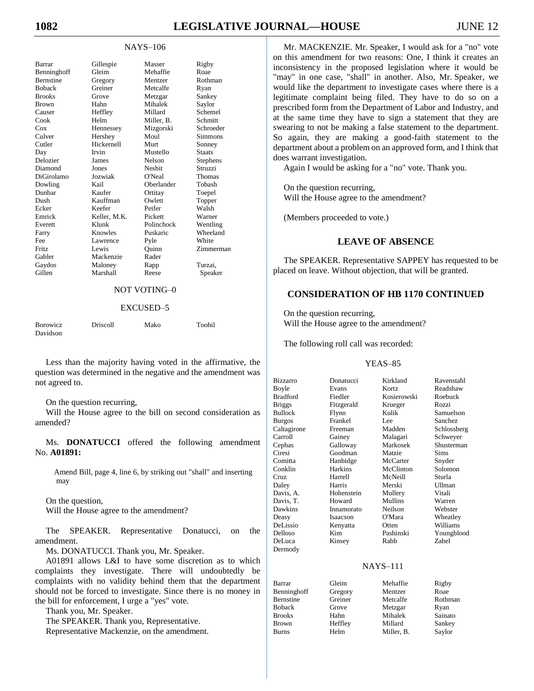#### NAYS–106

| Barrar           | Gillespie    | Masser        | Rigby         |
|------------------|--------------|---------------|---------------|
| Benninghoff      | Gleim        | Mehaffie      | Roae          |
| <b>Bernstine</b> | Gregory      | Mentzer       | Rothman       |
| <b>Boback</b>    | Greiner      | Metcalfe      | Ryan          |
| <b>Brooks</b>    | Grove        | Metzgar       | Sankey        |
| <b>Brown</b>     | Hahn         | Mihalek       | Saylor        |
| Causer           | Heffley      | Millard       | Schemel       |
| Cook             | Helm         | Miller. B.    | Schmitt       |
| $\cos$           | Hennessey    | Mizgorski     | Schroeder     |
| Culver           | Hershey      | Moul          | Simmons       |
| Cutler           | Hickernell   | Murt          | Sonney        |
| Day              | Irvin        | Mustello      | <b>Staats</b> |
| Delozier         | James        | Nelson        | Stephens      |
| Diamond          | Jones        | <b>Neshit</b> | Struzzi       |
| DiGirolamo       | Jozwiak      | O'Neal        | Thomas        |
| Dowling          | Kail         | Oberlander    | Tobash        |
| Dunbar           | Kaufer       | Ortitay       | Toepel        |
| Dush             | Kauffman     | Owlett        | Topper        |
| Ecker            | Keefer       | Peifer        | Walsh         |
| Emrick           | Keller, M.K. | Pickett       | Warner        |
| Everett          | Klunk        | Polinchock    | Wentling      |
| Farry            | Knowles      | Puskaric      | Wheeland      |
| Fee              | Lawrence     | Pyle          | White         |
| Fritz            | Lewis        | Ouinn         | Zimmerman     |
| Gabler           | Mackenzie    | Rader         |               |
| Gaydos           | Maloney      | Rapp          | Turzai.       |
| Gillen           | Marshall     | Reese         | Speaker       |
|                  |              |               |               |

## NOT VOTING–0

#### EXCUSED–5

| <b>Borowicz</b> | <b>Driscoll</b> | Mako | Toohil |
|-----------------|-----------------|------|--------|
| Davidson        |                 |      |        |

Less than the majority having voted in the affirmative, the question was determined in the negative and the amendment was not agreed to.

On the question recurring,

Will the House agree to the bill on second consideration as amended?

Ms. **DONATUCCI** offered the following amendment No. **A01891:**

Amend Bill, page 4, line 6, by striking out "shall" and inserting may

On the question, Will the House agree to the amendment?

The SPEAKER. Representative Donatucci, on the amendment.

Ms. DONATUCCI. Thank you, Mr. Speaker.

A01891 allows L&I to have some discretion as to which complaints they investigate. There will undoubtedly be complaints with no validity behind them that the department should not be forced to investigate. Since there is no money in the bill for enforcement, I urge a "yes" vote.

Thank you, Mr. Speaker.

The SPEAKER. Thank you, Representative.

Representative Mackenzie, on the amendment.

Mr. MACKENZIE. Mr. Speaker, I would ask for a "no" vote on this amendment for two reasons: One, I think it creates an inconsistency in the proposed legislation where it would be "may" in one case, "shall" in another. Also, Mr. Speaker, we would like the department to investigate cases where there is a legitimate complaint being filed. They have to do so on a prescribed form from the Department of Labor and Industry, and at the same time they have to sign a statement that they are swearing to not be making a false statement to the department. So again, they are making a good-faith statement to the department about a problem on an approved form, and I think that does warrant investigation.

Again I would be asking for a "no" vote. Thank you.

On the question recurring, Will the House agree to the amendment?

(Members proceeded to vote.)

## **LEAVE OF ABSENCE**

The SPEAKER. Representative SAPPEY has requested to be placed on leave. Without objection, that will be granted.

## **CONSIDERATION OF HB 1170 CONTINUED**

On the question recurring, Will the House agree to the amendment?

The following roll call was recorded:

| <b>Bizzarro</b>  | Donatucci  | Kirkland        | Ravenstahl     |
|------------------|------------|-----------------|----------------|
| Boyle            | Evans      | Kortz           | Readshaw       |
| <b>Bradford</b>  | Fiedler    | Kosierowski     | Roebuck        |
| <b>Briggs</b>    | Fitzgerald | Krueger         | Rozzi          |
| <b>Bullock</b>   | Flynn      | Kulik           | Samuelson      |
| <b>Burgos</b>    | Frankel    | Lee             | <b>Sanchez</b> |
| Caltagirone      | Freeman    | Madden          | Schlossberg    |
| Carroll          | Gainey     | Malagari        | Schweyer       |
| Cephas           | Galloway   | Markosek        | Shusterman     |
| Ciresi           | Goodman    | Matzie          | <b>Sims</b>    |
| Comitta          | Hanbidge   | McCarter        | Snyder         |
| Conklin          | Harkins    | McClinton       | Solomon        |
| Cruz.            | Harrell    | McNeill         | Sturla         |
| Daley            | Harris     | Merski          | <b>Ullman</b>  |
| Davis. A.        | Hohenstein | Mullery         | Vitali         |
| Davis, T.        | Howard     | Mullins         | Warren         |
| Dawkins          | Innamorato | Neilson         | Webster        |
| Deasy            | Isaacson   | O'Mara          | Wheatley       |
| DeLissio         | Kenyatta   | Otten           | Williams       |
| Delloso          | Kim.       | Pashinski       | Youngblood     |
| DeLuca           | Kinsey     | Rabb            | Zabel          |
| Dermody          |            |                 |                |
|                  |            |                 |                |
|                  |            | <b>NAYS-111</b> |                |
| Barrar           | Gleim      | Mehaffie        | Rigby          |
| Benninghoff      | Gregory    | Mentzer         | Roae           |
| <b>Bernstine</b> | Greiner    | Metcalfe        | Rothman        |
| <b>Boback</b>    | Grove      | Metzgar         | Ryan           |
| <b>Brooks</b>    | Hahn       | Mihalek         | Sainato        |
| <b>Brown</b>     | Heffley    | Millard         | Sankey         |
| Burns            | Helm       | Miller, B.      | Saylor         |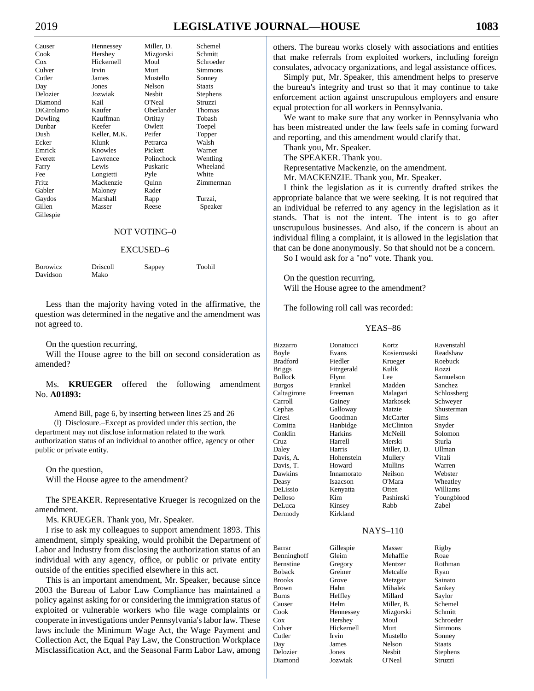# 2019 **LEGISLATIVE JOURNAL—HOUSE 1083**

| Causer     | Hennessey    | Miller, D.   | Schemel       |
|------------|--------------|--------------|---------------|
| Cook       | Hershey      | Mizgorski    | Schmitt       |
| Cox        | Hickernell   | Moul         | Schroeder     |
| Culver     | Irvin        | Murt         | Simmons       |
| Cutler     | James        | Mustello     | Sonney        |
| Day        | Jones        | Nelson       | <b>Staats</b> |
| Delozier   | Jozwiak      | Nesbit       | Stephens      |
| Diamond    | Kail         | O'Neal       | Struzzi       |
| DiGirolamo | Kaufer       | Oberlander   | Thomas        |
| Dowling    | Kauffman     | Ortitay      | Tobash        |
| Dunbar     | Keefer       | Owlett       | Toepel        |
| Dush       | Keller, M.K. | Peifer       | Topper        |
| Ecker      | Klunk        | Petrarca     | Walsh         |
| Emrick     | Knowles      | Pickett      | Warner        |
| Everett    | Lawrence     | Polinchock   | Wentling      |
| Farry      | Lewis        | Puskaric     | Wheeland      |
| Fee        | Longietti    | Pyle         | White         |
| Fritz      | Mackenzie    | Quinn        | Zimmerman     |
| Gabler     | Maloney      | Rader        |               |
| Gaydos     | Marshall     | Rapp         | Turzai,       |
| Gillen     | Masser       | Reese        | Speaker       |
| Gillespie  |              |              |               |
|            |              | NOT VOTING–0 |               |

#### OT AOTING

## EXCUSED–6

| <b>Borowicz</b> | <b>Driscoll</b> | Sappey | Toohil |
|-----------------|-----------------|--------|--------|
| Davidson        | Mako            |        |        |

Less than the majority having voted in the affirmative, the question was determined in the negative and the amendment was not agreed to.

On the question recurring,

Will the House agree to the bill on second consideration as amended?

Ms. **KRUEGER** offered the following amendment No. **A01893:**

Amend Bill, page 6, by inserting between lines 25 and 26 (l) Disclosure.–Except as provided under this section, the department may not disclose information related to the work authorization status of an individual to another office, agency or other public or private entity.

On the question, Will the House agree to the amendment?

The SPEAKER. Representative Krueger is recognized on the amendment.

Ms. KRUEGER. Thank you, Mr. Speaker.

I rise to ask my colleagues to support amendment 1893. This amendment, simply speaking, would prohibit the Department of Labor and Industry from disclosing the authorization status of an individual with any agency, office, or public or private entity outside of the entities specified elsewhere in this act.

This is an important amendment, Mr. Speaker, because since 2003 the Bureau of Labor Law Compliance has maintained a policy against asking for or considering the immigration status of exploited or vulnerable workers who file wage complaints or cooperate in investigations under Pennsylvania's labor law. These laws include the Minimum Wage Act, the Wage Payment and Collection Act, the Equal Pay Law, the Construction Workplace Misclassification Act, and the Seasonal Farm Labor Law, among

others. The bureau works closely with associations and entities that make referrals from exploited workers, including foreign consulates, advocacy organizations, and legal assistance offices.

Simply put, Mr. Speaker, this amendment helps to preserve the bureau's integrity and trust so that it may continue to take enforcement action against unscrupulous employers and ensure equal protection for all workers in Pennsylvania.

We want to make sure that any worker in Pennsylvania who has been mistreated under the law feels safe in coming forward and reporting, and this amendment would clarify that.

Thank you, Mr. Speaker.

The SPEAKER. Thank you.

Representative Mackenzie, on the amendment. Mr. MACKENZIE. Thank you, Mr. Speaker.

I think the legislation as it is currently drafted strikes the appropriate balance that we were seeking. It is not required that an individual be referred to any agency in the legislation as it stands. That is not the intent. The intent is to go after unscrupulous businesses. And also, if the concern is about an individual filing a complaint, it is allowed in the legislation that that can be done anonymously. So that should not be a concern.

So I would ask for a "no" vote. Thank you.

On the question recurring, Will the House agree to the amendment?

The following roll call was recorded:

| Bizzarro      | Donatucci  | Kortz       | Ravenstahl     |
|---------------|------------|-------------|----------------|
| <b>Boyle</b>  | Evans      | Kosierowski | Readshaw       |
| Bradford      | Fiedler    | Krueger     | Roebuck        |
| <b>Briggs</b> | Fitzgerald | Kulik       | Rozzi          |
| Bullock       | Flynn      | Lee         | Samuelson      |
| <b>Burgos</b> | Frankel    | Madden      | <b>Sanchez</b> |
| Caltagirone   | Freeman    | Malagari    | Schlossberg    |
| Carroll       | Gainey     | Markosek    | Schweyer       |
| Cephas        | Galloway   | Matzie      | Shusterman     |
| Ciresi        | Goodman    | McCarter    | Sims           |
| Comitta       | Hanbidge   | McClinton   | Snyder         |
| Conklin       | Harkins    | McNeill     | Solomon        |
| Cruz          | Harrell    | Merski      | Sturla         |
| Daley         | Harris     | Miller, D.  | Ullman         |
| Davis, A.     | Hohenstein | Mullery     | Vitali         |
| Davis, T.     | Howard     | Mullins     | Warren         |
| Dawkins       | Innamorato | Neilson     | Webster        |
| Deasy         | Isaacson   | O'Mara      | Wheatley       |
| DeLissio      | Kenyatta   | Otten       | Williams       |
| Delloso       | Kim        | Pashinski   | Youngblood     |
| DeLuca        | Kinsey     | Rabb        | Zabel          |
| Dermody       | Kirkland   |             |                |
|               |            |             |                |
|               |            | $NAYS-110$  |                |
| Barrar        | Gillespie  | Masser      | Rigby          |
| Benninghoff   | Gleim      | Mehaffie    | Roae           |
| Bernstine     | Gregory    | Mentzer     | Rothman        |
| <b>Boback</b> | Greiner    | Metcalfe    | Ryan           |
| <b>Brooks</b> | Grove      | Metzgar     | Sainato        |
| Brown         | Hahn       | Mihalek     | Sankey         |
| Burns         | Heffley    | Millard     | Saylor         |
| Causer        | Helm       | Miller, B.  | Schemel        |
| Cook          | Hennessey  | Mizgorski   | Schmitt        |
| Cox           | Hershey    | Moul        | Schroeder      |
| Culver        | Hickernell | Murt        | Simmons        |
| Cutler        | Irvin      | Mustello    | Sonney         |
| Day           | James      | Nelson      | Staats         |
| Delozier      | Jones      | Nesbit      | Stephens       |
| Diamond       | Jozwiak    | O'Neal      | Struzzi        |
|               |            |             |                |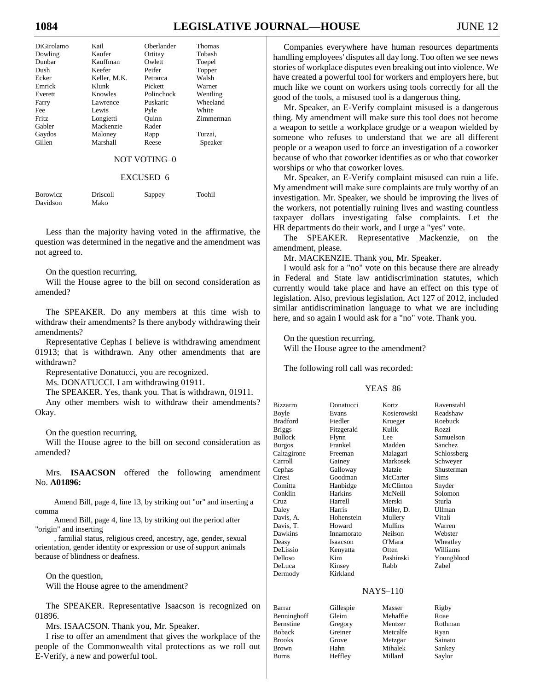# **1084 LEGISLATIVE JOURNAL—HOUSE** JUNE 12

| DiGirolamo | Kail            | Oberlander | Thomas    |
|------------|-----------------|------------|-----------|
| Dowling    | Kaufer          | Ortitay    | Tobash    |
| Dunbar     | Kauffman        | Owlett     | Toepel    |
| Dush       | Keefer          | Peifer     | Topper    |
| Ecker      | Keller, M.K.    | Petrarca   | Walsh     |
| Emrick     | Klunk           | Pickett    | Warner    |
| Everett    | Knowles         | Polinchock | Wentling  |
| Farry      | <b>Lawrence</b> | Puskaric   | Wheeland  |
| Fee        | Lewis           | Pyle       | White     |
| Fritz      | Longietti       | Ouinn      | Zimmerman |
| Gabler     | Mackenzie       | Rader      |           |
| Gaydos     | Maloney         | Rapp       | Turzai.   |
| Gillen     | Marshall        | Reese      | Speaker   |
|            |                 |            |           |

NOT VOTING–0

#### EXCUSED–6

| <b>Borowicz</b> | Driscoll | Sappey | Toohil |
|-----------------|----------|--------|--------|
| Davidson        | Mako     |        |        |

Less than the majority having voted in the affirmative, the question was determined in the negative and the amendment was not agreed to.

On the question recurring,

Will the House agree to the bill on second consideration as amended?

The SPEAKER. Do any members at this time wish to withdraw their amendments? Is there anybody withdrawing their amendments?

Representative Cephas I believe is withdrawing amendment 01913; that is withdrawn. Any other amendments that are withdrawn?

Representative Donatucci, you are recognized.

Ms. DONATUCCI. I am withdrawing 01911.

The SPEAKER. Yes, thank you. That is withdrawn, 01911.

Any other members wish to withdraw their amendments? Okay.

On the question recurring,

Will the House agree to the bill on second consideration as amended?

Mrs. **ISAACSON** offered the following amendment No. **A01896:**

Amend Bill, page 4, line 13, by striking out "or" and inserting a comma

Amend Bill, page 4, line 13, by striking out the period after "origin" and inserting

, familial status, religious creed, ancestry, age, gender, sexual orientation, gender identity or expression or use of support animals because of blindness or deafness.

On the question, Will the House agree to the amendment?

The SPEAKER. Representative Isaacson is recognized on 01896.

Mrs. ISAACSON. Thank you, Mr. Speaker.

I rise to offer an amendment that gives the workplace of the people of the Commonwealth vital protections as we roll out E-Verify, a new and powerful tool.

Companies everywhere have human resources departments handling employees' disputes all day long. Too often we see news stories of workplace disputes even breaking out into violence. We have created a powerful tool for workers and employers here, but much like we count on workers using tools correctly for all the good of the tools, a misused tool is a dangerous thing.

Mr. Speaker, an E-Verify complaint misused is a dangerous thing. My amendment will make sure this tool does not become a weapon to settle a workplace grudge or a weapon wielded by someone who refuses to understand that we are all different people or a weapon used to force an investigation of a coworker because of who that coworker identifies as or who that coworker worships or who that coworker loves.

Mr. Speaker, an E-Verify complaint misused can ruin a life. My amendment will make sure complaints are truly worthy of an investigation. Mr. Speaker, we should be improving the lives of the workers, not potentially ruining lives and wasting countless taxpayer dollars investigating false complaints. Let the HR departments do their work, and I urge a "yes" vote.

The SPEAKER. Representative Mackenzie, on the amendment, please.

Mr. MACKENZIE. Thank you, Mr. Speaker.

I would ask for a "no" vote on this because there are already in Federal and State law antidiscrimination statutes, which currently would take place and have an effect on this type of legislation. Also, previous legislation, Act 127 of 2012, included similar antidiscrimination language to what we are including here, and so again I would ask for a "no" vote. Thank you.

On the question recurring,

Will the House agree to the amendment?

The following roll call was recorded:

| <b>Bizzarro</b> | Donatucci      | Kortz       | Ravenstahl  |
|-----------------|----------------|-------------|-------------|
| Boyle           | Evans          | Kosierowski | Readshaw    |
| <b>Bradford</b> | Fiedler        | Krueger     | Roebuck     |
| <b>Briggs</b>   | Fitzgerald     | Kulik       | Rozzi       |
| <b>Bullock</b>  | Flynn          | Lee         | Samuelson   |
| Burgos          | Frankel        | Madden      | Sanchez     |
| Caltagirone     | Freeman        | Malagari    | Schlossberg |
| Carroll         | Gainey         | Markosek    | Schweyer    |
| Cephas          | Galloway       | Matzie      | Shusterman  |
| Ciresi          | Goodman        | McCarter    | <b>Sims</b> |
| Comitta         | Hanbidge       | McClinton   | Snyder      |
| Conklin         | <b>Harkins</b> | McNeill     | Solomon     |
| Cruz            | Harrell        | Merski      | Sturla      |
| Daley           | Harris         | Miller, D.  | Ullman      |
| Davis, A.       | Hohenstein     | Mullery     | Vitali      |
| Davis, T.       | Howard         | Mullins     | Warren      |
| Dawkins         | Innamorato     | Neilson     | Webster     |
| Deasy           | Isaacson       | O'Mara      | Wheatley    |
| DeLissio        | Kenyatta       | Otten       | Williams    |
| Delloso         | Kim            | Pashinski   | Youngblood  |
| DeLuca          | Kinsey         | Rabb        | Zabel       |
| Dermody         | Kirkland       |             |             |
|                 |                | $NAYS-110$  |             |
| <b>Barrar</b>   | Gillespie      | Masser      | Rigby       |

| рапаг         | <b>Gillespie</b> | iviassei | <b>KILUY</b> |
|---------------|------------------|----------|--------------|
| Benninghoff   | Gleim            | Mehaffie | Roae         |
| Bernstine     | Gregory          | Mentzer  | Rothman      |
| Boback        | Greiner          | Metcalfe | Ryan         |
| <b>Brooks</b> | Grove            | Metzgar  | Sainato      |
| Brown         | Hahn             | Mihalek  | Sankey       |
| Burns         | Heffley          | Millard  | Saylor       |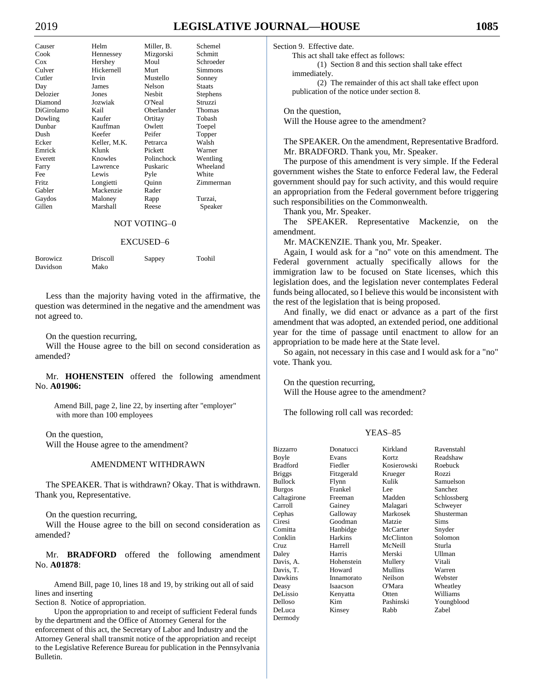# 2019 **LEGISLATIVE JOURNAL—HOUSE 1085**

| Causer                           | Helm       | Miller. B. | Schemel           | S |
|----------------------------------|------------|------------|-------------------|---|
| Cook                             | Hennessey  | Mizgorski  | Schmitt           |   |
| Cox                              | Hershey    | Moul       | Schroeder         |   |
| Culver                           | Hickernell | Murt       | <b>Simmons</b>    |   |
| Cutler                           | Irvin      | Mustello   | Sonney            |   |
| $\mathbf{D}_{\alpha \mathbf{v}}$ | Iamas      | $N$ alaan  | $C_{\text{foot}}$ |   |

Cutler Irvin Mustello Sonney Day James Nelson Staats Delozier Jones Nesbit Stephens Diamond Jozwiak O'Neal Struzzi DiGirolamo Kail Oberlander Thomas Dowling Kaufer Ortitay Tobash Dunbar Kauffman Owlett Toepel Dush Keefer Peifer Topper<br>Ecker Keller, M.K. Petrarca Walsh Keller, M.K. Emrick Klunk Pickett Warner Everett Knowles Polinchock Wentling Farry Lawrence Puskaric Wheeland Fee Lewis Pyle White Fritz Longietti Quinn Zimmerman Gabler Mackenzie Rader Gaydos Maloney Rapp Turzai, Gillen Marshall Reese Speaker

## NOT VOTING–0

#### EXCUSED–6

| <b>Borowicz</b> | Driscoll | Sappey | Toohil |
|-----------------|----------|--------|--------|
| Davidson        | Mako     |        |        |

Less than the majority having voted in the affirmative, the question was determined in the negative and the amendment was not agreed to.

On the question recurring,

Will the House agree to the bill on second consideration as amended?

Mr. **HOHENSTEIN** offered the following amendment No. **A01906:**

Amend Bill, page 2, line 22, by inserting after "employer" with more than 100 employees

On the question,

Will the House agree to the amendment?

#### AMENDMENT WITHDRAWN

The SPEAKER. That is withdrawn? Okay. That is withdrawn. Thank you, Representative.

On the question recurring,

Will the House agree to the bill on second consideration as amended?

Mr. **BRADFORD** offered the following amendment No. **A01878**:

Amend Bill, page 10, lines 18 and 19, by striking out all of said lines and inserting

Section 8. Notice of appropriation.

Upon the appropriation to and receipt of sufficient Federal funds by the department and the Office of Attorney General for the enforcement of this act, the Secretary of Labor and Industry and the Attorney General shall transmit notice of the appropriation and receipt to the Legislative Reference Bureau for publication in the Pennsylvania Bulletin.

ection 9. Effective date.

This act shall take effect as follows:

(1) Section 8 and this section shall take effect immediately.

(2) The remainder of this act shall take effect upon publication of the notice under section 8.

On the question, Will the House agree to the amendment?

The SPEAKER. On the amendment, Representative Bradford. Mr. BRADFORD. Thank you, Mr. Speaker.

The purpose of this amendment is very simple. If the Federal government wishes the State to enforce Federal law, the Federal government should pay for such activity, and this would require an appropriation from the Federal government before triggering such responsibilities on the Commonwealth.

Thank you, Mr. Speaker.

The SPEAKER. Representative Mackenzie, on the amendment.

Mr. MACKENZIE. Thank you, Mr. Speaker.

Again, I would ask for a "no" vote on this amendment. The Federal government actually specifically allows for the immigration law to be focused on State licenses, which this legislation does, and the legislation never contemplates Federal funds being allocated, so I believe this would be inconsistent with the rest of the legislation that is being proposed.

And finally, we did enact or advance as a part of the first amendment that was adopted, an extended period, one additional year for the time of passage until enactment to allow for an appropriation to be made here at the State level.

So again, not necessary in this case and I would ask for a "no" vote. Thank you.

On the question recurring, Will the House agree to the amendment?

The following roll call was recorded:

| <b>Bizzarro</b> | Donatucci  | Kirkland       | Ravenstahl  |
|-----------------|------------|----------------|-------------|
| Boyle           | Evans      | Kortz          | Readshaw    |
| <b>Bradford</b> | Fiedler    | Kosierowski    | Roebuck     |
| <b>Briggs</b>   | Fitzgerald | Krueger        | Rozzi       |
| <b>Bullock</b>  | Flynn      | Kulik          | Samuelson   |
| <b>Burgos</b>   | Frankel    | Lee            | Sanchez     |
| Caltagirone     | Freeman    | Madden         | Schlossberg |
| Carroll         | Gainey     | Malagari       | Schweyer    |
| Cephas          | Galloway   | Markosek       | Shusterman  |
| Ciresi          | Goodman    | Matzie         | <b>Sims</b> |
| Comitta         | Hanbidge   | McCarter       | Snyder      |
| Conklin         | Harkins    | McClinton      | Solomon     |
| Cruz.           | Harrell    | McNeill        | Sturla      |
| Daley           | Harris     | Merski         | Ullman      |
| Davis, A.       | Hohenstein | Mullery        | Vitali      |
| Davis, T.       | Howard     | <b>Mullins</b> | Warren      |
| Dawkins         | Innamorato | Neilson        | Webster     |
| Deasy           | Isaacson   | O'Mara         | Wheatley    |
| DeLissio        | Kenyatta   | Otten          | Williams    |
| Delloso         | Kim        | Pashinski      | Youngblood  |
| DeLuca          | Kinsey     | Rabb           | Zabel       |
| Dermody         |            |                |             |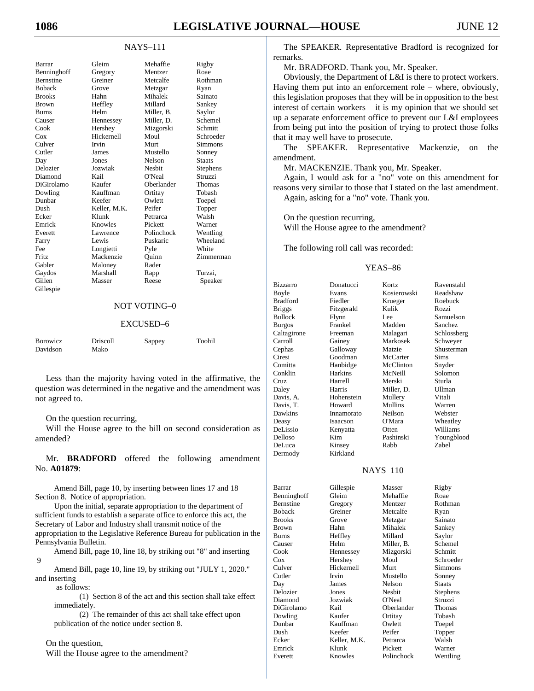### NAYS–111

| Barrar           | Gleim        | Mehaffie      | Rigby         |
|------------------|--------------|---------------|---------------|
| Benninghoff      | Gregory      | Mentzer       | Roae          |
| <b>Bernstine</b> | Greiner      | Metcalfe      | Rothman       |
| <b>Boback</b>    | Grove        | Metzgar       | Ryan          |
| <b>Brooks</b>    | Hahn         | Mihalek       | Sainato       |
| <b>Brown</b>     | Heffley      | Millard       | Sankey        |
| <b>Burns</b>     | Helm         | Miller. B.    | Saylor        |
| Causer           | Hennessey    | Miller. D.    | Schemel       |
| Cook             | Hershey      | Mizgorski     | Schmitt       |
| Cox              | Hickernell   | Moul          | Schroeder     |
| Culver           | Irvin        | Murt          | Simmons       |
| Cutler           | James        | Mustello      | Sonney        |
| Day              | <b>Jones</b> | Nelson        | <b>Staats</b> |
| Delozier         | Jozwiak      | <b>Neshit</b> | Stephens      |
| Diamond          | Kail         | O'Neal        | Struzzi       |
| DiGirolamo       | Kaufer       | Oberlander    | Thomas        |
| Dowling          | Kauffman     | Ortitay       | Tobash        |
| Dunbar           | Keefer       | Owlett        | Toepel        |
| Dush             | Keller, M.K. | Peifer        | Topper        |
| Ecker            | Klunk        | Petrarca      | Walsh         |
| Emrick           | Knowles      | Pickett       | Warner        |
| Everett          | Lawrence     | Polinchock    | Wentling      |
| Farry            | Lewis        | Puskaric      | Wheeland      |
| Fee              | Longietti    | Pyle          | White         |
| Fritz            | Mackenzie    | Ouinn         | Zimmerman     |
| Gabler           | Maloney      | Rader         |               |
| Gaydos           | Marshall     | Rapp          | Turzai.       |
| Gillen           | Masser       | Reese         | Speaker       |
| Gillespie        |              |               |               |
|                  |              |               |               |

## NOT VOTING–0

#### EXCUSED–6

| <b>Borowicz</b> | Driscoll | Sappey | Toohil |
|-----------------|----------|--------|--------|
| Davidson        | Mako     |        |        |

Less than the majority having voted in the affirmative, the question was determined in the negative and the amendment was not agreed to.

#### On the question recurring,

Will the House agree to the bill on second consideration as amended?

Mr. **BRADFORD** offered the following amendment No. **A01879**:

Amend Bill, page 10, by inserting between lines 17 and 18 Section 8. Notice of appropriation.

Upon the initial, separate appropriation to the department of sufficient funds to establish a separate office to enforce this act, the Secretary of Labor and Industry shall transmit notice of the appropriation to the Legislative Reference Bureau for publication in the Pennsylvania Bulletin.

Amend Bill, page 10, line 18, by striking out "8" and inserting 9

Amend Bill, page 10, line 19, by striking out "JULY 1, 2020." and inserting

as follows:

(1) Section 8 of the act and this section shall take effect immediately.

(2) The remainder of this act shall take effect upon publication of the notice under section 8.

#### On the question,

Will the House agree to the amendment?

The SPEAKER. Representative Bradford is recognized for remarks.

Mr. BRADFORD. Thank you, Mr. Speaker.

Obviously, the Department of L&I is there to protect workers. Having them put into an enforcement role – where, obviously, this legislation proposes that they will be in opposition to the best interest of certain workers – it is my opinion that we should set up a separate enforcement office to prevent our L&I employees from being put into the position of trying to protect those folks that it may well have to prosecute.

The SPEAKER. Representative Mackenzie, on the amendment.

Mr. MACKENZIE. Thank you, Mr. Speaker.

Again, I would ask for a "no" vote on this amendment for reasons very similar to those that I stated on the last amendment. Again, asking for a "no" vote. Thank you.

On the question recurring, Will the House agree to the amendment?

The following roll call was recorded:

#### YEAS–86

| <b>Bizzarro</b> | Donatucci      | Kortz       | Ravenstahl  |
|-----------------|----------------|-------------|-------------|
| Boyle           | Evans          | Kosierowski | Readshaw    |
| Bradford        | Fiedler        | Krueger     | Roebuck     |
| <b>Briggs</b>   | Fitzgerald     | Kulik       | Rozzi       |
| Bullock         | Flynn          | Lee         | Samuelson   |
| Burgos          | Frankel        | Madden      | Sanchez     |
| Caltagirone     | Freeman        | Malagari    | Schlossberg |
| Carroll         | Gainey         | Markosek    | Schweyer    |
| Cephas          | Galloway       | Matzie      | Shusterman  |
| Ciresi          | Goodman        | McCarter    | Sims        |
| Comitta         | Hanbidge       | McClinton   | Snyder      |
| Conklin         | <b>Harkins</b> | McNeill     | Solomon     |
| Cruz            | Harrell        | Merski      | Sturla      |
| Daley           | Harris         | Miller, D.  | Ullman      |
| Davis, A.       | Hohenstein     | Mullery     | Vitali      |
| Davis, T.       | Howard         | Mullins     | Warren      |
| Dawkins         | Innamorato     | Neilson     | Webster     |
| Deasy           | Isaacson       | O'Mara      | Wheatley    |
| DeLissio        | Kenyatta       | Otten       | Williams    |
| Delloso         | Kim            | Pashinski   | Youngblood  |
| DeLuca          | Kinsey         | Rabb        | Zabel       |
| Dermody         | Kirkland       |             |             |

## NAYS–110

| Barrar        | Gillespie    | Masser     | Rigby           |
|---------------|--------------|------------|-----------------|
| Benninghoff   | Gleim        | Mehaffie   | Roae            |
| Bernstine     | Gregory      | Mentzer    | Rothman         |
| Boback        | Greiner      | Metcalfe   | Ryan            |
| <b>Brooks</b> | Grove        | Metzgar    | Sainato         |
| Brown         | Hahn         | Mihalek    | Sankey          |
| <b>Burns</b>  | Heffley      | Millard    | Saylor          |
| Causer        | Helm         | Miller, B. | Schemel         |
| Cook          | Hennessey    | Mizgorski  | Schmitt         |
| Cox           | Hershey      | Moul       | Schroeder       |
| Culver        | Hickernell   | Murt       | Simmons         |
| Cutler        | Irvin        | Mustello   | Sonney          |
| Day           | James        | Nelson     | <b>Staats</b>   |
| Delozier      | Jones        | Nesbit     | <b>Stephens</b> |
| Diamond       | Jozwiak      | O'Neal     | Struzzi         |
| DiGirolamo    | Kail         | Oberlander | Thomas          |
| Dowling       | Kaufer       | Ortitay    | Tobash          |
| Dunbar        | Kauffman     | Owlett     | Toepel          |
| Dush          | Keefer       | Peifer     | Topper          |
| Ecker         | Keller, M.K. | Petrarca   | Walsh           |
| Emrick        | Klunk        | Pickett    | Warner          |
| Everett       | Knowles      | Polinchock | Wentling        |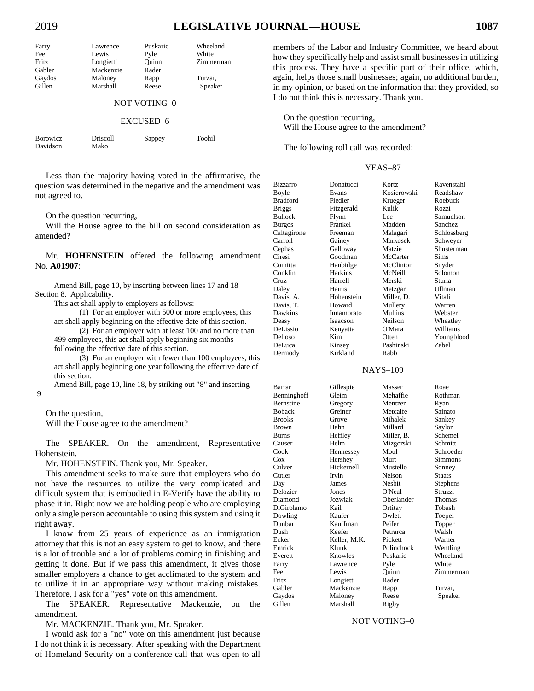# 2019 **LEGISLATIVE JOURNAL—HOUSE 1087**

| Farry        | Lawrence  | Puskaric | Wheeland  |  |
|--------------|-----------|----------|-----------|--|
| Fee          | Lewis     | Pyle     | White     |  |
| Fritz        | Longietti | Ouinn    | Zimmerman |  |
| Gabler       | Mackenzie | Rader    |           |  |
| Gaydos       | Maloney   | Rapp     | Turzai,   |  |
| Gillen       | Marshall  | Reese    | Speaker   |  |
| NOT VOTING-0 |           |          |           |  |
| EXCUSED–6    |           |          |           |  |

| <b>Borowicz</b> | Driscoll | Sappey | Toohil |
|-----------------|----------|--------|--------|
| Davidson        | Mako     |        |        |

Less than the majority having voted in the affirmative, the question was determined in the negative and the amendment was not agreed to.

On the question recurring,

Will the House agree to the bill on second consideration as amended?

Mr. **HOHENSTEIN** offered the following amendment No. **A01907**:

Amend Bill, page 10, by inserting between lines 17 and 18 Section 8. Applicability.

This act shall apply to employers as follows:

(1) For an employer with 500 or more employees, this act shall apply beginning on the effective date of this section.

(2) For an employer with at least 100 and no more than 499 employees, this act shall apply beginning six months

following the effective date of this section.

(3) For an employer with fewer than 100 employees, this act shall apply beginning one year following the effective date of this section.

Amend Bill, page 10, line 18, by striking out "8" and inserting

On the question,

9

Will the House agree to the amendment?

The SPEAKER. On the amendment, Representative Hohenstein.

Mr. HOHENSTEIN. Thank you, Mr. Speaker.

This amendment seeks to make sure that employers who do not have the resources to utilize the very complicated and difficult system that is embodied in E-Verify have the ability to phase it in. Right now we are holding people who are employing only a single person accountable to using this system and using it right away.

I know from 25 years of experience as an immigration attorney that this is not an easy system to get to know, and there is a lot of trouble and a lot of problems coming in finishing and getting it done. But if we pass this amendment, it gives those smaller employers a chance to get acclimated to the system and to utilize it in an appropriate way without making mistakes. Therefore, I ask for a "yes" vote on this amendment.

The SPEAKER. Representative Mackenzie, on the amendment.

Mr. MACKENZIE. Thank you, Mr. Speaker.

I would ask for a "no" vote on this amendment just because I do not think it is necessary. After speaking with the Department of Homeland Security on a conference call that was open to all members of the Labor and Industry Committee, we heard about how they specifically help and assist small businesses in utilizing this process. They have a specific part of their office, which, again, helps those small businesses; again, no additional burden, in my opinion, or based on the information that they provided, so I do not think this is necessary. Thank you.

On the question recurring, Will the House agree to the amendment?

The following roll call was recorded:

## YEAS–87

| Bizzarro      | Donatucci      | Kortz       | Ravenstahl    |
|---------------|----------------|-------------|---------------|
| Boyle         | Evans          | Kosierowski | Readshaw      |
| Bradford      | Fiedler        | Krueger     | Roebuck       |
| <b>Briggs</b> | Fitzgerald     | Kulik       | Rozzi         |
| Bullock       | Flynn          | Lee         | Samuelson     |
| Burgos        | Frankel        | Madden      | Sanchez       |
| Caltagirone   | Freeman        | Malagari    | Schlossberg   |
| Carroll       | Gainey         | Markosek    | Schweyer      |
| Cephas        | Galloway       | Matzie      | Shusterman    |
| Ciresi        | Goodman        | McCarter    | <b>Sims</b>   |
| Comitta       | Hanbidge       | McClinton   | Snyder        |
| Conklin       | <b>Harkins</b> | McNeill     | Solomon       |
| Cruz          | Harrell        | Merski      | Sturla        |
| Daley         | Harris         | Metzgar     | <b>Ullman</b> |
| Davis, A.     | Hohenstein     | Miller, D.  | Vitali        |
| Davis, T.     | Howard         | Mullery     | Warren        |
| Dawkins       | Innamorato     | Mullins     | Webster       |
| Deasy         | Isaacson       | Neilson     | Wheatley      |
| DeLissio      | Kenyatta       | O'Mara      | Williams      |
| Delloso       | Kim            | Otten       | Youngblood    |
| DeLuca        | Kinsey         | Pashinski   | Zabel         |
| Dermody       | Kirkland       | Rabb        |               |
|               |                |             |               |

NAYS–109

Barrar Gillespie Masser Roae Benninghoff Gleim Mehaffie Rothman Bernstine Gregory Mentzer Ryan Boback Greiner Metcalfe Sainato Brooks Grove Mihalek Sankey Brown Hahn Millard Saylor Burns Heffley Miller, B. Schemel Causer Helm Mizgorski Schmitt Cook Hennessey Moul Schroeder Cox Hershey Murt Simmons Culver Hickernell Mustello Sonney Cutler Irvin Nelson Staats Day James Nesbit Stephens Delozier Jones O'Neal Struzzi Diamond Jozwiak Oberlander Thomas<br>DiGirolamo Kail Ortitay Tobash DiGirolamo Kail Ortitay Dowling Kaufer Owlett Toepel Dunbar Kauffman Peifer Topper Dush Keefer Petrarca Ecker Keller, M.K. Pickett Warner Emrick Klunk Polinchock Wentling Everett Knowles Puskaric Wheeland Farry Lawrence Pyle White Fee Lewis Quinn Zimmerman Fritz Longietti Rader Gabler Mackenzie Rapp Turzai, Gaydos Maloney Reese Speaker Gillen Marshall Rigby

## NOT VOTING–0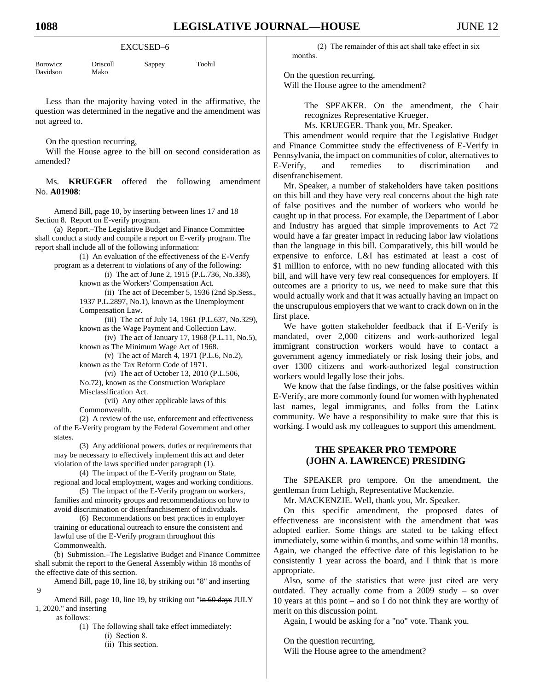#### EXCUSED–6

| <b>Borowicz</b> | Driscoll | Sappey | Toohil |
|-----------------|----------|--------|--------|
| Davidson        | Mako     |        |        |

Less than the majority having voted in the affirmative, the question was determined in the negative and the amendment was not agreed to.

On the question recurring,

Will the House agree to the bill on second consideration as amended?

Ms. **KRUEGER** offered the following amendment No. **A01908**:

Amend Bill, page 10, by inserting between lines 17 and 18 Section 8. Report on E-verify program.

(a) Report.–The Legislative Budget and Finance Committee shall conduct a study and compile a report on E-verify program. The report shall include all of the following information:

(1) An evaluation of the effectiveness of the E-Verify program as a deterrent to violations of any of the following:

(i) The act of June 2, 1915 (P.L.736, No.338), known as the Workers' Compensation Act.

(ii) The act of December 5, 1936 (2nd Sp.Sess., 1937 P.L.2897, No.1), known as the Unemployment Compensation Law.

(iii) The act of July 14, 1961 (P.L.637, No.329), known as the Wage Payment and Collection Law.

(iv) The act of January 17, 1968 (P.L.11, No.5), known as The Minimum Wage Act of 1968.

(v) The act of March 4, 1971 (P.L.6, No.2), known as the Tax Reform Code of 1971.

(vi) The act of October 13, 2010 (P.L.506, No.72), known as the Construction Workplace Misclassification Act.

(vii) Any other applicable laws of this Commonwealth.

(2) A review of the use, enforcement and effectiveness of the E-Verify program by the Federal Government and other states.

(3) Any additional powers, duties or requirements that may be necessary to effectively implement this act and deter violation of the laws specified under paragraph (1).

(4) The impact of the E-Verify program on State, regional and local employment, wages and working conditions.

(5) The impact of the E-Verify program on workers, families and minority groups and recommendations on how to avoid discrimination or disenfranchisement of individuals.

(6) Recommendations on best practices in employer training or educational outreach to ensure the consistent and lawful use of the E-Verify program throughout this Commonwealth.

(b) Submission.–The Legislative Budget and Finance Committee shall submit the report to the General Assembly within 18 months of the effective date of this section.

Amend Bill, page 10, line 18, by striking out "8" and inserting

Amend Bill, page 10, line 19, by striking out "in 60 days JULY 1, 2020." and inserting

as follows:

 $\overline{Q}$ 

(1) The following shall take effect immediately:

- (i) Section 8.
- (ii) This section.

(2) The remainder of this act shall take effect in six months.

On the question recurring, Will the House agree to the amendment?

> The SPEAKER. On the amendment, the Chair recognizes Representative Krueger.

Ms. KRUEGER. Thank you, Mr. Speaker.

This amendment would require that the Legislative Budget and Finance Committee study the effectiveness of E-Verify in Pennsylvania, the impact on communities of color, alternatives to E-Verify, and remedies to discrimination and disenfranchisement.

Mr. Speaker, a number of stakeholders have taken positions on this bill and they have very real concerns about the high rate of false positives and the number of workers who would be caught up in that process. For example, the Department of Labor and Industry has argued that simple improvements to Act 72 would have a far greater impact in reducing labor law violations than the language in this bill. Comparatively, this bill would be expensive to enforce. L&I has estimated at least a cost of \$1 million to enforce, with no new funding allocated with this bill, and will have very few real consequences for employers. If outcomes are a priority to us, we need to make sure that this would actually work and that it was actually having an impact on the unscrupulous employers that we want to crack down on in the first place.

We have gotten stakeholder feedback that if E-Verify is mandated, over 2,000 citizens and work-authorized legal immigrant construction workers would have to contact a government agency immediately or risk losing their jobs, and over 1300 citizens and work-authorized legal construction workers would legally lose their jobs.

We know that the false findings, or the false positives within E-Verify, are more commonly found for women with hyphenated last names, legal immigrants, and folks from the Latinx community. We have a responsibility to make sure that this is working. I would ask my colleagues to support this amendment.

# **THE SPEAKER PRO TEMPORE (JOHN A. LAWRENCE) PRESIDING**

The SPEAKER pro tempore. On the amendment, the gentleman from Lehigh, Representative Mackenzie.

Mr. MACKENZIE. Well, thank you, Mr. Speaker.

On this specific amendment, the proposed dates of effectiveness are inconsistent with the amendment that was adopted earlier. Some things are stated to be taking effect immediately, some within 6 months, and some within 18 months. Again, we changed the effective date of this legislation to be consistently 1 year across the board, and I think that is more appropriate.

Also, some of the statistics that were just cited are very outdated. They actually come from a 2009 study – so over 10 years at this point – and so I do not think they are worthy of merit on this discussion point.

Again, I would be asking for a "no" vote. Thank you.

On the question recurring, Will the House agree to the amendment?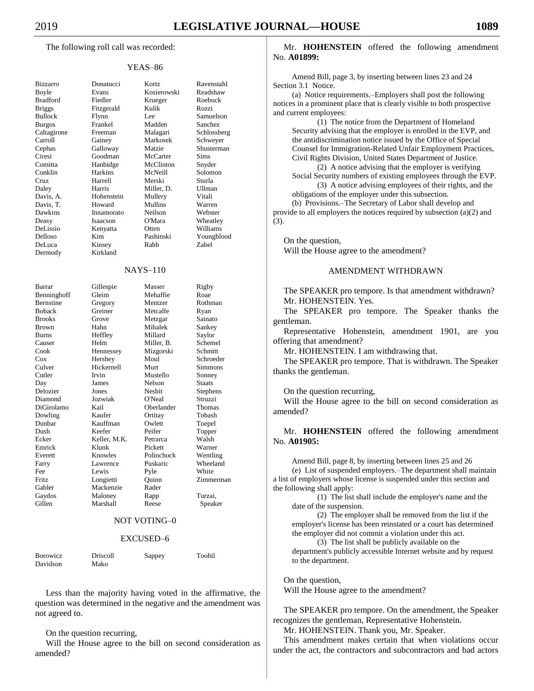The following roll call was recorded:

## YEAS–86

| Bizzarro                                                      |
|---------------------------------------------------------------|
| Boyle                                                         |
| <b>Bradford</b>                                               |
| <b>Briggs</b>                                                 |
| <b>Bullock</b>                                                |
| <b>Burgos</b>                                                 |
|                                                               |
| Caltagirone                                                   |
| Canagire<br>Carroll<br>Cephas<br>Ciresi<br>Comitta<br>Conklin |
|                                                               |
|                                                               |
|                                                               |
|                                                               |
| Cruz                                                          |
|                                                               |
| Daley                                                         |
| Davis, A.                                                     |
| Davis, T.                                                     |
|                                                               |
| Dawkins<br>Deasy                                              |
| DeLissio                                                      |
|                                                               |
| Delloso<br>DeLuca                                             |
|                                                               |
| Dermody                                                       |
|                                                               |
|                                                               |
|                                                               |
|                                                               |
|                                                               |
| Barrar                                                        |
| Benninghoff                                                   |
| Bernstine                                                     |
| <b>Boback</b>                                                 |
| <b>Brooks</b>                                                 |
| <b>Brown</b>                                                  |
|                                                               |
| <b>Burns</b>                                                  |
|                                                               |
|                                                               |
|                                                               |
| Causer<br>Cook<br>Cox<br>Culver                               |
| Cutler                                                        |
| Day                                                           |
|                                                               |
| Delozier                                                      |
| Diamond                                                       |
| DiGirolamo                                                    |
| Dowling                                                       |
| Dunbar                                                        |
| Dush                                                          |
| Ecker                                                         |
| Emrick                                                        |
| Everett                                                       |
| Farry                                                         |
|                                                               |
| Fee                                                           |
| Fritz                                                         |
| Gabler<br>Gaydos                                              |

Donatucci Kortz Ravenstahl Evans Kosierowski Readshaw Fiedler Krueger Roebuck Briggs Fitzgerald Kulik Rozzi Flynn Lee Samuelson Frankel Madden Sanchez Freeman Malagari Schlossberg Gainey Markosek Schweyer<br>Calloway Matzie Shusterman Galloway Goodman McCarter Sims Hanbidge McClinton Snyder Harkins McNeill Solomon Cruz Harrell Merski Sturla Harris Miller, D. Ullman Hohenstein Mullery Vitali Howard Mullins Warren Innamorato Neilson Webster Isaacson O'Mara Wheatley DeLissio Kenyatta Otten Williams

Kim Pashinski Youngblood Kinsey Rabb Zabel

Rothman

Schemel

Schroeder Simmons Sonney

Stephens

Warner Wentling Wheeland

 $Zimmerman$ 

Speaker

#### NAYS–110

| Barrar           | Gillespie    | Masser     | Rigby   |
|------------------|--------------|------------|---------|
| Benninghoff      | Gleim        | Mehaffie   | Roae    |
| <b>Bernstine</b> | Gregory      | Mentzer    | Rothma  |
| <b>Boback</b>    | Greiner      | Metcalfe   | Ryan    |
| <b>Brooks</b>    | Grove        | Metzgar    | Sainato |
| <b>Brown</b>     | Hahn         | Mihalek    | Sankey  |
| <b>Burns</b>     | Heffley      | Millard    | Saylor  |
| Causer           | Helm         | Miller. B. | Scheme  |
| Cook             | Hennessey    | Mizgorski  | Schmitt |
| $\cos$           | Hershey      | Moul       | Schroed |
| Culver           | Hickernell   | Murt       | Simmor  |
| Cutler           | Irvin        | Mustello   | Sonney  |
| Day              | James        | Nelson     | Staats  |
| Delozier         | Jones        | Nesbit     | Stepher |
| Diamond          | Jozwiak      | O'Neal     | Struzzi |
| DiGirolamo       | Kail         | Oberlander | Thomas  |
| Dowling          | Kaufer       | Ortitay    | Tobash  |
| Dunbar           | Kauffman     | Owlett     | Toepel  |
| Dush             | Keefer       | Peifer     | Topper  |
| Ecker            | Keller, M.K. | Petrarca   | Walsh   |
| Emrick           | Klunk        | Pickett    | Warner  |
| Everett          | Knowles      | Polinchock | Wentlin |
| Farry            | Lawrence     | Puskaric   | Wheela  |
| Fee              | Lewis        | Pyle       | White   |
| Fritz.           | Longietti    | Quinn      | Zimmer  |
| Gabler           | Mackenzie    | Rader      |         |
| Gaydos           | Maloney      | Rapp       | Turzai, |
| Gillen           | Marshall     | Reese      | Speak   |
|                  |              |            |         |

Kirkland

# NOT VOTING–0

## EXCUSED–6

| <b>Borowicz</b> | Driscoll | Sappey | Toohil |
|-----------------|----------|--------|--------|
| Davidson        | Mako     |        |        |

Less than the majority having voted in the affirmative, the question was determined in the negative and the amendment was not agreed to.

## On the question recurring,

Will the House agree to the bill on second consideration as amended?

Mr. **HOHENSTEIN** offered the following amendment No. **A01899:**

Amend Bill, page 3, by inserting between lines 23 and 24 Section 3.1 Notice.

(a) Notice requirements.–Employers shall post the following notices in a prominent place that is clearly visible to both prospective and current employees:

(1) The notice from the Department of Homeland Security advising that the employer is enrolled in the EVP, and the antidiscrimination notice issued by the Office of Special Counsel for Immigration-Related Unfair Employment Practices, Civil Rights Division, United States Department of Justice.

(2) A notice advising that the employer is verifying Social Security numbers of existing employees through the EVP. (3) A notice advising employees of their rights, and the

obligations of the employer under this subsection.

(b) Provisions.–The Secretary of Labor shall develop and provide to all employers the notices required by subsection (a)(2) and (3).

On the question,

Will the House agree to the amendment?

## AMENDMENT WITHDRAWN

The SPEAKER pro tempore. Is that amendment withdrawn? Mr. HOHENSTEIN. Yes.

The SPEAKER pro tempore. The Speaker thanks the gentleman.

Representative Hohenstein, amendment 1901, are you offering that amendment?

Mr. HOHENSTEIN. I am withdrawing that.

The SPEAKER pro tempore. That is withdrawn. The Speaker thanks the gentleman.

On the question recurring,

Will the House agree to the bill on second consideration as amended?

Mr. **HOHENSTEIN** offered the following amendment No. **A01905:**

Amend Bill, page 8, by inserting between lines 25 and 26 (e) List of suspended employers.–The department shall maintain a list of employers whose license is suspended under this section and the following shall apply:

(1) The list shall include the employer's name and the date of the suspension.

(2) The employer shall be removed from the list if the employer's license has been reinstated or a court has determined the employer did not commit a violation under this act.

(3) The list shall be publicly available on the

department's publicly accessible Internet website and by request to the department.

#### On the question,

Will the House agree to the amendment?

The SPEAKER pro tempore. On the amendment, the Speaker recognizes the gentleman, Representative Hohenstein.

Mr. HOHENSTEIN. Thank you, Mr. Speaker.

This amendment makes certain that when violations occur under the act, the contractors and subcontractors and bad actors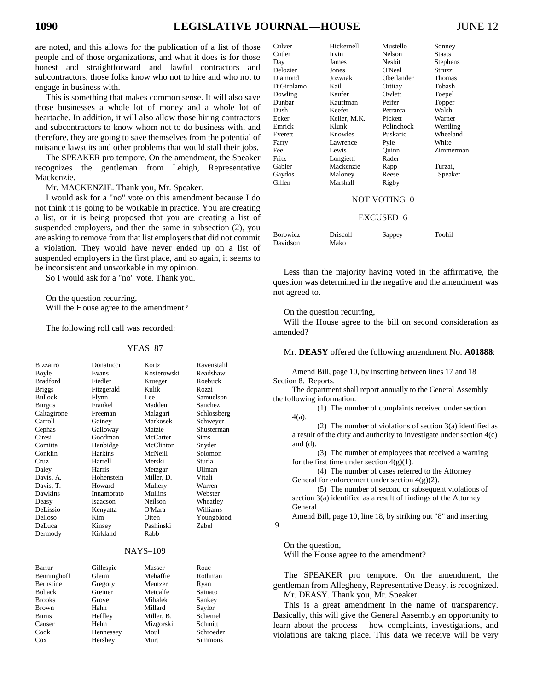are noted, and this allows for the publication of a list of those people and of those organizations, and what it does is for those honest and straightforward and lawful contractors and subcontractors, those folks know who not to hire and who not to engage in business with.

This is something that makes common sense. It will also save those businesses a whole lot of money and a whole lot of heartache. In addition, it will also allow those hiring contractors and subcontractors to know whom not to do business with, and therefore, they are going to save themselves from the potential of nuisance lawsuits and other problems that would stall their jobs.

The SPEAKER pro tempore. On the amendment, the Speaker recognizes the gentleman from Lehigh, Representative Mackenzie.

Mr. MACKENZIE. Thank you, Mr. Speaker.

I would ask for a "no" vote on this amendment because I do not think it is going to be workable in practice. You are creating a list, or it is being proposed that you are creating a list of suspended employers, and then the same in subsection (2), you are asking to remove from that list employers that did not commit a violation. They would have never ended up on a list of suspended employers in the first place, and so again, it seems to be inconsistent and unworkable in my opinion.

So I would ask for a "no" vote. Thank you.

On the question recurring, Will the House agree to the amendment?

The following roll call was recorded:

#### YEAS–87

| <b>Bizzarro</b>  | Donatucci  | Kortz       | Ravenstahl    |
|------------------|------------|-------------|---------------|
| Boyle            | Evans      | Kosierowski | Readshaw      |
| <b>Bradford</b>  | Fiedler    | Krueger     | Roebuck       |
| <b>Briggs</b>    | Fitzgerald | Kulik       | Rozzi         |
| <b>Bullock</b>   | Flynn      | Lee         | Samuelson     |
| <b>Burgos</b>    | Frankel    | Madden      | Sanchez       |
| Caltagirone      | Freeman    | Malagari    | Schlossberg   |
| Carroll          | Gainey     | Markosek    | Schweyer      |
| Cephas           | Galloway   | Matzie      | Shusterman    |
| Ciresi           | Goodman    | McCarter    | Sims          |
| Comitta          | Hanbidge   | McClinton   | Snyder        |
| Conklin          | Harkins    | McNeill     | Solomon       |
| Cruz             | Harrell    | Merski      | Sturla        |
| Daley            | Harris     | Metzgar     | <b>Ullman</b> |
| Davis, A.        | Hohenstein | Miller. D.  | Vitali        |
| Davis, T.        | Howard     | Mullery     | Warren        |
| Dawkins          | Innamorato | Mullins     | Webster       |
| Deasy            | Isaacson   | Neilson     | Wheatley      |
| DeLissio         | Kenyatta   | O'Mara      | Williams      |
| Delloso          | Kim        | Otten       | Youngblood    |
| DeLuca           | Kinsey     | Pashinski   | <b>Zabel</b>  |
| Dermody          | Kirkland   | Rabb        |               |
|                  |            | $NAYS-109$  |               |
|                  |            |             |               |
| Barrar           | Gillespie  | Masser      | Roae          |
| Benninghoff      | Gleim      | Mehaffie    | Rothman       |
| <b>Bernstine</b> | Gregory    | Mentzer     | Ryan          |
| <b>Boback</b>    | Greiner    | Metcalfe    | Sainato       |
| <b>Brooks</b>    | Grove      | Mihalek     | Sankey        |
| <b>Brown</b>     | Hahn       | Millard     | Savlor        |

Burns Heffley Miller, B. Schemel Causer Helm Mizgorski Schmitt Cook Hennessey Moul Schroeder Cox Hershey Murt Simmons

| Culver       | Hickernell   | Mustello     | Sonney        |
|--------------|--------------|--------------|---------------|
| Cutler       | Irvin        | Nelson       | <b>Staats</b> |
| Day          | James        | Nesbit       | Stephens      |
| Delozier     | Jones        | O'Neal       | Struzzi       |
| Diamond      | Jozwiak      | Oberlander   | Thomas        |
| DiGirolamo   | Kail         | Ortitay      | Tobash        |
| Dowling      | Kaufer       | Owlett       | Toepel        |
| Dunbar       | Kauffman     | Peifer       | Topper        |
| Dush         | Keefer       | Petrarca     | Walsh         |
| Ecker        | Keller, M.K. | Pickett      | Warner        |
| Emrick       | Klunk        | Polinchock   | Wentling      |
| Everett      | Knowles      | Puskaric     | Wheeland      |
| Farry        | Lawrence     | Pyle         | White         |
| Fee          | Lewis        | Ouinn        | Zimmerman     |
| <b>Fritz</b> | Longietti    | Rader        |               |
| Gabler       | Mackenzie    | Rapp         | Turzai,       |
| Gaydos       | Maloney      | Reese        | Speaker       |
| Gillen       | Marshall     | Rigby        |               |
|              |              | NOT VOTING-0 |               |
|              |              | EXCUSED-6    |               |

| <b>Borowicz</b> | Driscoll | Sappey | Toohil |
|-----------------|----------|--------|--------|
| Davidson        | Mako     |        |        |

Less than the majority having voted in the affirmative, the question was determined in the negative and the amendment was not agreed to.

On the question recurring,

Will the House agree to the bill on second consideration as amended?

Mr. **DEASY** offered the following amendment No. **A01888**:

Amend Bill, page 10, by inserting between lines 17 and 18 Section 8. Reports.

The department shall report annually to the General Assembly the following information:

(1) The number of complaints received under section 4(a).

(2) The number of violations of section 3(a) identified as a result of the duty and authority to investigate under section 4(c) and (d).

(3) The number of employees that received a warning for the first time under section  $4(g)(1)$ .

(4) The number of cases referred to the Attorney General for enforcement under section 4(g)(2).

(5) The number of second or subsequent violations of section 3(a) identified as a result of findings of the Attorney General.

Amend Bill, page 10, line 18, by striking out "8" and inserting 9

On the question,

Will the House agree to the amendment?

The SPEAKER pro tempore. On the amendment, the gentleman from Allegheny, Representative Deasy, is recognized. Mr. DEASY. Thank you, Mr. Speaker.

This is a great amendment in the name of transparency. Basically, this will give the General Assembly an opportunity to learn about the process – how complaints, investigations, and violations are taking place. This data we receive will be very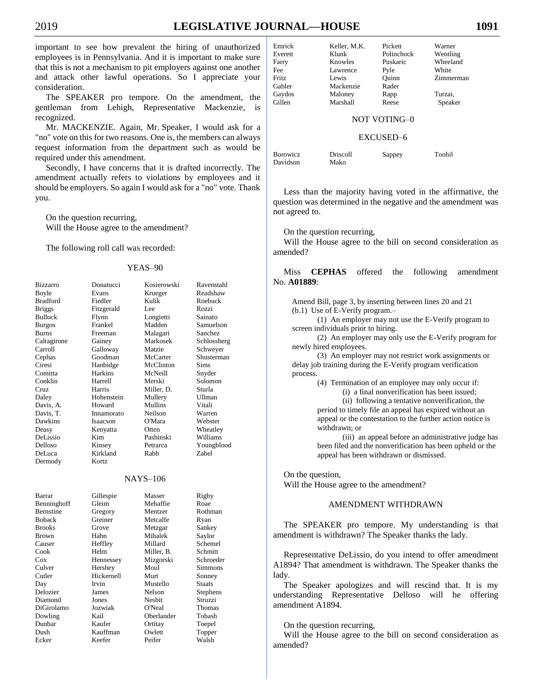important to see how prevalent the hiring of unauthorized employees is in Pennsylvania. And it is important to make sure that this is not a mechanism to pit employers against one another and attack other lawful operations. So I appreciate your consideration.

The SPEAKER pro tempore. On the amendment, the gentleman from Lehigh, Representative Mackenzie, is recognized.

Mr. MACKENZIE. Again, Mr. Speaker, I would ask for a "no" vote on this for two reasons. One is, the members can always request information from the department such as would be required under this amendment.

Secondly, I have concerns that it is drafted incorrectly. The amendment actually refers to violations by employees and it should be employers. So again I would ask for a "no" vote. Thank you.

On the question recurring, Will the House agree to the amendment?

The following roll call was recorded:

#### YEAS–90

| Bizzarro        | Donatucci  | Kosierowski     | Ravenstahl  |
|-----------------|------------|-----------------|-------------|
| Boyle           | Evans      | Krueger         | Readshaw    |
| <b>Bradford</b> | Fiedler    | Kulik           | Roebuck     |
| <b>Briggs</b>   | Fitzgerald | Lee             | Rozzi       |
| <b>Bullock</b>  | Flynn      | Longietti       | Sainato     |
| <b>Burgos</b>   | Frankel    | Madden          | Samuelson   |
| <b>Burns</b>    | Freeman    | Malagari        | Sanchez     |
| Caltagirone     | Gainey     | Markosek        | Schlossberg |
| Carroll         | Galloway   | Matzie          | Schweyer    |
| Cephas          | Goodman    | McCarter        | Shusterman  |
| Ciresi          | Hanbidge   | McClinton       | Sims        |
| Comitta         | Harkins    | McNeill         | Snyder      |
| Conklin         | Harrell    | Merski          | Solomon     |
| Cruz            | Harris     | Miller, D.      | Sturla      |
| Daley           | Hohenstein | Mullery         | Ullman      |
| Davis, A.       | Howard     | Mullins         | Vitali      |
| Davis, T.       | Innamorato | Neilson         | Warren      |
| Dawkins         | Isaacson   | O'Mara          | Webster     |
| Deasy           | Kenyatta   | Otten           | Wheatley    |
| DeLissio        | Kim        | Pashinski       | Williams    |
| Delloso         | Kinsey     | Petrarca        | Youngblood  |
| DeLuca          | Kirkland   | Rabb            | Zabel       |
| Dermody         | Kortz      |                 |             |
|                 |            |                 |             |
|                 |            | <b>NAYS-106</b> |             |
| Barrar          | Gillespie  | Masser          | Rigby       |
| Benninghoff     | Gleim      | Mehaffie        | Roae        |
| Bernstine       | Gregory    | Mentzer         | Rothman     |
| <b>Boback</b>   | Greiner    | Metcalfe        | Ryan        |
| <b>Brooks</b>   | Grove      | Metzgar         | Sankey      |
| Brown           | Hahn       | Mihalek         | Saylor      |
| Causer          | Heffley    | Millard         | Schemel     |
| Cook            | Helm       | Miller, B.      | Schmitt     |
| $\cos$          | Hennessey  | Mizgorski       | Schroeder   |
| Culver          | Hershey    | Moul            | Simmons     |
| Cutler          | Hickernell | Murt            | Sonney      |
| Day             | Irvin      | Mustello        | Staats      |
| Delozier        | James      | Nelson          | Stephens    |
| Diamond         | Jones      | Nesbit          | Struzzi     |
| DiGirolamo      | Jozwiak    | O'Neal          | Thomas      |
| Dowling         | Kail       | Oberlander      | Tobash      |
| Dunbar          | Kaufer     | Ortitay         | Toepel      |
| Dush            | Kauffman   | Owlett          | Topper      |
| Ecker           | Keefer     | Peifer          | Walsh       |
|                 |            |                 |             |

| Readshav |
|----------|
| Roebuck  |
| Rozzi    |
| Sainato  |
| Samuelso |
| Sanchez  |
| Schlossb |
| Schweyer |
| Shusterm |
| Sims     |
| Snyder   |
| Solomon  |
| Sturla   |
| Ullman   |
| Vitali   |
| Warren   |
| Webster  |
| Wheatley |
| Williams |
| Youngblo |
| Zabel    |
|          |

|     | Rigby         |
|-----|---------------|
| ë   | Roae          |
|     | Rothma        |
| j   | Ryan          |
|     | Sankey        |
|     | Saylor        |
|     | Scheme        |
| ١.  | Schmitt       |
| ki  | Schroed       |
|     | Simmor        |
|     | Sonney        |
|     | <b>Staats</b> |
|     | Stephen       |
|     | Struzzi       |
|     | Thomas        |
| ler | Tobash        |
|     | Toepel        |
|     | Topper        |
|     | $W_01_0h$     |

| Emrick          | Keller, M.K. | Pickett             | Warner    |
|-----------------|--------------|---------------------|-----------|
| Everett         | Klunk        | Polinchock          | Wentling  |
| Farry           | Knowles      | Puskaric            | Wheeland  |
| Fee             | Lawrence     | Pyle                | White     |
| <b>Fritz</b>    | Lewis        | Ouinn               | Zimmerman |
| Gabler          | Mackenzie    | Rader               |           |
| Gaydos          | Maloney      | Rapp                | Turzai,   |
| Gillen          | Marshall     | Reese               | Speaker   |
|                 |              |                     |           |
|                 |              | <b>NOT VOTING-0</b> |           |
|                 |              |                     |           |
|                 |              | EXCUSED-6           |           |
|                 |              |                     |           |
| <b>Borowicz</b> | Driscoll     | Sappey              | Toohil    |

Less than the majority having voted in the affirmative, the question was determined in the negative and the amendment was not agreed to.

On the question recurring,

Davidson Mako

Will the House agree to the bill on second consideration as amended?

Miss **CEPHAS** offered the following amendment No. **A01889**:

Amend Bill, page 3, by inserting between lines 20 and 21 (b.1) Use of E-Verify program.–

(1) An employer may not use the E-Verify program to screen individuals prior to hiring.

(2) An employer may only use the E-Verify program for newly hired employees.

(3) An employer may not restrict work assignments or delay job training during the E-Verify program verification process.

(4) Termination of an employee may only occur if:

(i) a final nonverification has been issued;

(ii) following a tentative nonverification, the

period to timely file an appeal has expired without an appeal or the contestation to the further action notice is withdrawn; or

(iii) an appeal before an administrative judge has been filed and the nonverification has been upheld or the appeal has been withdrawn or dismissed.

On the question, Will the House agree to the amendment?

#### AMENDMENT WITHDRAWN

The SPEAKER pro tempore. My understanding is that amendment is withdrawn? The Speaker thanks the lady.

Representative DeLissio, do you intend to offer amendment A1894? That amendment is withdrawn. The Speaker thanks the lady.

The Speaker apologizes and will rescind that. It is my understanding Representative Delloso will be offering amendment A1894.

On the question recurring,

Will the House agree to the bill on second consideration as amended?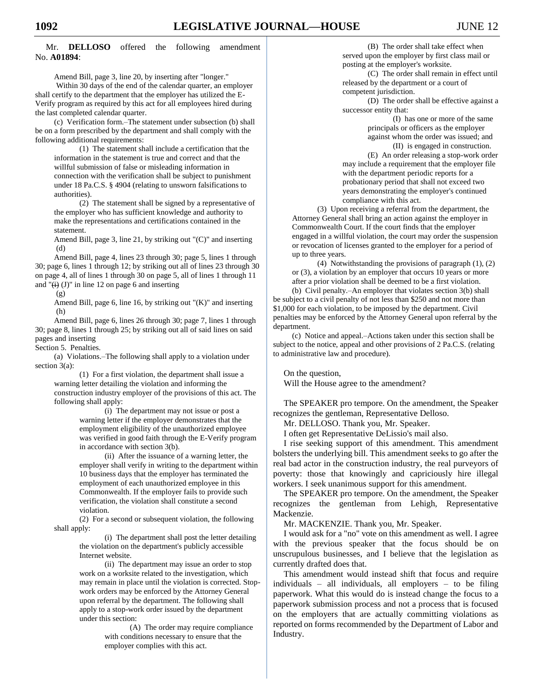Mr. **DELLOSO** offered the following amendment No. **A01894**:

Amend Bill, page 3, line 20, by inserting after "longer."

Within 30 days of the end of the calendar quarter, an employer shall certify to the department that the employer has utilized the E-Verify program as required by this act for all employees hired during the last completed calendar quarter.

(c) Verification form.–The statement under subsection (b) shall be on a form prescribed by the department and shall comply with the following additional requirements:

(1) The statement shall include a certification that the information in the statement is true and correct and that the willful submission of false or misleading information in connection with the verification shall be subject to punishment under 18 Pa.C.S. § 4904 (relating to unsworn falsifications to authorities).

(2) The statement shall be signed by a representative of the employer who has sufficient knowledge and authority to make the representations and certifications contained in the statement.

Amend Bill, page 3, line 21, by striking out "(C)" and inserting (d)

Amend Bill, page 4, lines 23 through 30; page 5, lines 1 through 30; page 6, lines 1 through 12; by striking out all of lines 23 through 30 on page 4, all of lines 1 through 30 on page 5, all of lines 1 through 11 and " $(i)$  (J)" in line 12 on page 6 and inserting

(g)

Amend Bill, page 6, line 16, by striking out "(K)" and inserting (h)

Amend Bill, page 6, lines 26 through 30; page 7, lines 1 through 30; page 8, lines 1 through 25; by striking out all of said lines on said pages and inserting

Section 5. Penalties.

(a) Violations.–The following shall apply to a violation under section 3(a):

(1) For a first violation, the department shall issue a warning letter detailing the violation and informing the construction industry employer of the provisions of this act. The following shall apply:

(i) The department may not issue or post a warning letter if the employer demonstrates that the employment eligibility of the unauthorized employee was verified in good faith through the E-Verify program in accordance with section 3(b).

(ii) After the issuance of a warning letter, the employer shall verify in writing to the department within 10 business days that the employer has terminated the employment of each unauthorized employee in this Commonwealth. If the employer fails to provide such verification, the violation shall constitute a second violation.

(2) For a second or subsequent violation, the following shall apply:

> (i) The department shall post the letter detailing the violation on the department's publicly accessible Internet website.

(ii) The department may issue an order to stop work on a worksite related to the investigation, which may remain in place until the violation is corrected. Stopwork orders may be enforced by the Attorney General upon referral by the department. The following shall apply to a stop-work order issued by the department under this section:

> (A) The order may require compliance with conditions necessary to ensure that the employer complies with this act.

(B) The order shall take effect when served upon the employer by first class mail or posting at the employer's worksite.

(C) The order shall remain in effect until released by the department or a court of competent jurisdiction.

(D) The order shall be effective against a successor entity that:

> (I) has one or more of the same principals or officers as the employer against whom the order was issued; and (II) is engaged in construction.

(E) An order releasing a stop-work order may include a requirement that the employer file with the department periodic reports for a probationary period that shall not exceed two years demonstrating the employer's continued compliance with this act.

(3) Upon receiving a referral from the department, the Attorney General shall bring an action against the employer in Commonwealth Court. If the court finds that the employer engaged in a willful violation, the court may order the suspension or revocation of licenses granted to the employer for a period of up to three years.

(4) Notwithstanding the provisions of paragraph (1), (2) or (3), a violation by an employer that occurs 10 years or more after a prior violation shall be deemed to be a first violation.

(b) Civil penalty.–An employer that violates section 3(b) shall be subject to a civil penalty of not less than \$250 and not more than \$1,000 for each violation, to be imposed by the department. Civil penalties may be enforced by the Attorney General upon referral by the department.

(c) Notice and appeal.–Actions taken under this section shall be subject to the notice, appeal and other provisions of 2 Pa.C.S. (relating to administrative law and procedure).

On the question, Will the House agree to the amendment?

The SPEAKER pro tempore. On the amendment, the Speaker recognizes the gentleman, Representative Delloso.

Mr. DELLOSO. Thank you, Mr. Speaker.

I often get Representative DeLissio's mail also.

I rise seeking support of this amendment. This amendment bolsters the underlying bill. This amendment seeks to go after the real bad actor in the construction industry, the real purveyors of poverty: those that knowingly and capriciously hire illegal workers. I seek unanimous support for this amendment.

The SPEAKER pro tempore. On the amendment, the Speaker recognizes the gentleman from Lehigh, Representative Mackenzie.

Mr. MACKENZIE. Thank you, Mr. Speaker.

I would ask for a "no" vote on this amendment as well. I agree with the previous speaker that the focus should be on unscrupulous businesses, and I believe that the legislation as currently drafted does that.

This amendment would instead shift that focus and require individuals – all individuals, all employers – to be filing paperwork. What this would do is instead change the focus to a paperwork submission process and not a process that is focused on the employers that are actually committing violations as reported on forms recommended by the Department of Labor and Industry.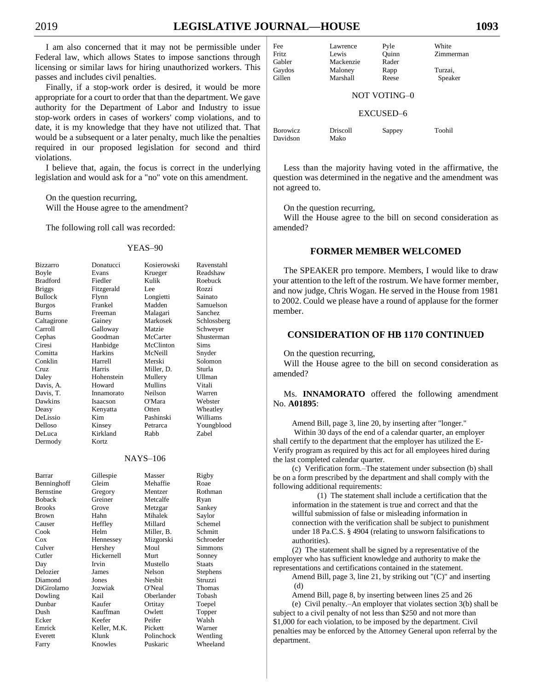I am also concerned that it may not be permissible under Federal law, which allows States to impose sanctions through licensing or similar laws for hiring unauthorized workers. This passes and includes civil penalties.

Finally, if a stop-work order is desired, it would be more appropriate for a court to order that than the department. We gave authority for the Department of Labor and Industry to issue stop-work orders in cases of workers' comp violations, and to date, it is my knowledge that they have not utilized that. That would be a subsequent or a later penalty, much like the penalties required in our proposed legislation for second and third violations.

I believe that, again, the focus is correct in the underlying legislation and would ask for a "no" vote on this amendment.

On the question recurring,

Will the House agree to the amendment?

The following roll call was recorded:

#### YEAS–90

| <b>Bizzarro</b> |
|-----------------|
| Boyle           |
| <b>Bradford</b> |
| <b>Briggs</b>   |
| <b>Bullock</b>  |
| <b>Burgos</b>   |
| <b>Burns</b>    |
| Caltagirone     |
| Carroll         |
| Cephas          |
| Ciresi          |
| Comitta         |
| Conklin         |
| Cruz            |
| Daley           |
| Davis, A.       |
| Davis, T.       |
| Dawkins         |
| Deasy           |
| DeLissio        |
| Delloso         |
| DeLuca          |
| Dermody         |
|                 |
|                 |

Donatucci Kosierowski Ravenstahl Evans Krueger Readshaw Fiedler Kulik Roebuck Fitzgerald Lee Rozzi<br>Flynn Longietti Sainato Longietti Frankel Madden Samuelson Freeman Malagari Sanchez<br>Gainev Markosek Schlossb Markosek Schlossberg Galloway Matzie Schweyer Goodman McCarter Shusterman Hanbidge McClinton Sims Comitta Harkins McNeill Snyder Harrell Merski Solomon Harris Miller, D. Sturla Hohenstein Mullery Ullman<br>Howard Mullins Vitali Howard Mullins Innamorato Neilson Warren Dawkins Isaacson O'Mara Webster Kenyatta Otten Wheatley<br>
Kim Pashinski Williams Pashinski Kinsey Petrarca Youngblood Kirkland Rabb Zabel

NAYS–106

Kortz

| Barrar      | Gillespie    | Masser     | Rigby     |
|-------------|--------------|------------|-----------|
| Benninghoff | Gleim        | Mehaffie   | Roae      |
| Bernstine   | Gregory      | Mentzer    | Rothman   |
| Boback      | Greiner      | Metcalfe   | Ryan      |
| Brooks      | Grove        | Metzgar    | Sankey    |
| Brown       | Hahn         | Mihalek    | Saylor    |
| Causer      | Heffley      | Millard    | Schemel   |
| Cook        | Helm         | Miller, B. | Schmitt   |
| Cox         | Hennessey    | Mizgorski  | Schroeder |
| Culver      | Hershey      | Moul       | Simmons   |
| Cutler      | Hickernell   | Murt       | Sonney    |
| Day         | Irvin        | Mustello   | Staats    |
| Delozier    | James        | Nelson     | Stephens  |
| Diamond     | Jones        | Nesbit     | Struzzi   |
| DiGirolamo  | Jozwiak      | O'Neal     | Thomas    |
| Dowling     | Kail         | Oberlander | Tobash    |
| Dunbar      | Kaufer       | Ortitay    | Toepel    |
| Dush        | Kauffman     | Owlett     | Topper    |
| Ecker       | Keefer       | Peifer     | Walsh     |
| Emrick      | Keller, M.K. | Pickett    | Warner    |
| Everett     | Klunk        | Polinchock | Wentling  |
| Farry       | Knowles      | Puskaric   | Wheeland  |
|             |              |            |           |

| Fee             | Lawrence  | Pyle   | White     |  |
|-----------------|-----------|--------|-----------|--|
| Fritz           | Lewis     | Ouinn  | Zimmerman |  |
| Gabler          | Mackenzie | Rader  |           |  |
| Gaydos          | Maloney   | Rapp   | Turzai,   |  |
| Gillen          | Marshall  | Reese  | Speaker   |  |
| NOT VOTING-0    |           |        |           |  |
| EXCUSED-6       |           |        |           |  |
| <b>Borowicz</b> | Driscoll  | Sappey | Toohil    |  |

Less than the majority having voted in the affirmative, the question was determined in the negative and the amendment was not agreed to.

On the question recurring,

Davidson Mako

Will the House agree to the bill on second consideration as amended?

## **FORMER MEMBER WELCOMED**

The SPEAKER pro tempore. Members, I would like to draw your attention to the left of the rostrum. We have former member, and now judge, Chris Wogan. He served in the House from 1981 to 2002. Could we please have a round of applause for the former member.

## **CONSIDERATION OF HB 1170 CONTINUED**

On the question recurring,

Will the House agree to the bill on second consideration as amended?

Ms. **INNAMORATO** offered the following amendment No. **A01895**:

Amend Bill, page 3, line 20, by inserting after "longer."

Within 30 days of the end of a calendar quarter, an employer shall certify to the department that the employer has utilized the E-Verify program as required by this act for all employees hired during the last completed calendar quarter.

(c) Verification form.–The statement under subsection (b) shall be on a form prescribed by the department and shall comply with the following additional requirements:

(1) The statement shall include a certification that the information in the statement is true and correct and that the willful submission of false or misleading information in connection with the verification shall be subject to punishment under 18 Pa.C.S. § 4904 (relating to unsworn falsifications to authorities).

(2) The statement shall be signed by a representative of the employer who has sufficient knowledge and authority to make the representations and certifications contained in the statement.

Amend Bill, page 3, line 21, by striking out "(C)" and inserting (d)

Amend Bill, page 8, by inserting between lines 25 and 26 (e) Civil penalty.–An employer that violates section 3(b) shall be subject to a civil penalty of not less than \$250 and not more than \$1,000 for each violation, to be imposed by the department. Civil penalties may be enforced by the Attorney General upon referral by the department.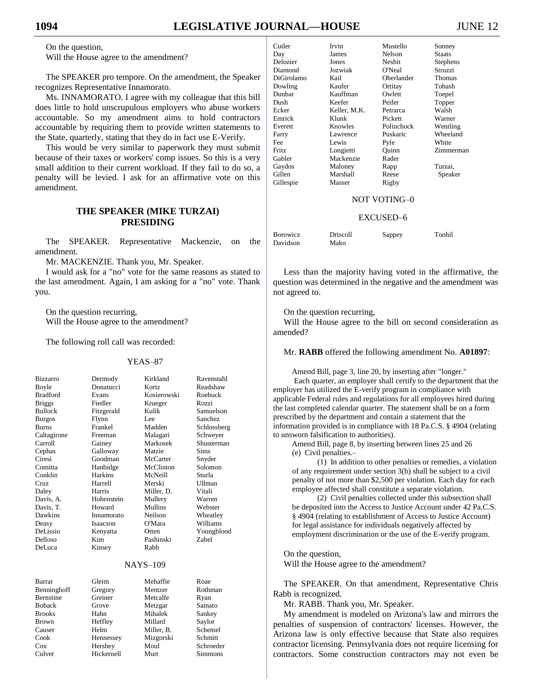## On the question,

Will the House agree to the amendment?

The SPEAKER pro tempore. On the amendment, the Speaker recognizes Representative Innamorato.

Ms. INNAMORATO. I agree with my colleague that this bill does little to hold unscrupulous employers who abuse workers accountable. So my amendment aims to hold contractors accountable by requiring them to provide written statements to the State, quarterly, stating that they do in fact use E-Verify.

This would be very similar to paperwork they must submit because of their taxes or workers' comp issues. So this is a very small addition to their current workload. If they fail to do so, a penalty will be levied. I ask for an affirmative vote on this amendment.

## **THE SPEAKER (MIKE TURZAI) PRESIDING**

The SPEAKER. Representative Mackenzie, on the amendment.

Mr. MACKENZIE. Thank you, Mr. Speaker.

I would ask for a "no" vote for the same reasons as stated to the last amendment. Again, I am asking for a "no" vote. Thank you.

On the question recurring, Will the House agree to the amendment?

The following roll call was recorded:

#### YEAS–87

| Bizzarro        | Dermody        | Kirkland        | Ravenstahl   |
|-----------------|----------------|-----------------|--------------|
| Boyle           | Donatucci      | Kortz           | Readshaw     |
| <b>Bradford</b> | Evans          | Kosierowski     | Roebuck      |
| <b>Briggs</b>   | Fiedler        | Krueger         | Rozzi        |
| <b>Bullock</b>  | Fitzgerald     | Kulik           | Samuelson    |
| <b>Burgos</b>   | Flynn          | Lee.            | Sanchez      |
| <b>Burns</b>    | Frankel        | Madden          | Schlossberg  |
| Caltagirone     | Freeman        | Malagari        | Schweyer     |
| Carroll         | Gainey         | Markosek        | Shusterman   |
| Cephas          | Galloway       | Matzie          | Sims         |
| Ciresi          | Goodman        | McCarter        | Snyder       |
| Comitta         | Hanbidge       | McClinton       | Solomon      |
| Conklin         | <b>Harkins</b> | McNeill         | Sturla       |
| Cruz.           | Harrell        | Merski          | Ullman       |
| Daley           | Harris         | Miller, D.      | Vitali       |
| Davis, A.       | Hohenstein     | Mullery         | Warren       |
| Davis, T.       | Howard         | Mullins         | Webster      |
| <b>Dawkins</b>  | Innamorato     | Neilson         | Wheatley     |
| Deasy           | Isaacson       | O'Mara          | Williams     |
| <b>DeLissio</b> | Kenyatta       | Otten           | Youngblood   |
| Delloso         | Kim            | Pashinski       | <b>Zabel</b> |
| DeLuca          | Kinsey         | Rabb            |              |
|                 |                | <b>NAYS-109</b> |              |
|                 |                |                 |              |
| Barrar          | Gleim          | Mehaffie        | Roae         |
| Benninghoff     | Gregory        | Mentzer         | Rothman      |
| Bernstine       | Greiner        | Metcalfe        | Ryan         |
| <b>Boback</b>   | Grove          | Metzgar         | Sainato      |
| <b>Brooks</b>   | Hahn           | Mihalek         | Sankey       |
| Brown           | Heffley        | Millard         | Saylor       |
| Causer          | Helm           | Miller, B.      | Schemel      |
| Cook            | Hennessey      | Mizgorski       | Schmitt      |
| $\cos$          | Hershey        | Moul            | Schroeder    |
| Culver          | Hickernell     | Murt            | Simmons      |

| Cutler       | Irvin        | Mustello   | Sonney          |
|--------------|--------------|------------|-----------------|
| Day          | James        | Nelson     | Staats          |
| Delozier     | Jones        | Nesbit     | <b>Stephens</b> |
| Diamond      | Jozwiak      | O'Neal     | Struzzi         |
| DiGirolamo   | Kail         | Oberlander | Thomas          |
| Dowling      | Kaufer       | Ortitay    | Tobash          |
| Dunbar       | Kauffman     | Owlett     | Toepel          |
| Dush         | Keefer       | Peifer     | Topper          |
| Ecker        | Keller, M.K. | Petrarca   | Walsh           |
| Emrick       | Klunk        | Pickett    | Warner          |
| Everett      | Knowles      | Polinchock | Wentling        |
| Farry        | Lawrence     | Puskaric   | Wheeland        |
| Fee          | Lewis        | Pyle       | White           |
| <b>Fritz</b> | Longietti    | Ouinn      | Zimmerman       |
| Gabler       | Mackenzie    | Rader      |                 |
| Gaydos       | Maloney      | Rapp       | Turzai.         |
| Gillen       | Marshall     | Reese      | Speaker         |
| Gillespie    | Masser       | Rigby      |                 |

## NOT VOTING–0

#### EXCUSED–6

| <b>Borowicz</b> | Driscoll | Sappey | Toohil |
|-----------------|----------|--------|--------|
| Davidson        | Mako     |        |        |

Less than the majority having voted in the affirmative, the question was determined in the negative and the amendment was not agreed to.

On the question recurring,

Will the House agree to the bill on second consideration as amended?

Mr. **RABB** offered the following amendment No. **A01897**:

Amend Bill, page 3, line 20, by inserting after "longer."

Each quarter, an employer shall certify to the department that the employer has utilized the E-verify program in compliance with applicable Federal rules and regulations for all employees hired during the last completed calendar quarter. The statement shall be on a form prescribed by the department and contain a statement that the information provided is in compliance with 18 Pa.C.S. § 4904 (relating to unsworn falsification to authorities).

Amend Bill, page 8, by inserting between lines 25 and 26 (e) Civil penalties.–

(1) In addition to other penalties or remedies, a violation of any requirement under section 3(b) shall be subject to a civil penalty of not more than \$2,500 per violation. Each day for each employee affected shall constitute a separate violation.

(2) Civil penalties collected under this subsection shall be deposited into the Access to Justice Account under 42 Pa.C.S. § 4904 (relating to establishment of Access to Justice Account) for legal assistance for individuals negatively affected by employment discrimination or the use of the E-verify program.

On the question,

Will the House agree to the amendment?

The SPEAKER. On that amendment, Representative Chris Rabb is recognized.

Mr. RABB. Thank you, Mr. Speaker.

My amendment is modeled on Arizona's law and mirrors the penalties of suspension of contractors' licenses. However, the Arizona law is only effective because that State also requires contractor licensing. Pennsylvania does not require licensing for contractors. Some construction contractors may not even be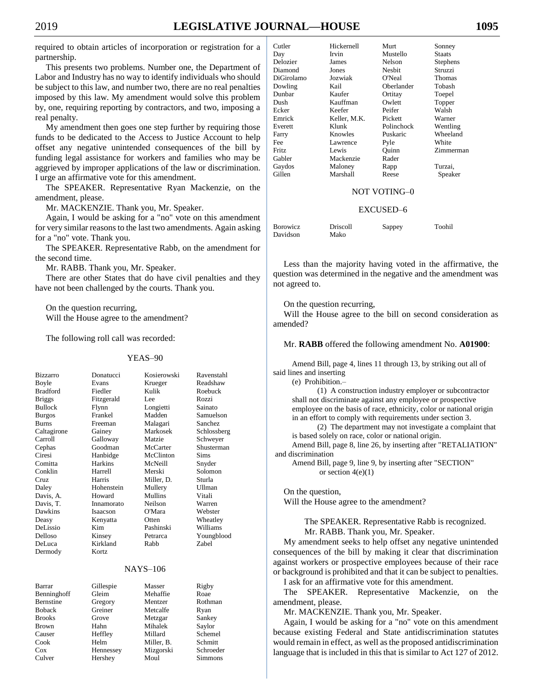required to obtain articles of incorporation or registration for a partnership.

This presents two problems. Number one, the Department of Labor and Industry has no way to identify individuals who should be subject to this law, and number two, there are no real penalties imposed by this law. My amendment would solve this problem by, one, requiring reporting by contractors, and two, imposing a real penalty.

My amendment then goes one step further by requiring those funds to be dedicated to the Access to Justice Account to help offset any negative unintended consequences of the bill by funding legal assistance for workers and families who may be aggrieved by improper applications of the law or discrimination. I urge an affirmative vote for this amendment.

The SPEAKER. Representative Ryan Mackenzie, on the amendment, please.

Mr. MACKENZIE. Thank you, Mr. Speaker.

Again, I would be asking for a "no" vote on this amendment for very similar reasons to the last two amendments. Again asking for a "no" vote. Thank you.

The SPEAKER. Representative Rabb, on the amendment for the second time.

Mr. RABB. Thank you, Mr. Speaker.

There are other States that do have civil penalties and they have not been challenged by the courts. Thank you.

On the question recurring,

Will the House agree to the amendment?

The following roll call was recorded:

#### YEAS–90

| <b>Bizzarro</b> | Donatucci       | Kosierowski | Ravenstahl      |  |  |
|-----------------|-----------------|-------------|-----------------|--|--|
| Boyle           | Evans           | Krueger     | Readshaw        |  |  |
| <b>Bradford</b> | Fiedler         | Kulik       | Roebuck         |  |  |
| <b>Briggs</b>   | Fitzgerald      | Lee.        | Rozzi           |  |  |
| <b>Bullock</b>  | Flynn           | Longietti   | Sainato         |  |  |
| <b>Burgos</b>   | Frankel         | Madden      | Samuelson       |  |  |
| <b>Burns</b>    | Freeman         | Malagari    | Sanchez         |  |  |
| Caltagirone     | Gainey          | Markosek    | Schlossberg     |  |  |
| Carroll         | Galloway        | Matzie      | Schweyer        |  |  |
| Cephas          | Goodman         | McCarter    | Shusterman      |  |  |
| Ciresi          | Hanbidge        | McClinton   | <b>Sims</b>     |  |  |
| Comitta         | Harkins         | McNeill     | Snyder          |  |  |
| Conklin         | Harrell         | Merski      | Solomon         |  |  |
| Cruz            | Harris          | Miller, D.  | Sturla          |  |  |
| Daley           | Hohenstein      | Mullery     | <b>Ullman</b>   |  |  |
| Davis, A.       | Howard          | Mullins     | Vitali          |  |  |
| Davis, T.       | Innamorato      | Neilson     | Warren          |  |  |
| Dawkins         | <b>Isaacson</b> | O'Mara      | Webster         |  |  |
| Deasy           | Kenyatta        | Otten       | Wheatley        |  |  |
| DeLissio        | Kim             | Pashinski   | Williams        |  |  |
| Delloso         | Kinsey          | Petrarca    | Youngblood      |  |  |
| DeLuca          | Kirkland        | Rabb        | <b>Zabel</b>    |  |  |
| Dermody         | Kortz           |             |                 |  |  |
|                 |                 |             | <b>NAYS-106</b> |  |  |

| Barrar        | Gillespie | Masser     | Rigby          |
|---------------|-----------|------------|----------------|
| Benninghoff   | Gleim     | Mehaffie   | Roae           |
| Bernstine     | Gregory   | Mentzer    | Rothman        |
| <b>Boback</b> | Greiner   | Metcalfe   | Ryan           |
| <b>Brooks</b> | Grove     | Metzgar    | Sankey         |
| <b>Brown</b>  | Hahn      | Mihalek    | Saylor         |
| Causer        | Heffley   | Millard    | Schemel        |
| Cook          | Helm      | Miller, B. | Schmitt        |
| Cox           | Hennessey | Mizgorski  | Schroeder      |
| Culver        | Hershev   | Moul       | <b>Simmons</b> |

| Cutler     | Hickernell   | Murt          | Sonney        |
|------------|--------------|---------------|---------------|
| Day        | Irvin        | Mustello      | <b>Staats</b> |
| Delozier   | James        | Nelson        | Stephens      |
| Diamond    | Jones        | <b>Nesbit</b> | Struzzi       |
| DiGirolamo | Jozwiak      | O'Neal        | <b>Thomas</b> |
| Dowling    | Kail         | Oberlander    | Tobash        |
| Dunbar     | Kaufer       | Ortitay       | Toepel        |
| Dush       | Kauffman     | Owlett        | Topper        |
| Ecker      | Keefer       | Peifer        | Walsh         |
| Emrick     | Keller, M.K. | Pickett       | Warner        |
| Everett    | Klunk        | Polinchock    | Wentling      |
| Farry      | Knowles      | Puskaric      | Wheeland      |
| Fee        | Lawrence     | Pyle          | White         |
| Fritz      | Lewis        | Ouinn         | Zimmerman     |
| Gabler     | Mackenzie    | Rader         |               |
| Gaydos     | Maloney      | Rapp          | Turzai,       |
| Gillen     | Marshall     | Reese         | Speaker       |

#### NOT VOTING–0

### EXCUSED–6

| <b>Borowicz</b> | Driscoll | Sappey | Toohil |
|-----------------|----------|--------|--------|
| Davidson        | Mako     |        |        |

Less than the majority having voted in the affirmative, the question was determined in the negative and the amendment was not agreed to.

On the question recurring,

Will the House agree to the bill on second consideration as amended?

#### Mr. **RABB** offered the following amendment No. **A01900**:

Amend Bill, page 4, lines 11 through 13, by striking out all of said lines and inserting

(e) Prohibition.–

(1) A construction industry employer or subcontractor shall not discriminate against any employee or prospective employee on the basis of race, ethnicity, color or national origin in an effort to comply with requirements under section 3.

(2) The department may not investigate a complaint that is based solely on race, color or national origin.

Amend Bill, page 8, line 26, by inserting after "RETALIATION" and discrimination

Amend Bill, page 9, line 9, by inserting after "SECTION" or section  $4(e)(1)$ 

On the question, Will the House agree to the amendment?

The SPEAKER. Representative Rabb is recognized.

Mr. RABB. Thank you, Mr. Speaker.

My amendment seeks to help offset any negative unintended consequences of the bill by making it clear that discrimination against workers or prospective employees because of their race or background is prohibited and that it can be subject to penalties.

I ask for an affirmative vote for this amendment.

The SPEAKER. Representative Mackenzie, on the amendment, please.

Mr. MACKENZIE. Thank you, Mr. Speaker.

Again, I would be asking for a "no" vote on this amendment because existing Federal and State antidiscrimination statutes would remain in effect, as well as the proposed antidiscrimination language that is included in this that is similar to Act 127 of 2012.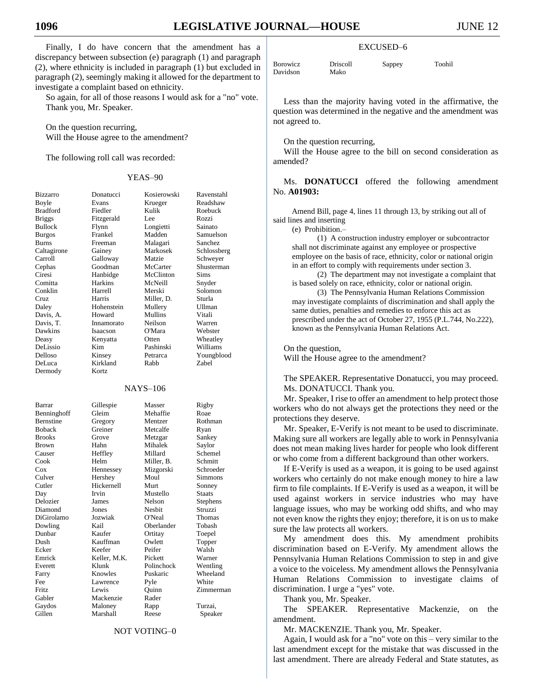Davi

Finally, I do have concern that the amendment has a discrepancy between subsection (e) paragraph (1) and paragraph (2), where ethnicity is included in paragraph (1) but excluded in paragraph (2), seemingly making it allowed for the department to investigate a complaint based on ethnicity.

So again, for all of those reasons I would ask for a "no" vote. Thank you, Mr. Speaker.

On the question recurring, Will the House agree to the amendment?

The following roll call was recorded:

#### YEAS–90

| <b>Bizzarro</b>  | Donatucci  | Kosierowski     | Ravenstahl     |
|------------------|------------|-----------------|----------------|
| Boyle            | Evans      | Krueger         | Readshaw       |
| <b>Bradford</b>  | Fiedler    | Kulik           | Roebuck        |
| <b>Briggs</b>    | Fitzgerald | Lee             | Rozzi          |
| <b>Bullock</b>   | Flynn      | Longietti       | Sainato        |
| <b>Burgos</b>    | Frankel    | Madden          | Samuelson      |
| <b>Burns</b>     | Freeman    | Malagari        | <b>Sanchez</b> |
| Caltagirone      | Gainey     | Markosek        | Schlossberg    |
| Carroll          | Galloway   | Matzie          | Schweyer       |
| Cephas           | Goodman    | McCarter        | Shusterman     |
| Ciresi           | Hanbidge   | McClinton       | <b>Sims</b>    |
| Comitta          | Harkins    | McNeill         | Snyder         |
| Conklin          | Harrell    | Merski          | Solomon        |
| Cruz             | Harris     | Miller, D.      | Sturla         |
| Daley            | Hohenstein | Mullery         | Ullman         |
| Davis, A.        | Howard     | Mullins         | Vitali         |
| Davis. T.        | Innamorato | Neilson         | Warren         |
| Dawkins          | Isaacson   | O'Mara          | Webster        |
| Deasy            | Kenyatta   | Otten           | Wheatley       |
| DeLissio         | Kim.       | Pashinski       | Williams       |
| Delloso          | Kinsey     | Petrarca        | Youngblood     |
| DeLuca           | Kirkland   | Rabb            | <b>Zabel</b>   |
| Dermody          | Kortz      |                 |                |
|                  |            |                 |                |
|                  |            | <b>NAYS-106</b> |                |
| Barrar           | Gillespie  | Masser          | Rigby          |
| Benninghoff      | Gleim      | Mehaffie        | Roae           |
| <b>Bernstine</b> | Gregory    | Mentzer         | Rothman        |
| <b>Boback</b>    | Greiner    | Metcalfe        | Ryan           |
| <b>Brooks</b>    | Grove      | Metzgar         | Sankey         |
| Brown            | Hahn       | Mihalek         | Saylor         |
| Causer           | Heffley    | Millard         | Schemel        |
| Cook             | Helm       | Miller, B.      | Schmitt        |
| $\cos$           | Hennessey  | Mizgorski       | Schroeder      |
| Culver           | Hershey    | Moul            | Simmons        |
| Cutler           | Hickernell | Murt            | Sonney         |
|                  |            |                 |                |

Diamond

Day Irvin Mustello Staats Delozier James Nelson Stephens DiGirolamo Jozwiak O'Neal Thomas Dowling Kail Oberlander Tobash Dunbar Kaufer Ortitay Toepel Kauffman Ecker Keefer Peifer Walsh Emrick Keller, M.K. Pickett Warner Everett Klunk Polinchock Wentling Farry Knowles Puskaric Wheeland Fee Lawrence Pyle White<br>
Fritz Lewis Quinn Zimme Gabler Mackenzie Rader Gaydos Maloney Rapp Turzai, Gillen Marshall Reese Speaker

Zimmerman

#### NOT VOTING–0

| <b>Borowicz</b> | Driscoll | Sappey | Toohil |
|-----------------|----------|--------|--------|
| Davidson        | Mako     |        |        |

Less than the majority having voted in the affirmative, the question was determined in the negative and the amendment was not agreed to.

EXCUSED–6

On the question recurring,

Will the House agree to the bill on second consideration as amended?

Ms. **DONATUCCI** offered the following amendment No. **A01903:**

Amend Bill, page 4, lines 11 through 13, by striking out all of said lines and inserting

(e) Prohibition.–

(1) A construction industry employer or subcontractor shall not discriminate against any employee or prospective employee on the basis of race, ethnicity, color or national origin in an effort to comply with requirements under section 3.

(2) The department may not investigate a complaint that is based solely on race, ethnicity, color or national origin.

(3) The Pennsylvania Human Relations Commission may investigate complaints of discrimination and shall apply the same duties, penalties and remedies to enforce this act as prescribed under the act of October 27, 1955 (P.L.744, No.222), known as the Pennsylvania Human Relations Act.

On the question,

Will the House agree to the amendment?

The SPEAKER. Representative Donatucci, you may proceed. Ms. DONATUCCI. Thank you.

Mr. Speaker, I rise to offer an amendment to help protect those workers who do not always get the protections they need or the protections they deserve.

Mr. Speaker, E-Verify is not meant to be used to discriminate. Making sure all workers are legally able to work in Pennsylvania does not mean making lives harder for people who look different or who come from a different background than other workers.

If E-Verify is used as a weapon, it is going to be used against workers who certainly do not make enough money to hire a law firm to file complaints. If E-Verify is used as a weapon, it will be used against workers in service industries who may have language issues, who may be working odd shifts, and who may not even know the rights they enjoy; therefore, it is on us to make sure the law protects all workers.

My amendment does this. My amendment prohibits discrimination based on E-Verify. My amendment allows the Pennsylvania Human Relations Commission to step in and give a voice to the voiceless. My amendment allows the Pennsylvania Human Relations Commission to investigate claims of discrimination. I urge a "yes" vote.

Thank you, Mr. Speaker.

The SPEAKER. Representative Mackenzie, on the amendment.

Mr. MACKENZIE. Thank you, Mr. Speaker.

Again, I would ask for a "no" vote on this – very similar to the last amendment except for the mistake that was discussed in the last amendment. There are already Federal and State statutes, as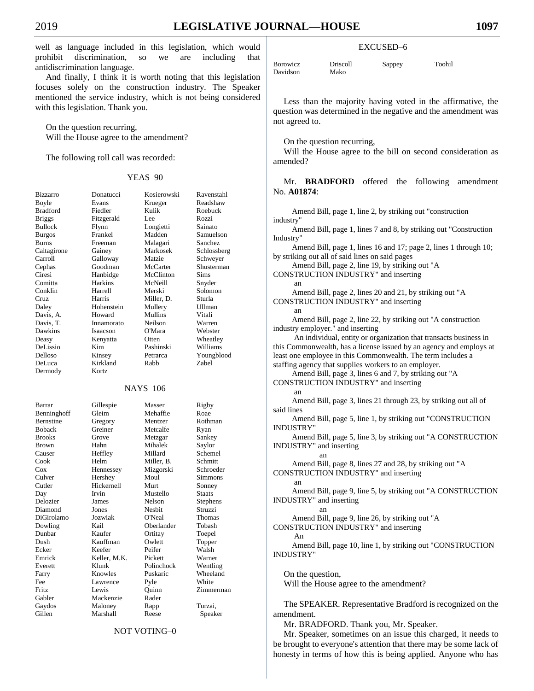well as language included in this legislation, which would prohibit discrimination, so we are including that antidiscrimination language.

And finally, I think it is worth noting that this legislation focuses solely on the construction industry. The Speaker mentioned the service industry, which is not being considered with this legislation. Thank you.

On the question recurring, Will the House agree to the amendment?

The following roll call was recorded:

#### YEAS–90

| Bizzarro      | Donatucci    | Kosierowski | Ravenstahl    |
|---------------|--------------|-------------|---------------|
| Boyle         | Evans        | Krueger     | Readshaw      |
| Bradford      | Fiedler      | Kulik       | Roebuck       |
| <b>Briggs</b> | Fitzgerald   | Lee         | Rozzi         |
| Bullock       | Flynn        | Longietti   | Sainato       |
| <b>Burgos</b> | Frankel      | Madden      | Samuelson     |
| Burns         | Freeman      | Malagari    | Sanchez       |
| Caltagirone   | Gainey       | Markosek    | Schlossberg   |
| Carroll       | Galloway     | Matzie      | Schweyer      |
| Cephas        | Goodman      | McCarter    | Shusterman    |
| Ciresi        | Hanbidge     | McClinton   | Sims          |
| Comitta       | Harkins      | McNeill     | Snyder        |
| Conklin       | Harrell      | Merski      | Solomon       |
| Cruz          | Harris       | Miller, D.  | Sturla        |
| Daley         | Hohenstein   | Mullery     | <b>Ullman</b> |
| Davis, A.     | Howard       | Mullins     | Vitali        |
| Davis, T.     | Innamorato   | Neilson     | Warren        |
| Dawkins       | Isaacson     | O'Mara      | Webster       |
| Deasy         | Kenyatta     | Otten       | Wheatley      |
| DeLissio      | Kim          | Pashinski   | Williams      |
| Delloso       | Kinsey       | Petrarca    | Youngblood    |
| DeLuca        | Kirkland     | Rabb        | Zabel         |
| Dermody       | Kortz        |             |               |
|               |              |             |               |
|               |              | NAYS-106    |               |
|               |              |             |               |
| Barrar        | Gillespie    | Masser      | Rigby         |
| Benninghoff   | Gleim        | Mehaffie    | Roae          |
| Bernstine     | Gregory      | Mentzer     | Rothman       |
| <b>Boback</b> | Greiner      | Metcalfe    | Ryan          |
| <b>Brooks</b> | Grove        | Metzgar     | Sankey        |
| Brown         | Hahn         | Mihalek     | Saylor        |
| Causer        | Heffley      | Millard     | Schemel       |
| Cook          | Helm         | Miller, B.  | Schmitt       |
| Cox           | Hennessey    | Mizgorski   | Schroeder     |
| Culver        | Hershey      | Moul        | Simmons       |
| Cutler        | Hickernell   | Murt        | Sonney        |
| Day           | Irvin        | Mustello    | <b>Staats</b> |
| Delozier      | James        | Nelson      | Stephens      |
| Diamond       | Jones        | Nesbit      | Struzzi       |
| DiGirolamo    | Jozwiak      | O'Neal      | Thomas        |
| Dowling       | Kail         | Oberlander  | Tobash        |
| Dunbar        | Kaufer       | Ortitay     | Toepel        |
| Dush          | Kauffman     | Owlett      | Topper        |
| Ecker         | Keefer       | Peifer      | Walsh         |
| Emrick        | Keller, M.K. | Pickett     | Warner        |
| Everett       | Klunk        | Polinchock  | Wentling      |
| Farry         | Knowles      | Puskaric    | Wheeland      |
| Fee           | Lawrence     | Pyle        | White         |
| Fritz         | Lewis        | Quinn       | Zimmerman     |
| Gabler        | Mackenzie    | Rader       |               |
| Gaydos        | Maloney      | Rapp        | Turzai,       |
| Gillen        | Marshall     | Reese       | Speaker       |
|               |              |             |               |

#### NOT VOTING–0

## EXCUSED–6

| <b>Borowicz</b> | <b>Driscoll</b> | Sappey | Toohil |
|-----------------|-----------------|--------|--------|
| Davidson        | Mako            |        |        |

Less than the majority having voted in the affirmative, the question was determined in the negative and the amendment was not agreed to.

On the question recurring,

Will the House agree to the bill on second consideration as amended?

Mr. **BRADFORD** offered the following amendment No. **A01874**:

| Amend Bill, page 1, line 2, by striking out "construction                                                             |
|-----------------------------------------------------------------------------------------------------------------------|
| industry"                                                                                                             |
| Amend Bill, page 1, lines 7 and 8, by striking out "Construction"<br>Industry"                                        |
| Amend Bill, page 1, lines 16 and 17; page 2, lines 1 through 10;                                                      |
| by striking out all of said lines on said pages                                                                       |
| Amend Bill, page 2, line 19, by striking out "A                                                                       |
| CONSTRUCTION INDUSTRY" and inserting                                                                                  |
| an                                                                                                                    |
| Amend Bill, page 2, lines 20 and 21, by striking out "A                                                               |
| CONSTRUCTION INDUSTRY" and inserting                                                                                  |
| an                                                                                                                    |
| Amend Bill, page 2, line 22, by striking out "A construction                                                          |
| industry employer." and inserting                                                                                     |
| An individual, entity or organization that transacts business in                                                      |
| this Commonwealth, has a license issued by an agency and employs at                                                   |
| least one employee in this Commonwealth. The term includes a<br>staffing agency that supplies workers to an employer. |
| Amend Bill, page 3, lines 6 and 7, by striking out "A                                                                 |
| CONSTRUCTION INDUSTRY" and inserting                                                                                  |
| an                                                                                                                    |
| Amend Bill, page 3, lines 21 through 23, by striking out all of                                                       |
| said lines                                                                                                            |
| Amend Bill, page 5, line 1, by striking out "CONSTRUCTION                                                             |
| <b>INDUSTRY"</b>                                                                                                      |
| Amend Bill, page 5, line 3, by striking out "A CONSTRUCTION                                                           |
| INDUSTRY" and inserting                                                                                               |
| an                                                                                                                    |
| Amend Bill, page 8, lines 27 and 28, by striking out "A<br>CONSTRUCTION INDUSTRY" and inserting                       |
| an                                                                                                                    |
| Amend Bill, page 9, line 5, by striking out "A CONSTRUCTION                                                           |
| INDUSTRY" and inserting                                                                                               |
| an                                                                                                                    |
| Amend Bill, page 9, line 26, by striking out "A                                                                       |
| CONSTRUCTION INDUSTRY" and inserting                                                                                  |
| An                                                                                                                    |
| Amend Bill, page 10, line 1, by striking out "CONSTRUCTION                                                            |
| <b>INDUSTRY"</b>                                                                                                      |
|                                                                                                                       |
| On the question,                                                                                                      |
| Will the House agree to the amendment?                                                                                |
|                                                                                                                       |
| The SPEAKER. Representative Bradford is recognized on the                                                             |
| amendment.                                                                                                            |
| Mr. BRADFORD. Thank you, Mr. Speaker.                                                                                 |

Mr. Speaker, sometimes on an issue this charged, it needs to be brought to everyone's attention that there may be some lack of honesty in terms of how this is being applied. Anyone who has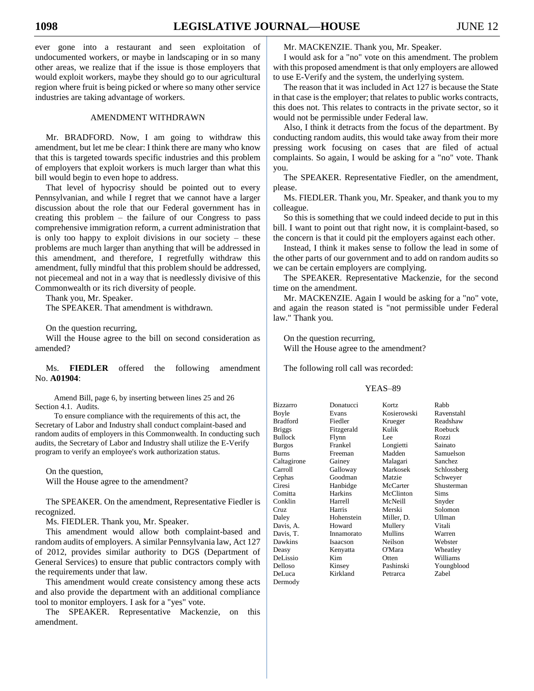ever gone into a restaurant and seen exploitation of undocumented workers, or maybe in landscaping or in so many other areas, we realize that if the issue is those employers that would exploit workers, maybe they should go to our agricultural region where fruit is being picked or where so many other service industries are taking advantage of workers.

#### AMENDMENT WITHDRAWN

Mr. BRADFORD. Now, I am going to withdraw this amendment, but let me be clear: I think there are many who know that this is targeted towards specific industries and this problem of employers that exploit workers is much larger than what this bill would begin to even hope to address.

That level of hypocrisy should be pointed out to every Pennsylvanian, and while I regret that we cannot have a larger discussion about the role that our Federal government has in creating this problem – the failure of our Congress to pass comprehensive immigration reform, a current administration that is only too happy to exploit divisions in our society – these problems are much larger than anything that will be addressed in this amendment, and therefore, I regretfully withdraw this amendment, fully mindful that this problem should be addressed, not piecemeal and not in a way that is needlessly divisive of this Commonwealth or its rich diversity of people.

Thank you, Mr. Speaker.

The SPEAKER. That amendment is withdrawn.

On the question recurring,

Will the House agree to the bill on second consideration as amended?

Ms. **FIEDLER** offered the following amendment No. **A01904**:

Amend Bill, page 6, by inserting between lines 25 and 26 Section 4.1. Audits.

To ensure compliance with the requirements of this act, the Secretary of Labor and Industry shall conduct complaint-based and random audits of employers in this Commonwealth. In conducting such audits, the Secretary of Labor and Industry shall utilize the E-Verify program to verify an employee's work authorization status.

On the question,

Will the House agree to the amendment?

The SPEAKER. On the amendment, Representative Fiedler is recognized.

Ms. FIEDLER. Thank you, Mr. Speaker.

This amendment would allow both complaint-based and random audits of employers. A similar Pennsylvania law, Act 127 of 2012, provides similar authority to DGS (Department of General Services) to ensure that public contractors comply with the requirements under that law.

This amendment would create consistency among these acts and also provide the department with an additional compliance tool to monitor employers. I ask for a "yes" vote.

The SPEAKER. Representative Mackenzie, on this amendment.

Mr. MACKENZIE. Thank you, Mr. Speaker.

I would ask for a "no" vote on this amendment. The problem with this proposed amendment is that only employers are allowed to use E-Verify and the system, the underlying system.

The reason that it was included in Act 127 is because the State in that case is the employer; that relates to public works contracts, this does not. This relates to contracts in the private sector, so it would not be permissible under Federal law.

Also, I think it detracts from the focus of the department. By conducting random audits, this would take away from their more pressing work focusing on cases that are filed of actual complaints. So again, I would be asking for a "no" vote. Thank you.

The SPEAKER. Representative Fiedler, on the amendment, please.

Ms. FIEDLER. Thank you, Mr. Speaker, and thank you to my colleague.

So this is something that we could indeed decide to put in this bill. I want to point out that right now, it is complaint-based, so the concern is that it could pit the employers against each other.

Instead, I think it makes sense to follow the lead in some of the other parts of our government and to add on random audits so we can be certain employers are complying.

The SPEAKER. Representative Mackenzie, for the second time on the amendment.

Mr. MACKENZIE. Again I would be asking for a "no" vote, and again the reason stated is "not permissible under Federal law." Thank you.

On the question recurring, Will the House agree to the amendment?

The following roll call was recorded:

| <b>Bizzarro</b> | Donatucci  | Kortz       | Rabb           |
|-----------------|------------|-------------|----------------|
| Boyle           | Evans      | Kosierowski | Ravenstahl     |
| <b>Bradford</b> | Fiedler    | Krueger     | Readshaw       |
| <b>Briggs</b>   | Fitzgerald | Kulik       | Roebuck        |
| Bullock         | Flynn      | Lee         | Rozzi          |
| <b>Burgos</b>   | Frankel    | Longietti   | Sainato        |
| <b>Burns</b>    | Freeman    | Madden      | Samuelson      |
| Caltagirone     | Gainey     | Malagari    | <b>Sanchez</b> |
| Carroll         | Galloway   | Markosek    | Schlossberg    |
| Cephas          | Goodman    | Matzie      | Schweyer       |
| Ciresi          | Hanbidge   | McCarter    | Shusterman     |
| Comitta         | Harkins    | McClinton   | Sims           |
| Conklin         | Harrell    | McNeill     | Snyder         |
| Cruz            | Harris     | Merski      | Solomon        |
| Daley           | Hohenstein | Miller, D.  | <b>Ullman</b>  |
| Davis, A.       | Howard     | Mullery     | Vitali         |
| Davis, T.       | Innamorato | Mullins     | Warren         |
| Dawkins         | Isaacson   | Neilson     | Webster        |
| Deasy           | Kenyatta   | O'Mara      | Wheatley       |
| DeLissio        | Kim        | Otten       | Williams       |
| Delloso         | Kinsey     | Pashinski   | Youngblood     |
| DeLuca          | Kirkland   | Petrarca    | Zabel          |
| Dermody         |            |             |                |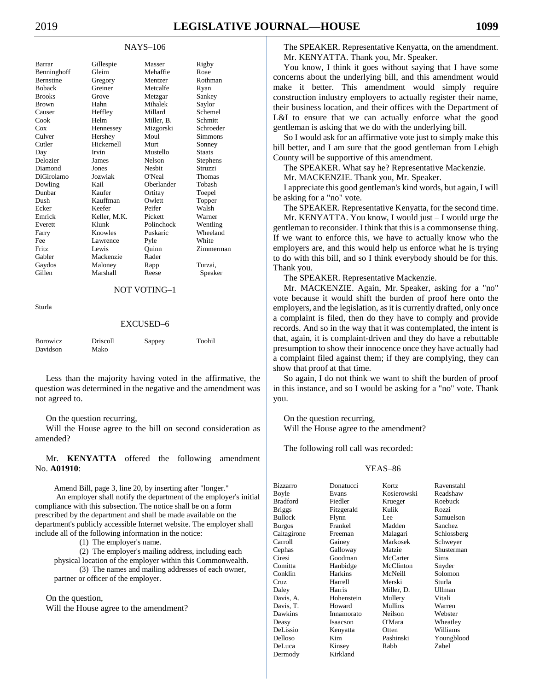## NAYS–106

| Barrar           | Gillespie       | Masser        | Rigby         |
|------------------|-----------------|---------------|---------------|
| Benninghoff      | Gleim           | Mehaffie      | Roae          |
| <b>Bernstine</b> | Gregory         | Mentzer       | Rothman       |
| <b>Boback</b>    | Greiner         | Metcalfe      | Ryan          |
| <b>Brooks</b>    | Grove           | Metzgar       | Sankey        |
| <b>Brown</b>     | Hahn            | Mihalek       | Saylor        |
| Causer           | Heffley         | Millard       | Schemel       |
| Cook             | Helm            | Miller. B.    | Schmitt       |
| Cox              | Hennessey       | Mizgorski     | Schroeder     |
| Culver           | Hershey         | Moul          | Simmons       |
| Cutler           | Hickernell      | Murt          | Sonney        |
| Day              | Irvin           | Mustello      | <b>Staats</b> |
| Delozier         | <b>James</b>    | <b>Nelson</b> | Stephens      |
| Diamond          | Jones           | Neshit        | Struzzi       |
| DiGirolamo       | Jozwiak         | O'Neal        | <b>Thomas</b> |
| Dowling          | Kail            | Oberlander    | Tobash        |
| Dunbar           | Kaufer          | Ortitay       | Toepel        |
| Dush             | Kauffman        | Owlett        | Topper        |
| Ecker            | Keefer          | Peifer        | Walsh         |
| Emrick           | Keller, M.K.    | Pickett       | Warner        |
| Everett          | Klunk           | Polinchock    | Wentling      |
| Farry            | Knowles         | Puskaric      | Wheeland      |
| Fee              | <b>Lawrence</b> | Pyle          | White         |
| Fritz            | Lewis           | Ouinn         | Zimmerman     |
| Gabler           | Mackenzie       | Rader         |               |
| Gaydos           | Maloney         | Rapp          | Turzai.       |
| Gillen           | Marshall        | Reese         | Speaker       |

## NOT VOTING–1

Sturla

#### EXCUSED–6

| <b>B</b> orowicz | Driscoll | Sappey | Toohil |
|------------------|----------|--------|--------|
| Davidson         | Mako     |        |        |

Less than the majority having voted in the affirmative, the question was determined in the negative and the amendment was not agreed to.

#### On the question recurring,

Will the House agree to the bill on second consideration as amended?

Mr. **KENYATTA** offered the following amendment No. **A01910**:

Amend Bill, page 3, line 20, by inserting after "longer." An employer shall notify the department of the employer's initial compliance with this subsection. The notice shall be on a form prescribed by the department and shall be made available on the department's publicly accessible Internet website. The employer shall include all of the following information in the notice:

(1) The employer's name.

(2) The employer's mailing address, including each physical location of the employer within this Commonwealth.

(3) The names and mailing addresses of each owner, partner or officer of the employer.

#### On the question,

Will the House agree to the amendment?

The SPEAKER. Representative Kenyatta, on the amendment. Mr. KENYATTA. Thank you, Mr. Speaker.

You know, I think it goes without saying that I have some concerns about the underlying bill, and this amendment would make it better. This amendment would simply require construction industry employers to actually register their name, their business location, and their offices with the Department of L&I to ensure that we can actually enforce what the good gentleman is asking that we do with the underlying bill.

So I would ask for an affirmative vote just to simply make this bill better, and I am sure that the good gentleman from Lehigh County will be supportive of this amendment.

The SPEAKER. What say he? Representative Mackenzie.

Mr. MACKENZIE. Thank you, Mr. Speaker.

I appreciate this good gentleman's kind words, but again, I will be asking for a "no" vote.

The SPEAKER. Representative Kenyatta, for the second time.

Mr. KENYATTA. You know, I would just – I would urge the gentleman to reconsider. I think that this is a commonsense thing. If we want to enforce this, we have to actually know who the employers are, and this would help us enforce what he is trying to do with this bill, and so I think everybody should be for this. Thank you.

The SPEAKER. Representative Mackenzie.

Mr. MACKENZIE. Again, Mr. Speaker, asking for a "no" vote because it would shift the burden of proof here onto the employers, and the legislation, as it is currently drafted, only once a complaint is filed, then do they have to comply and provide records. And so in the way that it was contemplated, the intent is that, again, it is complaint-driven and they do have a rebuttable presumption to show their innocence once they have actually had a complaint filed against them; if they are complying, they can show that proof at that time.

So again, I do not think we want to shift the burden of proof in this instance, and so I would be asking for a "no" vote. Thank you.

On the question recurring, Will the House agree to the amendment?

The following roll call was recorded:

| Bizzarro        | Donatucci      | Kortz       | Ravenstahl  |
|-----------------|----------------|-------------|-------------|
| Boyle           | Evans          | Kosierowski | Readshaw    |
| <b>Bradford</b> | Fiedler        | Krueger     | Roebuck     |
| <b>Briggs</b>   | Fitzgerald     | Kulik       | Rozzi       |
| Bullock         | Flynn          | Lee         | Samuelson   |
| <b>Burgos</b>   | Frankel        | Madden      | Sanchez     |
| Caltagirone     | Freeman        | Malagari    | Schlossberg |
| Carroll         | Gainey         | Markosek    | Schweyer    |
| Cephas          | Galloway       | Matzie      | Shusterman  |
| Ciresi          | Goodman        | McCarter    | <b>Sims</b> |
| Comitta         | Hanbidge       | McClinton   | Snyder      |
| Conklin         | <b>Harkins</b> | McNeill     | Solomon     |
| Cruz            | Harrell        | Merski      | Sturla      |
| Daley           | Harris         | Miller, D.  | Ullman      |
| Davis, A.       | Hohenstein     | Mullery     | Vitali      |
| Davis, T.       | Howard         | Mullins     | Warren      |
| Dawkins         | Innamorato     | Neilson     | Webster     |
| Deasy           | Isaacson       | O'Mara      | Wheatley    |
| DeLissio        | Kenyatta       | Otten       | Williams    |
| Delloso         | Kim            | Pashinski   | Youngblood  |
| DeLuca          | Kinsey         | Rabb        | Zabel       |
| Dermody         | Kirkland       |             |             |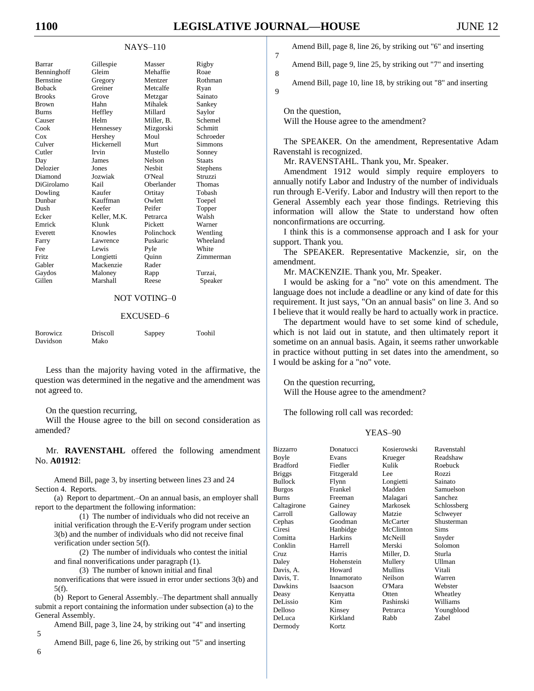7

8

9

### NAYS–110

| Barrar           | Gillespie    | Masser        | Rigby         |
|------------------|--------------|---------------|---------------|
| Benninghoff      | Gleim        | Mehaffie      | Roae          |
| <b>Bernstine</b> | Gregory      | Mentzer       | Rothman       |
| <b>Boback</b>    | Greiner      | Metcalfe      | Ryan          |
| <b>Brooks</b>    | Grove        | Metzgar       | Sainato       |
| <b>Brown</b>     | Hahn         | Mihalek       | Sankey        |
| <b>Burns</b>     | Heffley      | Millard       | Saylor        |
| Causer           | Helm         | Miller. B.    | Schemel       |
| Cook             | Hennessey    | Mizgorski     | Schmitt       |
| Cox              | Hershey      | Moul          | Schroeder     |
| Culver           | Hickernell   | Murt          | Simmons       |
| Cutler           | Irvin        | Mustello      | Sonney        |
| Day              | James        | <b>Nelson</b> | <b>Staats</b> |
| Delozier         | Jones        | <b>Nesbit</b> | Stephens      |
| Diamond          | Jozwiak      | O'Neal        | Struzzi       |
| DiGirolamo       | Kail         | Oberlander    | Thomas        |
| Dowling          | Kaufer       | Ortitay       | Tobash        |
| Dunbar           | Kauffman     | Owlett        | Toepel        |
| Dush             | Keefer       | Peifer        | Topper        |
| Ecker            | Keller, M.K. | Petrarca      | Walsh         |
| Emrick           | Klunk        | Pickett       | Warner        |
| Everett          | Knowles      | Polinchock    | Wentling      |
| Farry            | Lawrence     | Puskaric      | Wheeland      |
| Fee              | Lewis        | Pyle          | White         |
| Fritz            | Longietti    | Ouinn         | Zimmerman     |
| Gabler           | Mackenzie    | Rader         |               |
| Gaydos           | Maloney      | Rapp          | Turzai.       |
| Gillen           | Marshall     | Reese         | Speaker       |
|                  |              |               |               |

## NOT VOTING–0

#### EXCUSED–6

| <b>Borowicz</b> | <b>Driscoll</b> | Sappey | Toohil |
|-----------------|-----------------|--------|--------|
| Davidson        | Mako            |        |        |

Less than the majority having voted in the affirmative, the question was determined in the negative and the amendment was not agreed to.

#### On the question recurring,

Will the House agree to the bill on second consideration as amended?

Mr. **RAVENSTAHL** offered the following amendment No. **A01912**:

Amend Bill, page 3, by inserting between lines 23 and 24 Section 4. Reports.

(a) Report to department.–On an annual basis, an employer shall report to the department the following information:

(1) The number of individuals who did not receive an initial verification through the E-Verify program under section 3(b) and the number of individuals who did not receive final verification under section 5(f).

(2) The number of individuals who contest the initial and final nonverifications under paragraph (1).

(3) The number of known initial and final nonverifications that were issued in error under sections 3(b) and  $5(f)$ .

(b) Report to General Assembly.–The department shall annually submit a report containing the information under subsection (a) to the General Assembly.

Amend Bill, page 3, line 24, by striking out "4" and inserting

Amend Bill, page 6, line 26, by striking out "5" and inserting

Amend Bill, page 8, line 26, by striking out "6" and inserting

Amend Bill, page 9, line 25, by striking out "7" and inserting

Amend Bill, page 10, line 18, by striking out "8" and inserting

On the question, Will the House agree to the amendment?

The SPEAKER. On the amendment, Representative Adam Ravenstahl is recognized.

Mr. RAVENSTAHL. Thank you, Mr. Speaker.

Amendment 1912 would simply require employers to annually notify Labor and Industry of the number of individuals run through E-Verify. Labor and Industry will then report to the General Assembly each year those findings. Retrieving this information will allow the State to understand how often nonconfirmations are occurring.

I think this is a commonsense approach and I ask for your support. Thank you.

The SPEAKER. Representative Mackenzie, sir, on the amendment.

Mr. MACKENZIE. Thank you, Mr. Speaker.

I would be asking for a "no" vote on this amendment. The language does not include a deadline or any kind of date for this requirement. It just says, "On an annual basis" on line 3. And so I believe that it would really be hard to actually work in practice.

The department would have to set some kind of schedule, which is not laid out in statute, and then ultimately report it sometime on an annual basis. Again, it seems rather unworkable in practice without putting in set dates into the amendment, so I would be asking for a "no" vote.

On the question recurring, Will the House agree to the amendment?

The following roll call was recorded:

## YEAS–90

| <b>Bizzarro</b> | Donatucci      | Kosierowski | Ravenstahl    |
|-----------------|----------------|-------------|---------------|
| Boyle           | Evans          | Krueger     | Readshaw      |
| <b>Bradford</b> | Fiedler        | Kulik       | Roebuck       |
| <b>Briggs</b>   | Fitzgerald     | Lee         | Rozzi         |
| <b>Bullock</b>  | Flynn          | Longietti   | Sainato       |
| <b>Burgos</b>   | Frankel        | Madden      | Samuelson     |
| <b>Burns</b>    | Freeman        | Malagari    | Sanchez       |
| Caltagirone     | Gainey         | Markosek    | Schlossberg   |
| Carroll         | Galloway       | Matzie      | Schweyer      |
| Cephas          | Goodman        | McCarter    | Shusterman    |
| Ciresi          | Hanbidge       | McClinton   | <b>Sims</b>   |
| Comitta         | <b>Harkins</b> | McNeill     | Snyder        |
| Conklin         | Harrell        | Merski      | Solomon       |
| Cruz            | Harris         | Miller, D.  | Sturla        |
| Daley           | Hohenstein     | Mullery     | <b>Ullman</b> |
| Davis, A.       | Howard         | Mullins     | Vitali        |
| Davis, T.       | Innamorato     | Neilson     | Warren        |
| Dawkins         | Isaacson       | O'Mara      | Webster       |
| Deasy           | Kenyatta       | Otten       | Wheatley      |
| DeLissio        | Kim            | Pashinski   | Williams      |
| Delloso         | Kinsey         | Petrarca    | Youngblood    |
| DeLuca          | Kirkland       | Rabb        | Zabel         |
| Dermody         | Kortz          |             |               |

6

5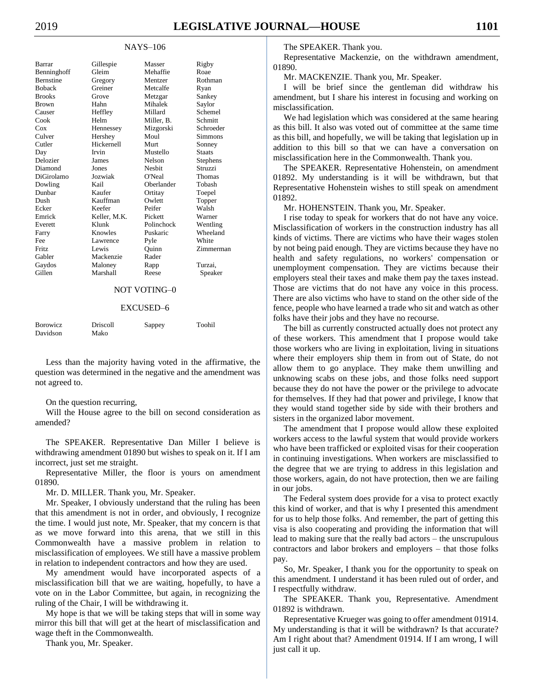#### NAYS–106

| Gillespie    | Masser        | Rigby           |
|--------------|---------------|-----------------|
| Gleim        | Mehaffie      | Roae            |
| Gregory      | Mentzer       | Rothman         |
| Greiner      | Metcalfe      | Ryan            |
| Grove        | Metzgar       | Sankey          |
| Hahn         | Mihalek       | Saylor          |
| Heffley      | Millard       | Schemel         |
| Helm         | Miller, B.    | Schmitt         |
| Hennessey    | Mizgorski     | Schroeder       |
| Hershey      | Moul          | Simmons         |
| Hickernell   | Murt          | Sonney          |
| Irvin        | Mustello      | <b>Staats</b>   |
| James        | <b>Nelson</b> | <b>Stephens</b> |
| Jones        | <b>Neshit</b> | Struzzi         |
| Jozwiak      | O'Neal        | Thomas          |
| Kail         | Oberlander    | Tobash          |
| Kaufer       | Ortitay       | Toepel          |
| Kauffman     | Owlett        | Topper          |
| Keefer       | Peifer        | Walsh           |
| Keller, M.K. | Pickett       | Warner          |
| Klunk        | Polinchock    | Wentling        |
| Knowles      | Puskaric      | Wheeland        |
| Lawrence     | Pyle          | White           |
| Lewis        | Ouinn         | Zimmerman       |
| Mackenzie    | Rader         |                 |
| Maloney      | Rapp          | Turzai.         |
| Marshall     | Reese         | Speaker         |
|              |               |                 |

## NOT VOTING–0

#### EXCUSED–6

| <b>Borowicz</b> | Driscoll | Sappey | Toohil |
|-----------------|----------|--------|--------|
| Davidson        | Mako     |        |        |

Less than the majority having voted in the affirmative, the question was determined in the negative and the amendment was not agreed to.

#### On the question recurring,

Will the House agree to the bill on second consideration as amended?

The SPEAKER. Representative Dan Miller I believe is withdrawing amendment 01890 but wishes to speak on it. If I am incorrect, just set me straight.

Representative Miller, the floor is yours on amendment 01890.

Mr. D. MILLER. Thank you, Mr. Speaker.

Mr. Speaker, I obviously understand that the ruling has been that this amendment is not in order, and obviously, I recognize the time. I would just note, Mr. Speaker, that my concern is that as we move forward into this arena, that we still in this Commonwealth have a massive problem in relation to misclassification of employees. We still have a massive problem in relation to independent contractors and how they are used.

My amendment would have incorporated aspects of a misclassification bill that we are waiting, hopefully, to have a vote on in the Labor Committee, but again, in recognizing the ruling of the Chair, I will be withdrawing it.

My hope is that we will be taking steps that will in some way mirror this bill that will get at the heart of misclassification and wage theft in the Commonwealth.

Thank you, Mr. Speaker.

The SPEAKER. Thank you.

Representative Mackenzie, on the withdrawn amendment, 01890.

Mr. MACKENZIE. Thank you, Mr. Speaker.

I will be brief since the gentleman did withdraw his amendment, but I share his interest in focusing and working on misclassification.

We had legislation which was considered at the same hearing as this bill. It also was voted out of committee at the same time as this bill, and hopefully, we will be taking that legislation up in addition to this bill so that we can have a conversation on misclassification here in the Commonwealth. Thank you.

The SPEAKER. Representative Hohenstein, on amendment 01892. My understanding is it will be withdrawn, but that Representative Hohenstein wishes to still speak on amendment 01892.

Mr. HOHENSTEIN. Thank you, Mr. Speaker.

I rise today to speak for workers that do not have any voice. Misclassification of workers in the construction industry has all kinds of victims. There are victims who have their wages stolen by not being paid enough. They are victims because they have no health and safety regulations, no workers' compensation or unemployment compensation. They are victims because their employers steal their taxes and make them pay the taxes instead. Those are victims that do not have any voice in this process. There are also victims who have to stand on the other side of the fence, people who have learned a trade who sit and watch as other folks have their jobs and they have no recourse.

The bill as currently constructed actually does not protect any of these workers. This amendment that I propose would take those workers who are living in exploitation, living in situations where their employers ship them in from out of State, do not allow them to go anyplace. They make them unwilling and unknowing scabs on these jobs, and those folks need support because they do not have the power or the privilege to advocate for themselves. If they had that power and privilege, I know that they would stand together side by side with their brothers and sisters in the organized labor movement.

The amendment that I propose would allow these exploited workers access to the lawful system that would provide workers who have been trafficked or exploited visas for their cooperation in continuing investigations. When workers are misclassified to the degree that we are trying to address in this legislation and those workers, again, do not have protection, then we are failing in our jobs.

The Federal system does provide for a visa to protect exactly this kind of worker, and that is why I presented this amendment for us to help those folks. And remember, the part of getting this visa is also cooperating and providing the information that will lead to making sure that the really bad actors – the unscrupulous contractors and labor brokers and employers – that those folks pay.

So, Mr. Speaker, I thank you for the opportunity to speak on this amendment. I understand it has been ruled out of order, and I respectfully withdraw.

The SPEAKER. Thank you, Representative. Amendment 01892 is withdrawn.

Representative Krueger was going to offer amendment 01914. My understanding is that it will be withdrawn? Is that accurate? Am I right about that? Amendment 01914. If I am wrong, I will just call it up.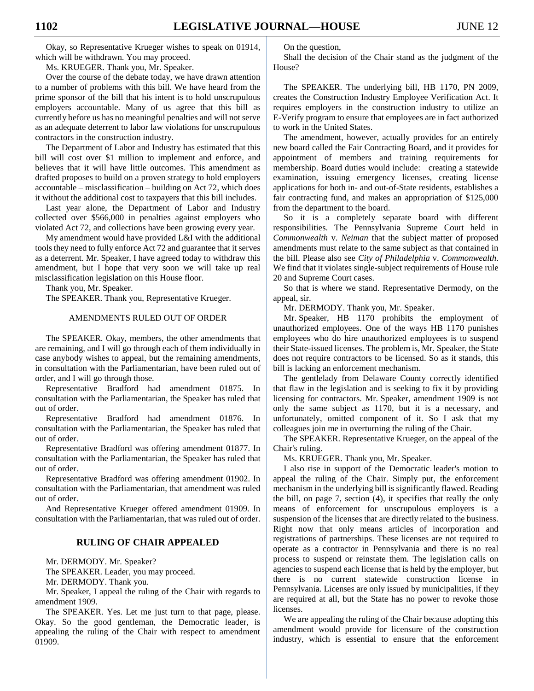Okay, so Representative Krueger wishes to speak on 01914, which will be withdrawn. You may proceed.

Ms. KRUEGER. Thank you, Mr. Speaker.

Over the course of the debate today, we have drawn attention to a number of problems with this bill. We have heard from the prime sponsor of the bill that his intent is to hold unscrupulous employers accountable. Many of us agree that this bill as currently before us has no meaningful penalties and will not serve as an adequate deterrent to labor law violations for unscrupulous contractors in the construction industry.

The Department of Labor and Industry has estimated that this bill will cost over \$1 million to implement and enforce, and believes that it will have little outcomes. This amendment as drafted proposes to build on a proven strategy to hold employers accountable – misclassification – building on Act 72, which does it without the additional cost to taxpayers that this bill includes.

Last year alone, the Department of Labor and Industry collected over \$566,000 in penalties against employers who violated Act 72, and collections have been growing every year.

My amendment would have provided L&I with the additional tools they need to fully enforce Act 72 and guarantee that it serves as a deterrent. Mr. Speaker, I have agreed today to withdraw this amendment, but I hope that very soon we will take up real misclassification legislation on this House floor.

Thank you, Mr. Speaker.

The SPEAKER. Thank you, Representative Krueger.

#### AMENDMENTS RULED OUT OF ORDER

The SPEAKER. Okay, members, the other amendments that are remaining, and I will go through each of them individually in case anybody wishes to appeal, but the remaining amendments, in consultation with the Parliamentarian, have been ruled out of order, and I will go through those.

Representative Bradford had amendment 01875. In consultation with the Parliamentarian, the Speaker has ruled that out of order.

Representative Bradford had amendment 01876. In consultation with the Parliamentarian, the Speaker has ruled that out of order.

Representative Bradford was offering amendment 01877. In consultation with the Parliamentarian, the Speaker has ruled that out of order.

Representative Bradford was offering amendment 01902. In consultation with the Parliamentarian, that amendment was ruled out of order.

And Representative Krueger offered amendment 01909. In consultation with the Parliamentarian, that was ruled out of order.

## **RULING OF CHAIR APPEALED**

Mr. DERMODY. Mr. Speaker?

The SPEAKER. Leader, you may proceed.

Mr. DERMODY. Thank you.

Mr. Speaker, I appeal the ruling of the Chair with regards to amendment 1909.

The SPEAKER. Yes. Let me just turn to that page, please. Okay. So the good gentleman, the Democratic leader, is appealing the ruling of the Chair with respect to amendment 01909.

On the question,

Shall the decision of the Chair stand as the judgment of the House?

The SPEAKER. The underlying bill, HB 1170, PN 2009, creates the Construction Industry Employee Verification Act. It requires employers in the construction industry to utilize an E-Verify program to ensure that employees are in fact authorized to work in the United States.

The amendment, however, actually provides for an entirely new board called the Fair Contracting Board, and it provides for appointment of members and training requirements for membership. Board duties would include: creating a statewide examination, issuing emergency licenses, creating license applications for both in- and out-of-State residents, establishes a fair contracting fund, and makes an appropriation of \$125,000 from the department to the board.

So it is a completely separate board with different responsibilities. The Pennsylvania Supreme Court held in *Commonwealth* v. *Neiman* that the subject matter of proposed amendments must relate to the same subject as that contained in the bill. Please also see *City of Philadelphia* v. *Commonwealth*. We find that it violates single-subject requirements of House rule 20 and Supreme Court cases.

So that is where we stand. Representative Dermody, on the appeal, sir.

Mr. DERMODY. Thank you, Mr. Speaker.

Mr. Speaker, HB 1170 prohibits the employment of unauthorized employees. One of the ways HB 1170 punishes employees who do hire unauthorized employees is to suspend their State-issued licenses. The problem is, Mr. Speaker, the State does not require contractors to be licensed. So as it stands, this bill is lacking an enforcement mechanism.

The gentlelady from Delaware County correctly identified that flaw in the legislation and is seeking to fix it by providing licensing for contractors. Mr. Speaker, amendment 1909 is not only the same subject as 1170, but it is a necessary, and unfortunately, omitted component of it. So I ask that my colleagues join me in overturning the ruling of the Chair.

The SPEAKER. Representative Krueger, on the appeal of the Chair's ruling.

Ms. KRUEGER. Thank you, Mr. Speaker.

I also rise in support of the Democratic leader's motion to appeal the ruling of the Chair. Simply put, the enforcement mechanism in the underlying bill is significantly flawed. Reading the bill, on page 7, section (4), it specifies that really the only means of enforcement for unscrupulous employers is a suspension of the licenses that are directly related to the business. Right now that only means articles of incorporation and registrations of partnerships. These licenses are not required to operate as a contractor in Pennsylvania and there is no real process to suspend or reinstate them. The legislation calls on agencies to suspend each license that is held by the employer, but there is no current statewide construction license in Pennsylvania. Licenses are only issued by municipalities, if they are required at all, but the State has no power to revoke those licenses.

We are appealing the ruling of the Chair because adopting this amendment would provide for licensure of the construction industry, which is essential to ensure that the enforcement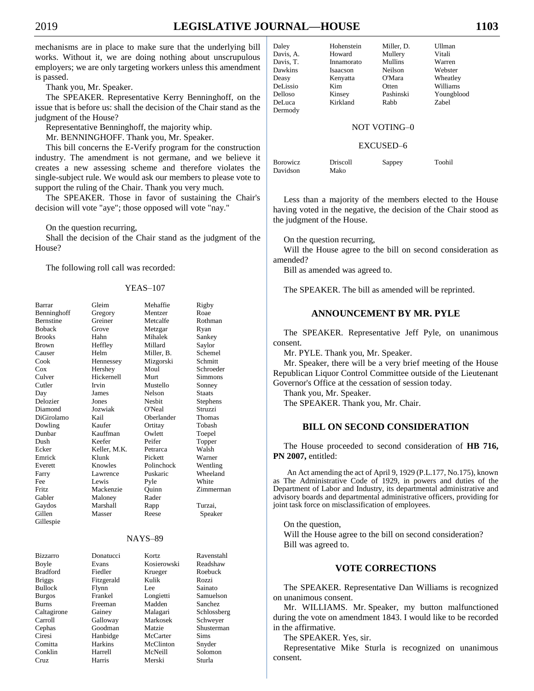mechanisms are in place to make sure that the underlying bill works. Without it, we are doing nothing about unscrupulous employers; we are only targeting workers unless this amendment is passed.

Thank you, Mr. Speaker.

The SPEAKER. Representative Kerry Benninghoff, on the issue that is before us: shall the decision of the Chair stand as the judgment of the House?

Representative Benninghoff, the majority whip.

Mr. BENNINGHOFF. Thank you, Mr. Speaker.

This bill concerns the E-Verify program for the construction industry. The amendment is not germane, and we believe it creates a new assessing scheme and therefore violates the single-subject rule. We would ask our members to please vote to support the ruling of the Chair. Thank you very much.

The SPEAKER. Those in favor of sustaining the Chair's decision will vote "aye"; those opposed will vote "nay."

On the question recurring,

Shall the decision of the Chair stand as the judgment of the House?

The following roll call was recorded:

### YEAS–107

| Barrar           | Gleim        | Mehaffie       | Rigby         |
|------------------|--------------|----------------|---------------|
| Benninghoff      | Gregory      | Mentzer        | Roae          |
| <b>Bernstine</b> | Greiner      | Metcalfe       | Rothman       |
| <b>Boback</b>    | Grove        | Metzgar        | Ryan          |
| <b>Brooks</b>    | Hahn         | Mihalek        | Sankey        |
| <b>Brown</b>     | Heffley      | Millard        | Saylor        |
| Causer           | Helm         | Miller, B.     | Schemel       |
| Cook             | Hennessey    | Mizgorski      | Schmitt       |
| Cox              | Hershey      | Moul           | Schroeder     |
| Culver           | Hickernell   | Murt           | Simmons       |
| Cutler           | Irvin        | Mustello       | Sonney        |
| Day              | James        | Nelson         | <b>Staats</b> |
| Delozier         | Jones        | <b>Nesbit</b>  | Stephens      |
| Diamond          | Jozwiak      | O'Neal         | Struzzi       |
| DiGirolamo       | Kail         | Oberlander     | Thomas        |
| Dowling          | Kaufer       | Ortitay        | Tobash        |
| Dunbar           | Kauffman     | Owlett         | Toepel        |
| Dush             | Keefer       | Peifer         | Topper        |
| Ecker            | Keller, M.K. | Petrarca       | Walsh         |
| Emrick           | Klunk        | Pickett        | Warner        |
| Everett          | Knowles      | Polinchock     | Wentling      |
| Farry            | Lawrence     | Puskaric       | Wheeland      |
| Fee              | Lewis        | Pyle           | White         |
| Fritz.           | Mackenzie    | Quinn          | Zimmerman     |
| Gabler           | Maloney      | Rader          |               |
| Gaydos           | Marshall     | Rapp           | Turzai.       |
| Gillen           | Masser       | Reese          | Speaker       |
| Gillespie        |              |                |               |
|                  |              | <b>NAYS-89</b> |               |
| <b>Bizzarro</b>  | Donatucci    | Kortz          | Ravenstahl    |
| Boyle            | Evans        | Kosierowski    | Readshaw      |
| <b>Bradford</b>  | Fiedler      | Krueger        | Roebuck       |
| <b>Briggs</b>    | Fitzgerald   | Kulik          | Rozzi         |
| <b>Bullock</b>   | Flynn        | Lee            | Sainato       |
| Burgos           | Frankel      | Longietti      | Samuelson     |

Burns Freeman Madden Sanchez Caltagirone Gainey Malagari Schlossberg Carroll Galloway Markosek Schweyer Cephas Goodman Matzie Shusterman Ciresi Hanbidge McCarter Sims Comitta Harkins McClinton Snyder

Cruz Harris Merski Sturla

Solomon

Daley Hohenstein Miller, D. Ullman Davis, A. Howard Mullery Vitali Davis, T. Innamorato Mullins Warren Dawkins Isaacson Neilson Webster Deasy Kenyatta O'Mara Wheatley<br>
DeLissio Kim Otten Williams DeLissio Kim Delloso Kinsey Pashinski Youngblood DeLuca Kirkland Rabb Zabel Dermody

## NOT VOTING–0

#### EXCUSED–6

Borowicz Driscoll Sappey Toohil Davidson Mako

Less than a majority of the members elected to the House having voted in the negative, the decision of the Chair stood as the judgment of the House.

On the question recurring,

Will the House agree to the bill on second consideration as amended?

Bill as amended was agreed to.

The SPEAKER. The bill as amended will be reprinted.

## **ANNOUNCEMENT BY MR. PYLE**

The SPEAKER. Representative Jeff Pyle, on unanimous consent.

Mr. PYLE. Thank you, Mr. Speaker.

Mr. Speaker, there will be a very brief meeting of the House Republican Liquor Control Committee outside of the Lieutenant Governor's Office at the cessation of session today.

Thank you, Mr. Speaker.

The SPEAKER. Thank you, Mr. Chair.

## **BILL ON SECOND CONSIDERATION**

The House proceeded to second consideration of **HB 716, PN 2007,** entitled:

An Act amending the act of April 9, 1929 (P.L.177, No.175), known as The Administrative Code of 1929, in powers and duties of the Department of Labor and Industry, its departmental administrative and advisory boards and departmental administrative officers, providing for joint task force on misclassification of employees.

On the question,

Will the House agree to the bill on second consideration? Bill was agreed to.

## **VOTE CORRECTIONS**

The SPEAKER. Representative Dan Williams is recognized on unanimous consent.

Mr. WILLIAMS. Mr. Speaker, my button malfunctioned during the vote on amendment 1843. I would like to be recorded in the affirmative.

The SPEAKER. Yes, sir.

Representative Mike Sturla is recognized on unanimous consent.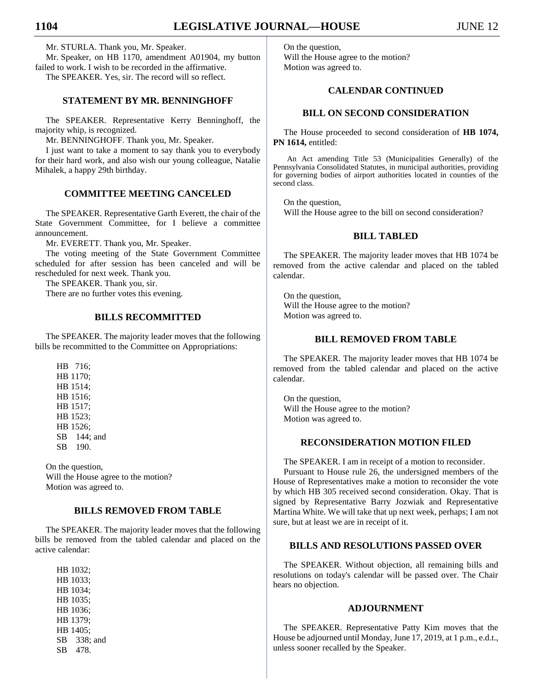Mr. STURLA. Thank you, Mr. Speaker.

Mr. Speaker, on HB 1170, amendment A01904, my button failed to work. I wish to be recorded in the affirmative. The SPEAKER. Yes, sir. The record will so reflect.

## **STATEMENT BY MR. BENNINGHOFF**

The SPEAKER. Representative Kerry Benninghoff, the majority whip, is recognized.

Mr. BENNINGHOFF. Thank you, Mr. Speaker.

I just want to take a moment to say thank you to everybody for their hard work, and also wish our young colleague, Natalie Mihalek, a happy 29th birthday.

## **COMMITTEE MEETING CANCELED**

The SPEAKER. Representative Garth Everett, the chair of the State Government Committee, for I believe a committee announcement.

Mr. EVERETT. Thank you, Mr. Speaker.

The voting meeting of the State Government Committee scheduled for after session has been canceled and will be rescheduled for next week. Thank you.

The SPEAKER. Thank you, sir.

There are no further votes this evening.

## **BILLS RECOMMITTED**

The SPEAKER. The majority leader moves that the following bills be recommitted to the Committee on Appropriations:

HB 716; HB 1170; HB 1514; HB 1516; HB 1517; HB 1523; HB 1526; SB 144; and SB 190.

On the question, Will the House agree to the motion? Motion was agreed to.

## **BILLS REMOVED FROM TABLE**

The SPEAKER. The majority leader moves that the following bills be removed from the tabled calendar and placed on the active calendar:

HB 1032; HB 1033; HB 1034; HB 1035; HB 1036; HB 1379; HB 1405; SB 338; and SB 478.

On the question, Will the House agree to the motion? Motion was agreed to.

# **CALENDAR CONTINUED**

## **BILL ON SECOND CONSIDERATION**

The House proceeded to second consideration of **HB 1074, PN 1614,** entitled:

An Act amending Title 53 (Municipalities Generally) of the Pennsylvania Consolidated Statutes, in municipal authorities, providing for governing bodies of airport authorities located in counties of the second class.

On the question, Will the House agree to the bill on second consideration?

## **BILL TABLED**

The SPEAKER. The majority leader moves that HB 1074 be removed from the active calendar and placed on the tabled calendar.

On the question, Will the House agree to the motion? Motion was agreed to.

### **BILL REMOVED FROM TABLE**

The SPEAKER. The majority leader moves that HB 1074 be removed from the tabled calendar and placed on the active calendar.

On the question, Will the House agree to the motion? Motion was agreed to.

## **RECONSIDERATION MOTION FILED**

The SPEAKER. I am in receipt of a motion to reconsider. Pursuant to House rule 26, the undersigned members of the House of Representatives make a motion to reconsider the vote by which HB 305 received second consideration. Okay. That is signed by Representative Barry Jozwiak and Representative Martina White. We will take that up next week, perhaps; I am not sure, but at least we are in receipt of it.

## **BILLS AND RESOLUTIONS PASSED OVER**

The SPEAKER. Without objection, all remaining bills and resolutions on today's calendar will be passed over. The Chair hears no objection.

#### **ADJOURNMENT**

The SPEAKER. Representative Patty Kim moves that the House be adjourned until Monday, June 17, 2019, at 1 p.m., e.d.t., unless sooner recalled by the Speaker.